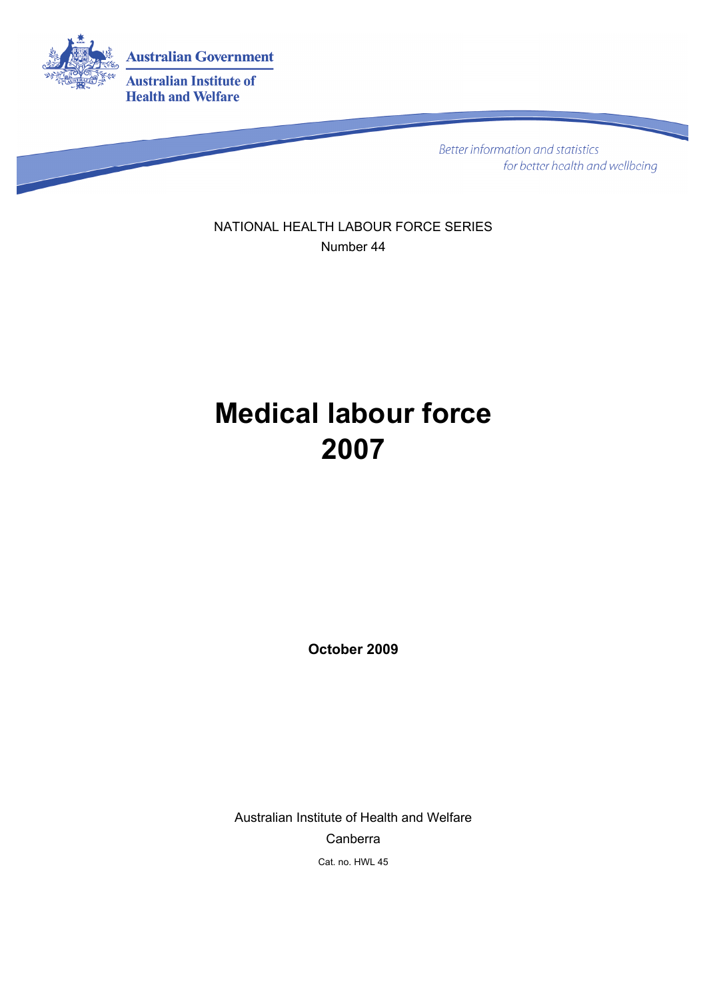

Better information and statistics for better health and wellbeing

NATIONAL HEALTH LABOUR FORCE SERIES Number 44

# **Medical labour force 2007**

**October 2009** 

Australian Institute of Health and Welfare Canberra Cat. no. HWL 45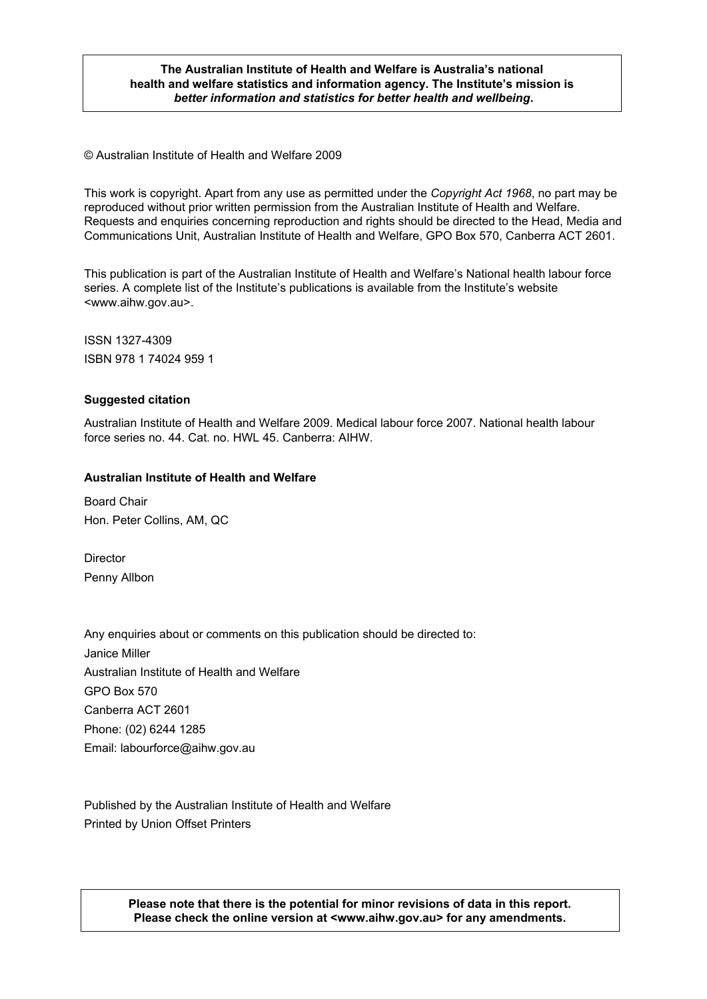#### **The Australian Institute of Health and Welfare is Australia's national health and welfare statistics and information agency. The Institute's mission is**  *better information and statistics for better health and wellbeing***.**

© Australian Institute of Health and Welfare 2009

This work is copyright. Apart from any use as permitted under the *Copyright Act 1968*, no part may be reproduced without prior written permission from the Australian Institute of Health and Welfare. Requests and enquiries concerning reproduction and rights should be directed to the Head, Media and Communications Unit, Australian Institute of Health and Welfare, GPO Box 570, Canberra ACT 2601.

This publication is part of the Australian Institute of Health and Welfare's National health labour force series. A complete list of the Institute's publications is available from the Institute's website <www.aihw.gov.au>.

ISSN 1327-4309 ISBN 978 1 74024 959 1

#### **Suggested citation**

Australian Institute of Health and Welfare 2009. Medical labour force 2007. National health labour force series no. 44. Cat. no. HWL 45. Canberra: AIHW.

#### **Australian Institute of Health and Welfare**

Board Chair Hon. Peter Collins, AM, QC

**Director** Penny Allbon

Any enquiries about or comments on this publication should be directed to: Janice Miller Australian Institute of Health and Welfare GPO Box 570 Canberra ACT 2601 Phone: (02) 6244 1285 Email: labourforce@aihw.gov.au

Published by the Australian Institute of Health and Welfare Printed by Union Offset Printers

> **Please note that there is the potential for minor revisions of data in this report. Please check the online version at <www.aihw.gov.au> for any amendments.**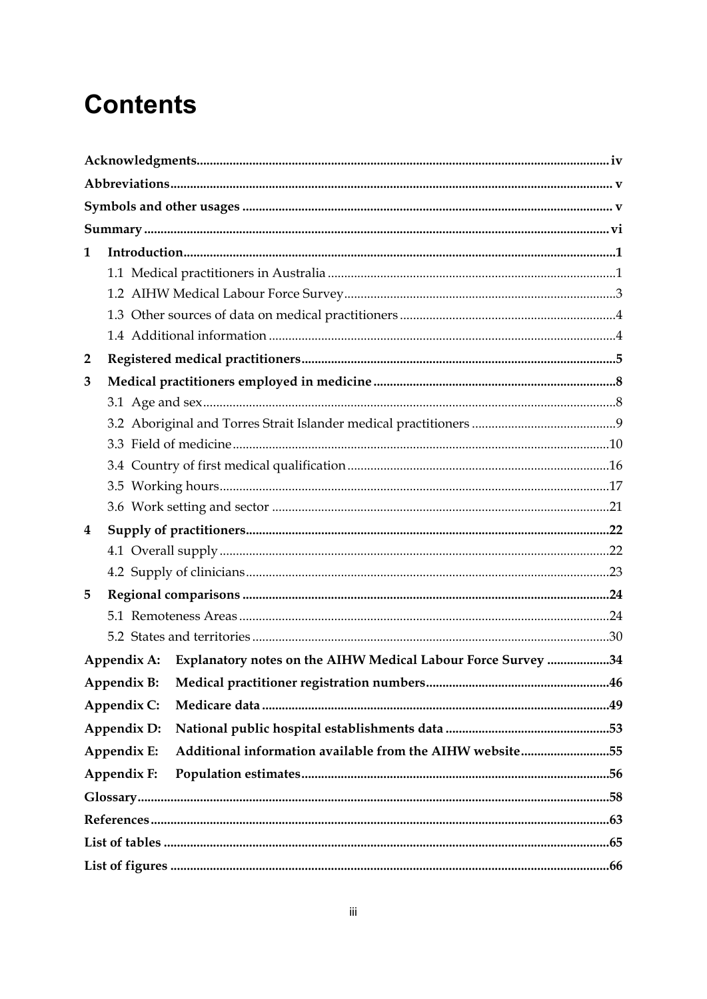# **Contents**

| 1              |             |                                                              |  |  |  |  |  |
|----------------|-------------|--------------------------------------------------------------|--|--|--|--|--|
|                |             |                                                              |  |  |  |  |  |
|                |             |                                                              |  |  |  |  |  |
|                |             |                                                              |  |  |  |  |  |
|                |             |                                                              |  |  |  |  |  |
| $\overline{2}$ |             |                                                              |  |  |  |  |  |
| 3              |             |                                                              |  |  |  |  |  |
|                |             |                                                              |  |  |  |  |  |
|                |             |                                                              |  |  |  |  |  |
|                |             |                                                              |  |  |  |  |  |
|                |             |                                                              |  |  |  |  |  |
|                |             |                                                              |  |  |  |  |  |
|                |             |                                                              |  |  |  |  |  |
| 4              |             |                                                              |  |  |  |  |  |
|                |             |                                                              |  |  |  |  |  |
|                |             |                                                              |  |  |  |  |  |
| 5              |             |                                                              |  |  |  |  |  |
|                |             |                                                              |  |  |  |  |  |
|                |             |                                                              |  |  |  |  |  |
|                | Appendix A: | Explanatory notes on the AIHW Medical Labour Force Survey 34 |  |  |  |  |  |
|                |             |                                                              |  |  |  |  |  |
|                | Appendix C: |                                                              |  |  |  |  |  |
|                | Appendix D: |                                                              |  |  |  |  |  |
|                | Appendix E: | Additional information available from the AIHW website55     |  |  |  |  |  |
|                | Appendix F: |                                                              |  |  |  |  |  |
|                |             |                                                              |  |  |  |  |  |
|                |             |                                                              |  |  |  |  |  |
|                |             |                                                              |  |  |  |  |  |
|                |             |                                                              |  |  |  |  |  |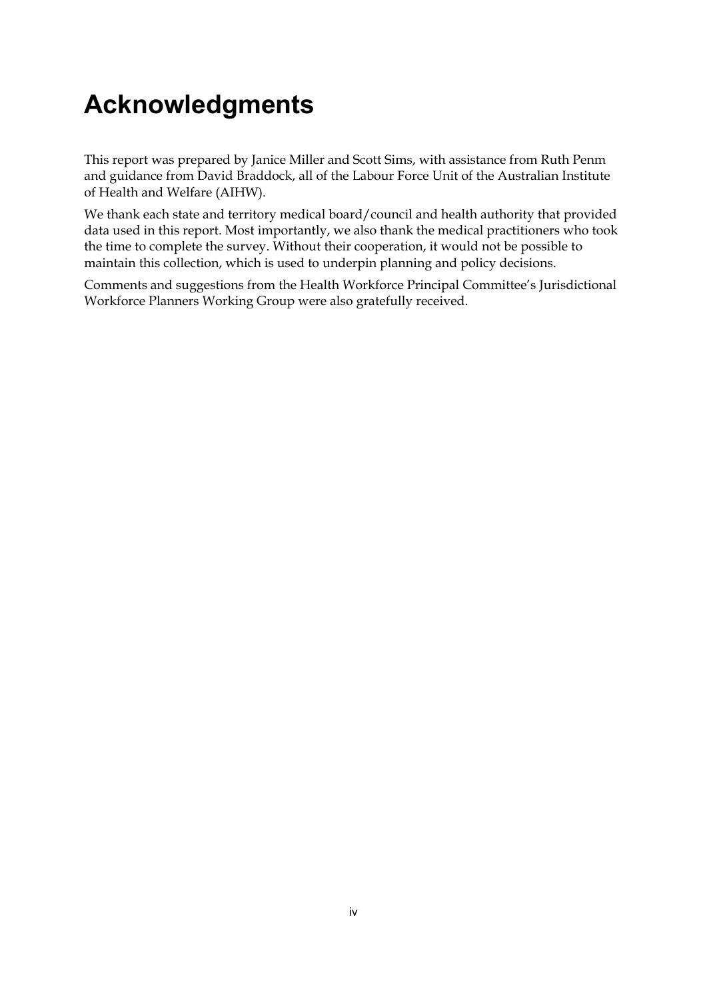# <span id="page-3-0"></span>**Acknowledgments**

This report was prepared by Janice Miller and Scott Sims, with assistance from Ruth Penm and guidance from David Braddock, all of the Labour Force Unit of the Australian Institute of Health and Welfare (AIHW).

We thank each state and territory medical board/council and health authority that provided data used in this report. Most importantly, we also thank the medical practitioners who took the time to complete the survey. Without their cooperation, it would not be possible to maintain this collection, which is used to underpin planning and policy decisions.

Comments and suggestions from the Health Workforce Principal Committee's Jurisdictional Workforce Planners Working Group were also gratefully received.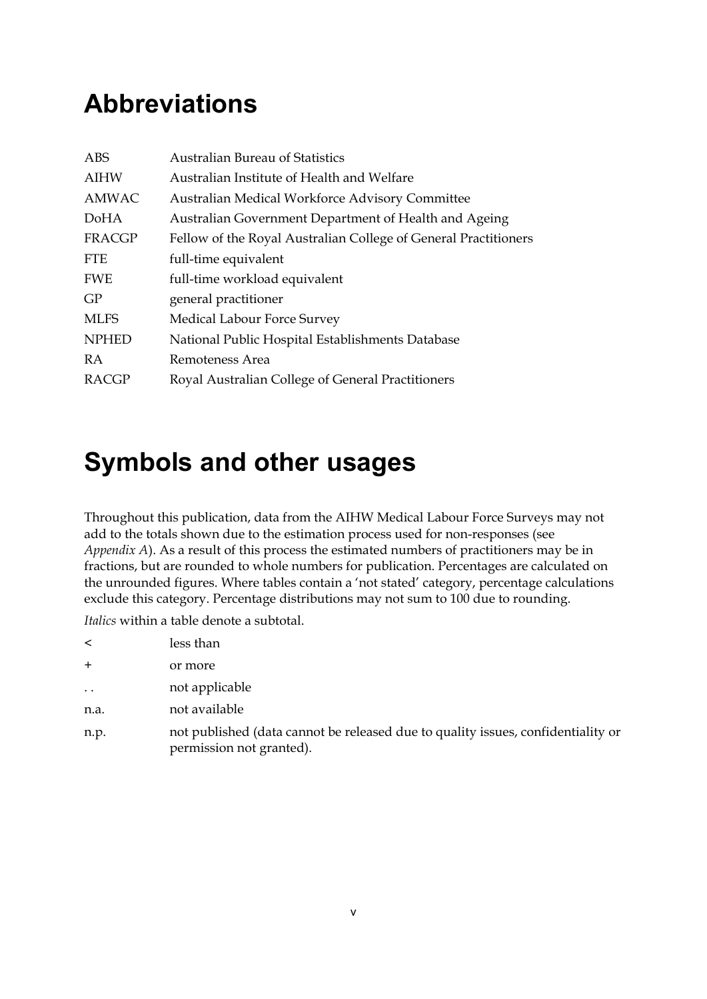# <span id="page-4-0"></span>**Abbreviations**

| ABS          | <b>Australian Bureau of Statistics</b>                          |
|--------------|-----------------------------------------------------------------|
| <b>AIHW</b>  | Australian Institute of Health and Welfare                      |
| AMWAC        | Australian Medical Workforce Advisory Committee                 |
| DoHA         | Australian Government Department of Health and Ageing           |
| FRACGP       | Fellow of the Royal Australian College of General Practitioners |
| <b>FTE</b>   | full-time equivalent                                            |
| <b>FWE</b>   | full-time workload equivalent                                   |
| GP           | general practitioner                                            |
| <b>MLFS</b>  | Medical Labour Force Survey                                     |
| <b>NPHED</b> | National Public Hospital Establishments Database                |
| <b>RA</b>    | Remoteness Area                                                 |
| RACGP        | Royal Australian College of General Practitioners               |

## <span id="page-4-1"></span>**Symbols and other usages**

Throughout this publication, data from the AIHW Medical Labour Force Surveys may not add to the totals shown due to the estimation process used for non-responses (see *Appendix A*). As a result of this process the estimated numbers of practitioners may be in fractions, but are rounded to whole numbers for publication. Percentages are calculated on the unrounded figures. Where tables contain a 'not stated' category, percentage calculations exclude this category. Percentage distributions may not sum to 100 due to rounding.

*Italics* within a table denote a subtotal.

| less than |
|-----------|
|           |

- + or more
- .. not applicable
- n.a. not available
- n.p. not published (data cannot be released due to quality issues, confidentiality or permission not granted).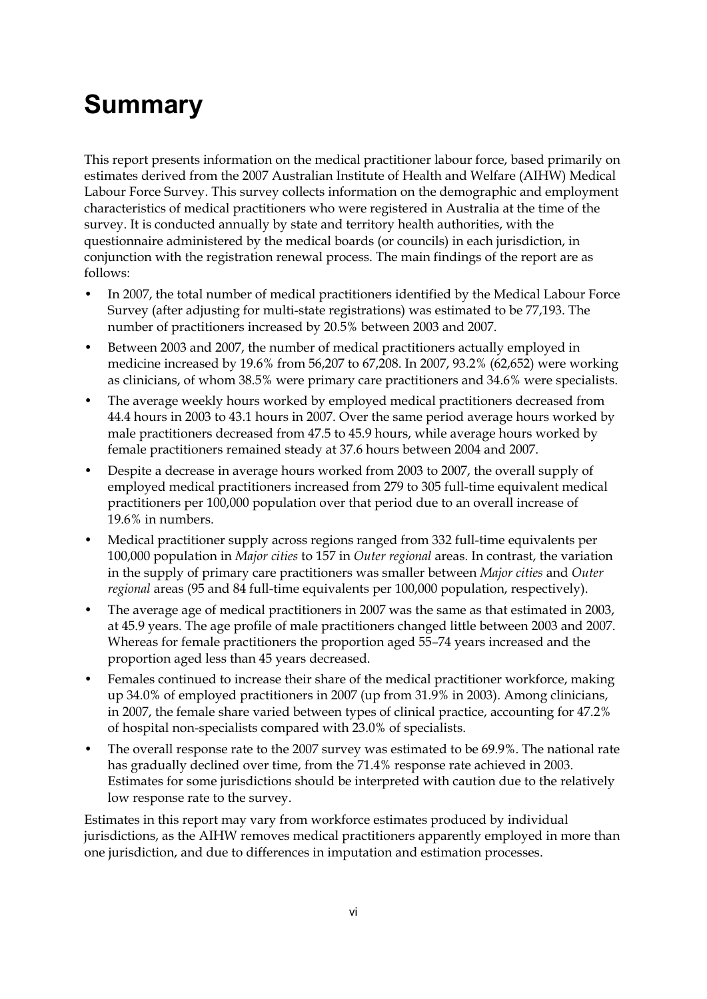# <span id="page-5-0"></span>**Summary**

This report presents information on the medical practitioner labour force, based primarily on estimates derived from the 2007 Australian Institute of Health and Welfare (AIHW) Medical Labour Force Survey. This survey collects information on the demographic and employment characteristics of medical practitioners who were registered in Australia at the time of the survey. It is conducted annually by state and territory health authorities, with the questionnaire administered by the medical boards (or councils) in each jurisdiction, in conjunction with the registration renewal process. The main findings of the report are as follows:

- In 2007, the total number of medical practitioners identified by the Medical Labour Force Survey (after adjusting for multi-state registrations) was estimated to be 77,193. The number of practitioners increased by 20.5% between 2003 and 2007.
- Between 2003 and 2007, the number of medical practitioners actually employed in medicine increased by 19.6% from 56,207 to 67,208. In 2007, 93.2% (62,652) were working as clinicians, of whom 38.5% were primary care practitioners and 34.6% were specialists.
- The average weekly hours worked by employed medical practitioners decreased from 44.4 hours in 2003 to 43.1 hours in 2007. Over the same period average hours worked by male practitioners decreased from 47.5 to 45.9 hours, while average hours worked by female practitioners remained steady at 37.6 hours between 2004 and 2007.
- Despite a decrease in average hours worked from 2003 to 2007, the overall supply of employed medical practitioners increased from 279 to 305 full-time equivalent medical practitioners per 100,000 population over that period due to an overall increase of 19.6% in numbers.
- Medical practitioner supply across regions ranged from 332 full-time equivalents per 100,000 population in *Major cities* to 157 in *Outer regional* areas. In contrast, the variation in the supply of primary care practitioners was smaller between *Major cities* and *Outer regional* areas (95 and 84 full-time equivalents per 100,000 population, respectively).
- The average age of medical practitioners in 2007 was the same as that estimated in 2003, at 45.9 years. The age profile of male practitioners changed little between 2003 and 2007. Whereas for female practitioners the proportion aged 55–74 years increased and the proportion aged less than 45 years decreased.
- Females continued to increase their share of the medical practitioner workforce, making up 34.0% of employed practitioners in 2007 (up from 31.9% in 2003). Among clinicians, in 2007, the female share varied between types of clinical practice, accounting for 47.2% of hospital non-specialists compared with 23.0% of specialists.
- The overall response rate to the 2007 survey was estimated to be 69.9%. The national rate has gradually declined over time, from the 71.4% response rate achieved in 2003. Estimates for some jurisdictions should be interpreted with caution due to the relatively low response rate to the survey.

Estimates in this report may vary from workforce estimates produced by individual jurisdictions, as the AIHW removes medical practitioners apparently employed in more than one jurisdiction, and due to differences in imputation and estimation processes.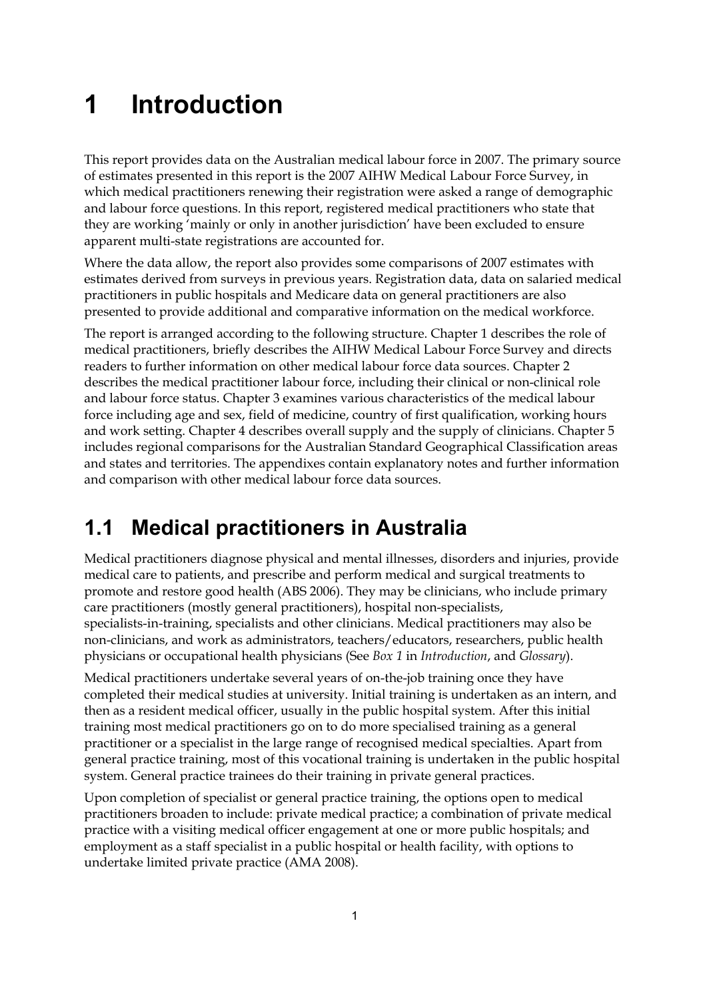# <span id="page-6-0"></span>**1 Introduction**

This report provides data on the Australian medical labour force in 2007. The primary source of estimates presented in this report is the 2007 AIHW Medical Labour Force Survey, in which medical practitioners renewing their registration were asked a range of demographic and labour force questions. In this report, registered medical practitioners who state that they are working 'mainly or only in another jurisdiction' have been excluded to ensure apparent multi-state registrations are accounted for.

Where the data allow, the report also provides some comparisons of 2007 estimates with estimates derived from surveys in previous years. Registration data, data on salaried medical practitioners in public hospitals and Medicare data on general practitioners are also presented to provide additional and comparative information on the medical workforce.

The report is arranged according to the following structure. Chapter 1 describes the role of medical practitioners, briefly describes the AIHW Medical Labour Force Survey and directs readers to further information on other medical labour force data sources. Chapter 2 describes the medical practitioner labour force, including their clinical or non-clinical role and labour force status. Chapter 3 examines various characteristics of the medical labour force including age and sex, field of medicine, country of first qualification, working hours and work setting. Chapter 4 describes overall supply and the supply of clinicians. Chapter 5 includes regional comparisons for the Australian Standard Geographical Classification areas and states and territories. The appendixes contain explanatory notes and further information and comparison with other medical labour force data sources.

## <span id="page-6-1"></span>**1.1 Medical practitioners in Australia**

Medical practitioners diagnose physical and mental illnesses, disorders and injuries, provide medical care to patients, and prescribe and perform medical and surgical treatments to promote and restore good health (ABS 2006). They may be clinicians, who include primary care practitioners (mostly general practitioners), hospital non-specialists, specialists-in-training, specialists and other clinicians. Medical practitioners may also be non-clinicians, and work as administrators, teachers/educators, researchers, public health physicians or occupational health physicians (See *Box 1* in *Introduction*, and *Glossary*).

Medical practitioners undertake several years of on-the-job training once they have completed their medical studies at university. Initial training is undertaken as an intern, and then as a resident medical officer, usually in the public hospital system. After this initial training most medical practitioners go on to do more specialised training as a general practitioner or a specialist in the large range of recognised medical specialties. Apart from general practice training, most of this vocational training is undertaken in the public hospital system. General practice trainees do their training in private general practices.

Upon completion of specialist or general practice training, the options open to medical practitioners broaden to include: private medical practice; a combination of private medical practice with a visiting medical officer engagement at one or more public hospitals; and employment as a staff specialist in a public hospital or health facility, with options to undertake limited private practice (AMA 2008).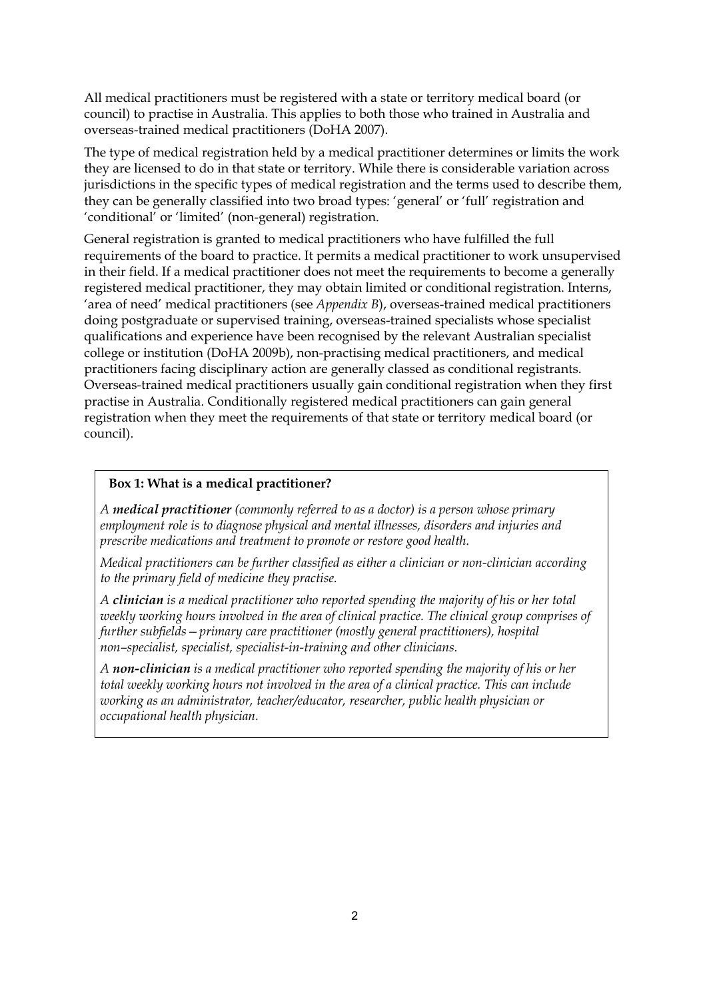All medical practitioners must be registered with a state or territory medical board (or council) to practise in Australia. This applies to both those who trained in Australia and overseas-trained medical practitioners (DoHA 2007).

The type of medical registration held by a medical practitioner determines or limits the work they are licensed to do in that state or territory. While there is considerable variation across jurisdictions in the specific types of medical registration and the terms used to describe them, they can be generally classified into two broad types: 'general' or 'full' registration and 'conditional' or 'limited' (non-general) registration.

General registration is granted to medical practitioners who have fulfilled the full requirements of the board to practice. It permits a medical practitioner to work unsupervised in their field. If a medical practitioner does not meet the requirements to become a generally registered medical practitioner, they may obtain limited or conditional registration. Interns, 'area of need' medical practitioners (see *Appendix B*), overseas-trained medical practitioners doing postgraduate or supervised training, overseas-trained specialists whose specialist qualifications and experience have been recognised by the relevant Australian specialist college or institution (DoHA 2009b), non-practising medical practitioners, and medical practitioners facing disciplinary action are generally classed as conditional registrants. Overseas-trained medical practitioners usually gain conditional registration when they first practise in Australia. Conditionally registered medical practitioners can gain general registration when they meet the requirements of that state or territory medical board (or council).

#### **Box 1: What is a medical practitioner?**

*A medical practitioner (commonly referred to as a doctor) is a person whose primary employment role is to diagnose physical and mental illnesses, disorders and injuries and prescribe medications and treatment to promote or restore good health.* 

*Medical practitioners can be further classified as either a clinician or non-clinician according to the primary field of medicine they practise.* 

*A clinician is a medical practitioner who reported spending the majority of his or her total weekly working hours involved in the area of clinical practice. The clinical group comprises of further subfields—primary care practitioner (mostly general practitioners), hospital non–specialist, specialist, specialist-in-training and other clinicians.* 

*A non-clinician is a medical practitioner who reported spending the majority of his or her total weekly working hours not involved in the area of a clinical practice. This can include working as an administrator, teacher/educator, researcher, public health physician or occupational health physician.*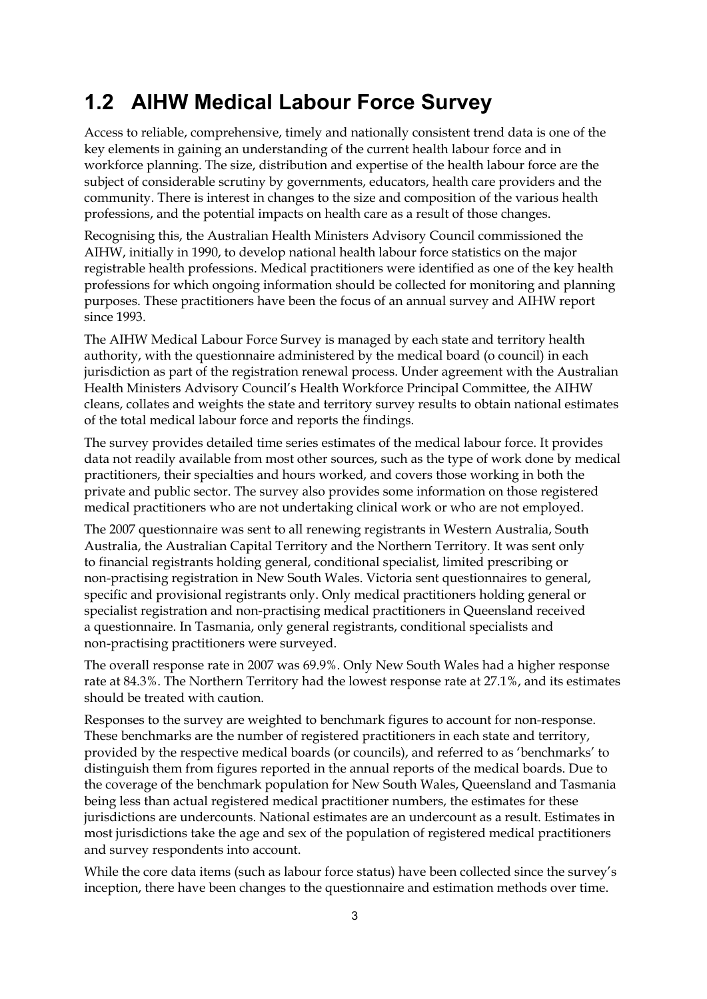### <span id="page-8-0"></span>**1.2 AIHW Medical Labour Force Survey**

Access to reliable, comprehensive, timely and nationally consistent trend data is one of the key elements in gaining an understanding of the current health labour force and in workforce planning. The size, distribution and expertise of the health labour force are the subject of considerable scrutiny by governments, educators, health care providers and the community. There is interest in changes to the size and composition of the various health professions, and the potential impacts on health care as a result of those changes.

Recognising this, the Australian Health Ministers Advisory Council commissioned the AIHW, initially in 1990, to develop national health labour force statistics on the major registrable health professions. Medical practitioners were identified as one of the key health professions for which ongoing information should be collected for monitoring and planning purposes. These practitioners have been the focus of an annual survey and AIHW report since 1993.

The AIHW Medical Labour Force Survey is managed by each state and territory health authority, with the questionnaire administered by the medical board (o council) in each jurisdiction as part of the registration renewal process. Under agreement with the Australian Health Ministers Advisory Council's Health Workforce Principal Committee, the AIHW cleans, collates and weights the state and territory survey results to obtain national estimates of the total medical labour force and reports the findings.

The survey provides detailed time series estimates of the medical labour force. It provides data not readily available from most other sources, such as the type of work done by medical practitioners, their specialties and hours worked, and covers those working in both the private and public sector. The survey also provides some information on those registered medical practitioners who are not undertaking clinical work or who are not employed.

The 2007 questionnaire was sent to all renewing registrants in Western Australia, South Australia, the Australian Capital Territory and the Northern Territory. It was sent only to financial registrants holding general, conditional specialist, limited prescribing or non-practising registration in New South Wales. Victoria sent questionnaires to general, specific and provisional registrants only. Only medical practitioners holding general or specialist registration and non-practising medical practitioners in Queensland received a questionnaire. In Tasmania, only general registrants, conditional specialists and non-practising practitioners were surveyed.

The overall response rate in 2007 was 69.9%. Only New South Wales had a higher response rate at 84.3%. The Northern Territory had the lowest response rate at 27.1%, and its estimates should be treated with caution.

Responses to the survey are weighted to benchmark figures to account for non-response. These benchmarks are the number of registered practitioners in each state and territory, provided by the respective medical boards (or councils), and referred to as 'benchmarks' to distinguish them from figures reported in the annual reports of the medical boards. Due to the coverage of the benchmark population for New South Wales, Queensland and Tasmania being less than actual registered medical practitioner numbers, the estimates for these jurisdictions are undercounts. National estimates are an undercount as a result. Estimates in most jurisdictions take the age and sex of the population of registered medical practitioners and survey respondents into account.

While the core data items (such as labour force status) have been collected since the survey's inception, there have been changes to the questionnaire and estimation methods over time.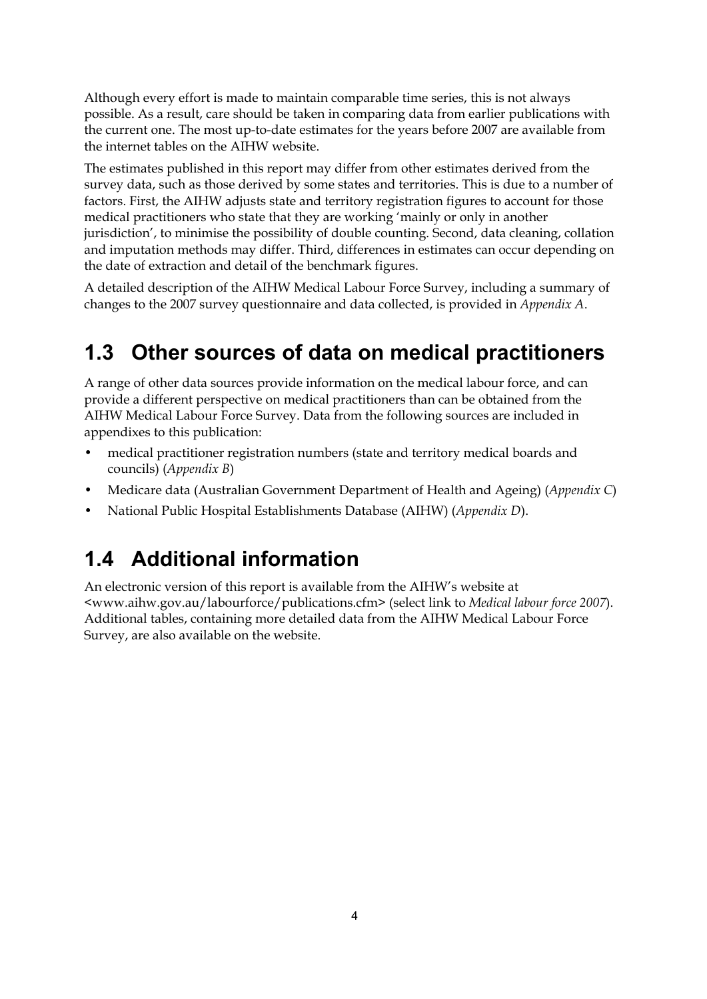Although every effort is made to maintain comparable time series, this is not always possible. As a result, care should be taken in comparing data from earlier publications with the current one. The most up-to-date estimates for the years before 2007 are available from the internet tables on the AIHW website.

The estimates published in this report may differ from other estimates derived from the survey data, such as those derived by some states and territories. This is due to a number of factors. First, the AIHW adjusts state and territory registration figures to account for those medical practitioners who state that they are working 'mainly or only in another jurisdiction', to minimise the possibility of double counting. Second, data cleaning, collation and imputation methods may differ. Third, differences in estimates can occur depending on the date of extraction and detail of the benchmark figures.

A detailed description of the AIHW Medical Labour Force Survey, including a summary of changes to the 2007 survey questionnaire and data collected, is provided in *Appendix A*.

## <span id="page-9-0"></span>**1.3 Other sources of data on medical practitioners**

A range of other data sources provide information on the medical labour force, and can provide a different perspective on medical practitioners than can be obtained from the AIHW Medical Labour Force Survey. Data from the following sources are included in appendixes to this publication:

- medical practitioner registration numbers (state and territory medical boards and councils) (*Appendix B*)
- Medicare data (Australian Government Department of Health and Ageing) (*Appendix C*)
- National Public Hospital Establishments Database (AIHW) (*Appendix D*).

## <span id="page-9-1"></span>**1.4 Additional information**

An electronic version of this report is available from the AIHW's website at <www.aihw.gov.au/labourforce/publications.cfm> (select link to *Medical labour force 2007*). Additional tables, containing more detailed data from the AIHW Medical Labour Force Survey, are also available on the website.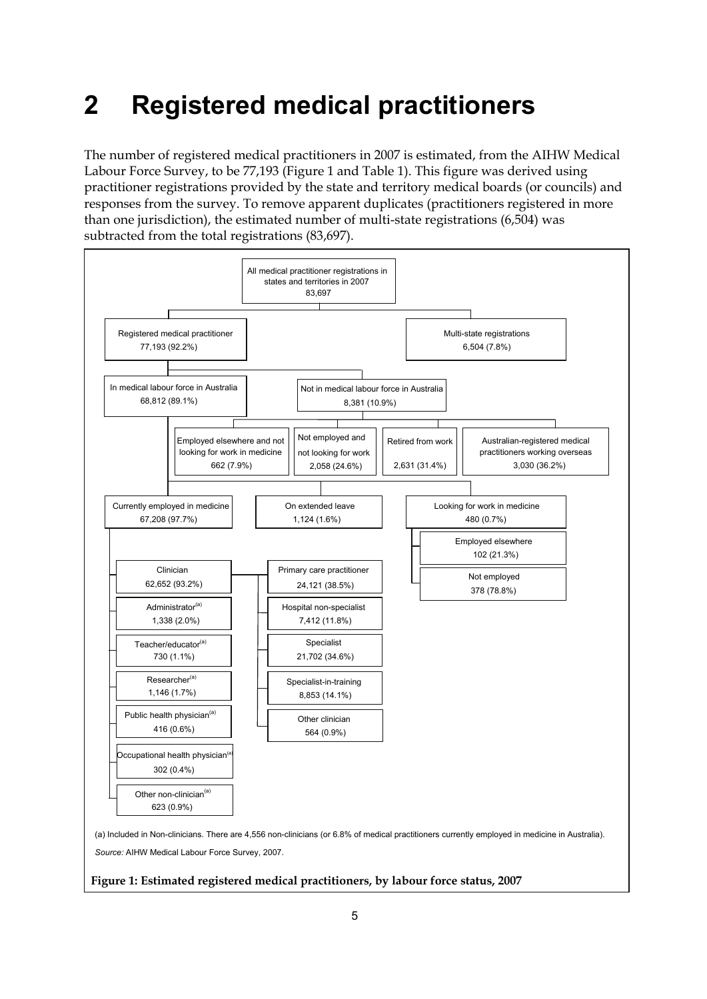# <span id="page-10-0"></span>**2 Registered medical practitioners**

The number of registered medical practitioners in 2007 is estimated, from the AIHW Medical Labour Force Survey, to be 77,193 (Figure 1 and Table 1). This figure was derived using practitioner registrations provided by the state and territory medical boards (or councils) and responses from the survey. To remove apparent duplicates (practitioners registered in more than one jurisdiction), the estimated number of multi-state registrations (6,504) was subtracted from the total registrations (83,697).



#### **Figure 1: Estimated registered medical practitioners, by labour force status, 2007**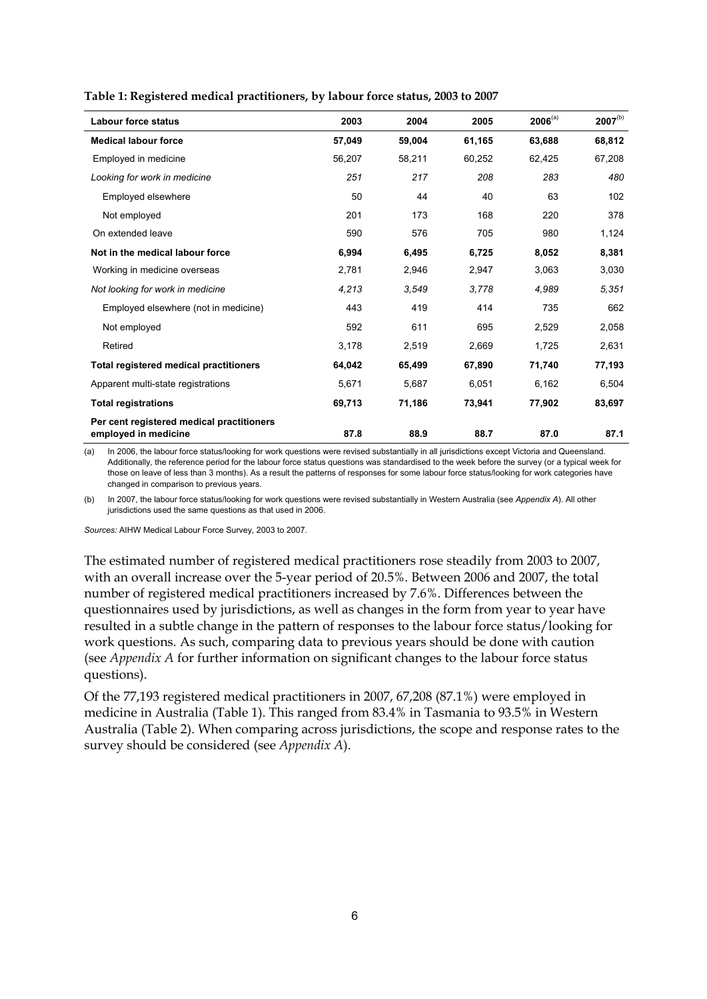| <b>Labour force status</b>                                        | 2003   | 2004   | 2005   | $2006^{(a)}$ | $2007^{(b)}$ |
|-------------------------------------------------------------------|--------|--------|--------|--------------|--------------|
| <b>Medical labour force</b>                                       | 57,049 | 59,004 | 61,165 | 63,688       | 68,812       |
| Employed in medicine                                              | 56,207 | 58,211 | 60,252 | 62,425       | 67,208       |
| Looking for work in medicine                                      | 251    | 217    | 208    | 283          | 480          |
| Employed elsewhere                                                | 50     | 44     | 40     | 63           | 102          |
| Not employed                                                      | 201    | 173    | 168    | 220          | 378          |
| On extended leave                                                 | 590    | 576    | 705    | 980          | 1,124        |
| Not in the medical labour force                                   | 6,994  | 6,495  | 6,725  | 8,052        | 8,381        |
| Working in medicine overseas                                      | 2,781  | 2,946  | 2,947  | 3,063        | 3,030        |
| Not looking for work in medicine                                  | 4,213  | 3.549  | 3.778  | 4.989        | 5,351        |
| Employed elsewhere (not in medicine)                              | 443    | 419    | 414    | 735          | 662          |
| Not employed                                                      | 592    | 611    | 695    | 2,529        | 2,058        |
| Retired                                                           | 3,178  | 2,519  | 2,669  | 1,725        | 2,631        |
| <b>Total registered medical practitioners</b>                     | 64,042 | 65,499 | 67,890 | 71,740       | 77,193       |
| Apparent multi-state registrations                                | 5.671  | 5.687  | 6.051  | 6.162        | 6,504        |
| <b>Total registrations</b>                                        | 69,713 | 71,186 | 73,941 | 77,902       | 83,697       |
| Per cent registered medical practitioners<br>employed in medicine | 87.8   | 88.9   | 88.7   | 87.0         | 87.1         |

**Table 1: Registered medical practitioners, by labour force status, 2003 to 2007** 

(a) In 2006, the labour force status/looking for work questions were revised substantially in all jurisdictions except Victoria and Queensland. Additionally, the reference period for the labour force status questions was standardised to the week before the survey (or a typical week for those on leave of less than 3 months). As a result the patterns of responses for some labour force status/looking for work categories have changed in comparison to previous years.

(b) In 2007, the labour force status/looking for work questions were revised substantially in Western Australia (see *Appendix A*). All other jurisdictions used the same questions as that used in 2006.

*Sources:* AIHW Medical Labour Force Survey, 2003 to 2007.

The estimated number of registered medical practitioners rose steadily from 2003 to 2007, with an overall increase over the 5-year period of 20.5%. Between 2006 and 2007, the total number of registered medical practitioners increased by 7.6%. Differences between the questionnaires used by jurisdictions, as well as changes in the form from year to year have resulted in a subtle change in the pattern of responses to the labour force status/looking for work questions. As such, comparing data to previous years should be done with caution (see *Appendix A* for further information on significant changes to the labour force status questions).

Of the 77,193 registered medical practitioners in 2007, 67,208 (87.1%) were employed in medicine in Australia (Table 1). This ranged from 83.4% in Tasmania to 93.5% in Western Australia (Table 2). When comparing across jurisdictions, the scope and response rates to the survey should be considered (see *Appendix A*).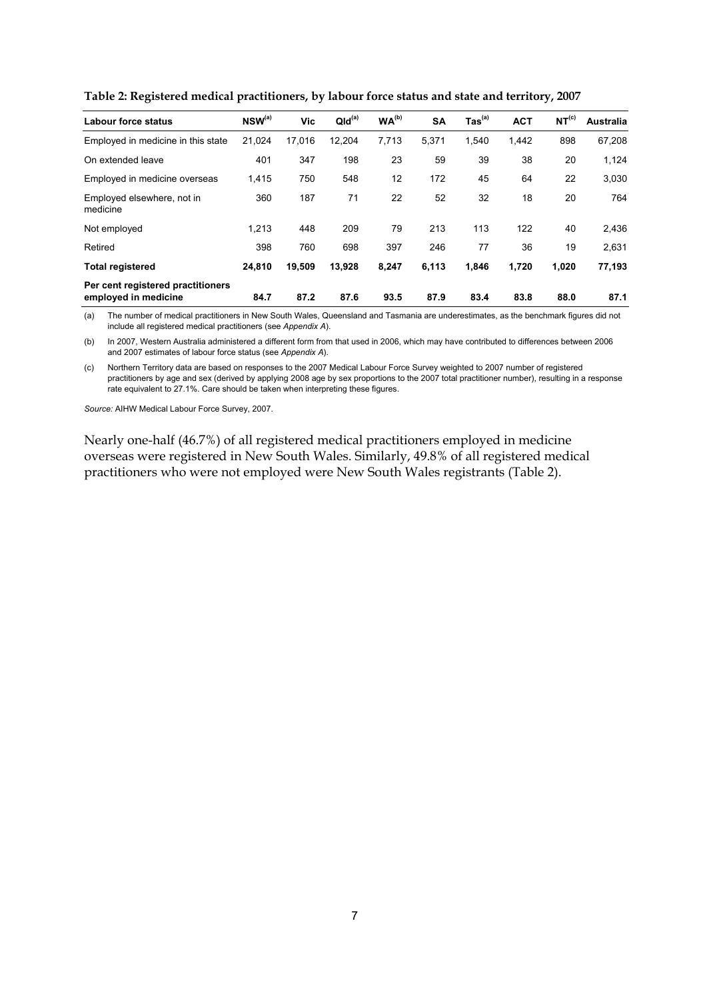| Labour force status                                       | $NSW^{(a)}$ | Vic    | QId <sup>(a)</sup> | WA <sup>(b)</sup> | <b>SA</b> | $\mathsf{ Tas}^\mathsf{(a)}$ | <b>ACT</b> | NT <sup>(c)</sup> | Australia |
|-----------------------------------------------------------|-------------|--------|--------------------|-------------------|-----------|------------------------------|------------|-------------------|-----------|
| Employed in medicine in this state                        | 21,024      | 17,016 | 12,204             | 7,713             | 5,371     | 1,540                        | 1,442      | 898               | 67,208    |
| On extended leave                                         | 401         | 347    | 198                | 23                | 59        | 39                           | 38         | 20                | 1,124     |
| Employed in medicine overseas                             | 1,415       | 750    | 548                | 12                | 172       | 45                           | 64         | 22                | 3,030     |
| Employed elsewhere, not in<br>medicine                    | 360         | 187    | 71                 | 22                | 52        | 32                           | 18         | 20                | 764       |
| Not employed                                              | 1.213       | 448    | 209                | 79                | 213       | 113                          | 122        | 40                | 2,436     |
| Retired                                                   | 398         | 760    | 698                | 397               | 246       | 77                           | 36         | 19                | 2,631     |
| <b>Total registered</b>                                   | 24,810      | 19,509 | 13,928             | 8,247             | 6,113     | 1,846                        | 1,720      | 1,020             | 77,193    |
| Per cent registered practitioners<br>employed in medicine | 84.7        | 87.2   | 87.6               | 93.5              | 87.9      | 83.4                         | 83.8       | 88.0              | 87.1      |

**Table 2: Registered medical practitioners, by labour force status and state and territory, 2007** 

(a) The number of medical practitioners in New South Wales, Queensland and Tasmania are underestimates, as the benchmark figures did not include all registered medical practitioners (see *Appendix A*).

(b) In 2007, Western Australia administered a different form from that used in 2006, which may have contributed to differences between 2006 and 2007 estimates of labour force status (see *Appendix A*).

(c) Northern Territory data are based on responses to the 2007 Medical Labour Force Survey weighted to 2007 number of registered practitioners by age and sex (derived by applying 2008 age by sex proportions to the 2007 total practitioner number), resulting in a response rate equivalent to 27.1%. Care should be taken when interpreting these figures.

*Source:* AIHW Medical Labour Force Survey, 2007.

Nearly one-half (46.7%) of all registered medical practitioners employed in medicine overseas were registered in New South Wales. Similarly, 49.8% of all registered medical practitioners who were not employed were New South Wales registrants (Table 2).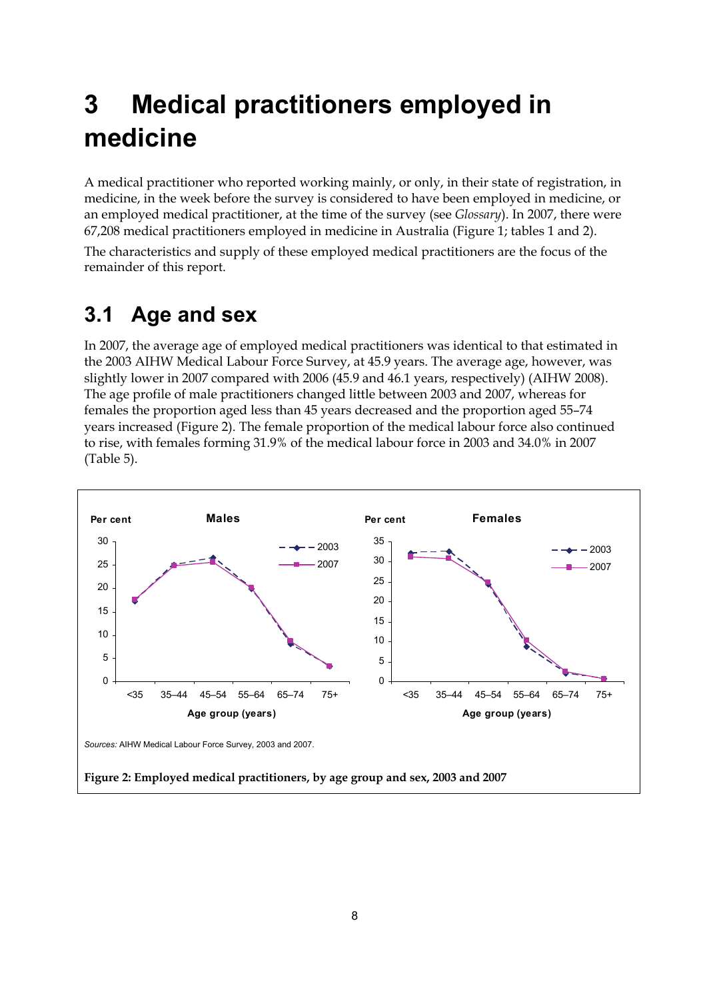# <span id="page-13-0"></span>**3 Medical practitioners employed in medicine**

A medical practitioner who reported working mainly, or only, in their state of registration, in medicine, in the week before the survey is considered to have been employed in medicine, or an employed medical practitioner, at the time of the survey (see *Glossary*). In 2007, there were 67,208 medical practitioners employed in medicine in Australia (Figure 1; tables 1 and 2).

The characteristics and supply of these employed medical practitioners are the focus of the remainder of this report.

### <span id="page-13-1"></span>**3.1 Age and sex**

In 2007, the average age of employed medical practitioners was identical to that estimated in the 2003 AIHW Medical Labour Force Survey, at 45.9 years. The average age, however, was slightly lower in 2007 compared with 2006 (45.9 and 46.1 years, respectively) (AIHW 2008). The age profile of male practitioners changed little between 2003 and 2007, whereas for females the proportion aged less than 45 years decreased and the proportion aged 55–74 years increased (Figure 2). The female proportion of the medical labour force also continued to rise, with females forming 31.9% of the medical labour force in 2003 and 34.0% in 2007 (Table 5).

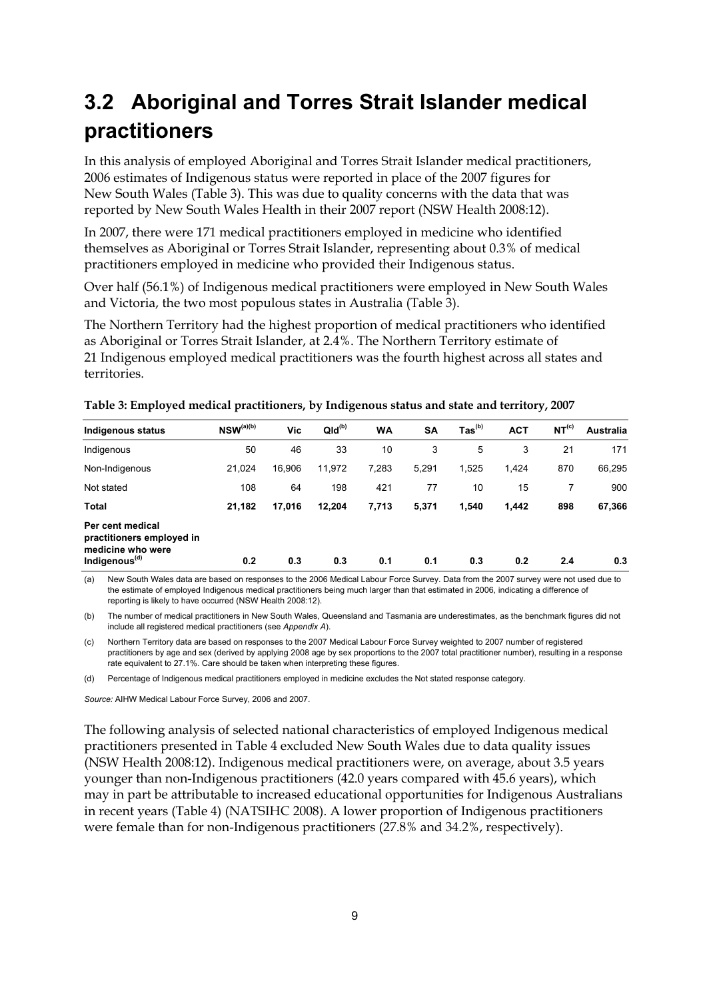## <span id="page-14-0"></span>**3.2 Aboriginal and Torres Strait Islander medical practitioners**

In this analysis of employed Aboriginal and Torres Strait Islander medical practitioners, 2006 estimates of Indigenous status were reported in place of the 2007 figures for New South Wales (Table 3). This was due to quality concerns with the data that was reported by New South Wales Health in their 2007 report (NSW Health 2008:12).

In 2007, there were 171 medical practitioners employed in medicine who identified themselves as Aboriginal or Torres Strait Islander, representing about 0.3% of medical practitioners employed in medicine who provided their Indigenous status.

Over half (56.1%) of Indigenous medical practitioners were employed in New South Wales and Victoria, the two most populous states in Australia (Table 3).

The Northern Territory had the highest proportion of medical practitioners who identified as Aboriginal or Torres Strait Islander, at 2.4%. The Northern Territory estimate of 21 Indigenous employed medical practitioners was the fourth highest across all states and territories.

| <b>Indigenous status</b>                                                                        | $NSW^{(a)(b)}$ | Vic    | $QId^{(b)}$ | <b>WA</b> | <b>SA</b> | $\text{ Tas}^{(b)}$ | <b>ACT</b> | NT <sup>(c)</sup> | Australia |
|-------------------------------------------------------------------------------------------------|----------------|--------|-------------|-----------|-----------|---------------------|------------|-------------------|-----------|
| Indigenous                                                                                      | 50             | 46     | 33          | 10        | 3         | 5                   | 3          | 21                | 171       |
| Non-Indigenous                                                                                  | 21,024         | 16.906 | 11,972      | 7,283     | 5,291     | 1,525               | 1,424      | 870               | 66,295    |
| Not stated                                                                                      | 108            | 64     | 198         | 421       | 77        | 10                  | 15         |                   | 900       |
| <b>Total</b>                                                                                    | 21,182         | 17,016 | 12,204      | 7,713     | 5,371     | 1,540               | 1,442      | 898               | 67,366    |
| Per cent medical<br>practitioners employed in<br>medicine who were<br>Indigenous <sup>(d)</sup> | 0.2            | 0.3    | 0.3         | 0.1       | 0.1       | 0.3                 | 0.2        | 2.4               | 0.3       |

**Table 3: Employed medical practitioners, by Indigenous status and state and territory, 2007** 

(a) New South Wales data are based on responses to the 2006 Medical Labour Force Survey. Data from the 2007 survey were not used due to the estimate of employed Indigenous medical practitioners being much larger than that estimated in 2006, indicating a difference of reporting is likely to have occurred (NSW Health 2008:12).

(b) The number of medical practitioners in New South Wales, Queensland and Tasmania are underestimates, as the benchmark figures did not include all registered medical practitioners (see *Appendix A*).

(c) Northern Territory data are based on responses to the 2007 Medical Labour Force Survey weighted to 2007 number of registered practitioners by age and sex (derived by applying 2008 age by sex proportions to the 2007 total practitioner number), resulting in a response rate equivalent to 27.1%. Care should be taken when interpreting these figures.

(d) Percentage of Indigenous medical practitioners employed in medicine excludes the Not stated response category.

*Source:* AIHW Medical Labour Force Survey, 2006 and 2007.

The following analysis of selected national characteristics of employed Indigenous medical practitioners presented in Table 4 excluded New South Wales due to data quality issues (NSW Health 2008:12). Indigenous medical practitioners were, on average, about 3.5 years younger than non-Indigenous practitioners (42.0 years compared with 45.6 years), which may in part be attributable to increased educational opportunities for Indigenous Australians in recent years (Table 4) (NATSIHC 2008). A lower proportion of Indigenous practitioners were female than for non-Indigenous practitioners (27.8% and 34.2%, respectively).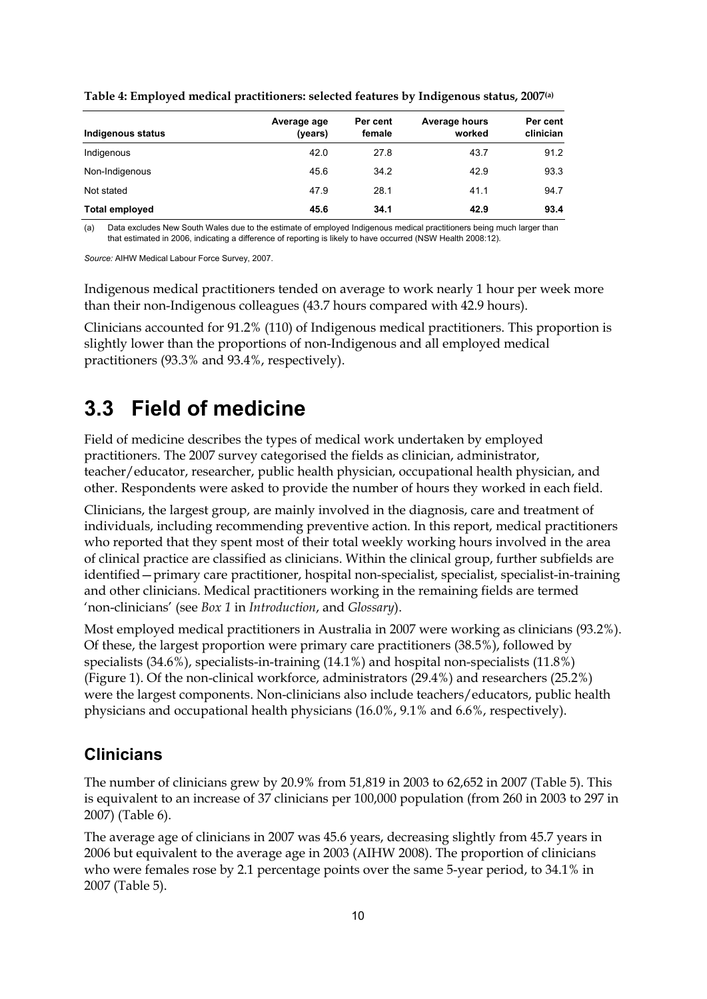| Indigenous status     | Average age<br>(years) | Per cent<br>female | <b>Average hours</b><br>worked | Per cent<br>clinician |
|-----------------------|------------------------|--------------------|--------------------------------|-----------------------|
| Indigenous            | 42.0                   | 27.8               | 43.7                           | 91.2                  |
| Non-Indigenous        | 45.6                   | 34.2               | 42.9                           | 93.3                  |
| Not stated            | 47.9                   | 28.1               | 41.1                           | 94.7                  |
| <b>Total employed</b> | 45.6                   | 34.1               | 42.9                           | 93.4                  |

**Table 4: Employed medical practitioners: selected features by Indigenous status, 2007(a)**

(a) Data excludes New South Wales due to the estimate of employed Indigenous medical practitioners being much larger than that estimated in 2006, indicating a difference of reporting is likely to have occurred (NSW Health 2008:12).

*Source:* AIHW Medical Labour Force Survey, 2007.

Indigenous medical practitioners tended on average to work nearly 1 hour per week more than their non-Indigenous colleagues (43.7 hours compared with 42.9 hours).

Clinicians accounted for 91.2% (110) of Indigenous medical practitioners. This proportion is slightly lower than the proportions of non-Indigenous and all employed medical practitioners (93.3% and 93.4%, respectively).

### <span id="page-15-0"></span>**3.3 Field of medicine**

Field of medicine describes the types of medical work undertaken by employed practitioners. The 2007 survey categorised the fields as clinician, administrator, teacher/educator, researcher, public health physician, occupational health physician, and other. Respondents were asked to provide the number of hours they worked in each field.

Clinicians, the largest group, are mainly involved in the diagnosis, care and treatment of individuals, including recommending preventive action. In this report, medical practitioners who reported that they spent most of their total weekly working hours involved in the area of clinical practice are classified as clinicians. Within the clinical group, further subfields are identified—primary care practitioner, hospital non-specialist, specialist, specialist-in-training and other clinicians. Medical practitioners working in the remaining fields are termed 'non-clinicians' (see *Box 1* in *Introduction*, and *Glossary*).

Most employed medical practitioners in Australia in 2007 were working as clinicians (93.2%). Of these, the largest proportion were primary care practitioners (38.5%), followed by specialists (34.6%), specialists-in-training (14.1%) and hospital non-specialists (11.8%) (Figure 1). Of the non-clinical workforce, administrators (29.4%) and researchers (25.2%) were the largest components. Non-clinicians also include teachers/educators, public health physicians and occupational health physicians (16.0%, 9.1% and 6.6%, respectively).

#### **Clinicians**

The number of clinicians grew by 20.9% from 51,819 in 2003 to 62,652 in 2007 (Table 5). This is equivalent to an increase of 37 clinicians per 100,000 population (from 260 in 2003 to 297 in 2007) (Table 6).

The average age of clinicians in 2007 was 45.6 years, decreasing slightly from 45.7 years in 2006 but equivalent to the average age in 2003 (AIHW 2008). The proportion of clinicians who were females rose by 2.1 percentage points over the same 5-year period, to 34.1% in 2007 (Table 5).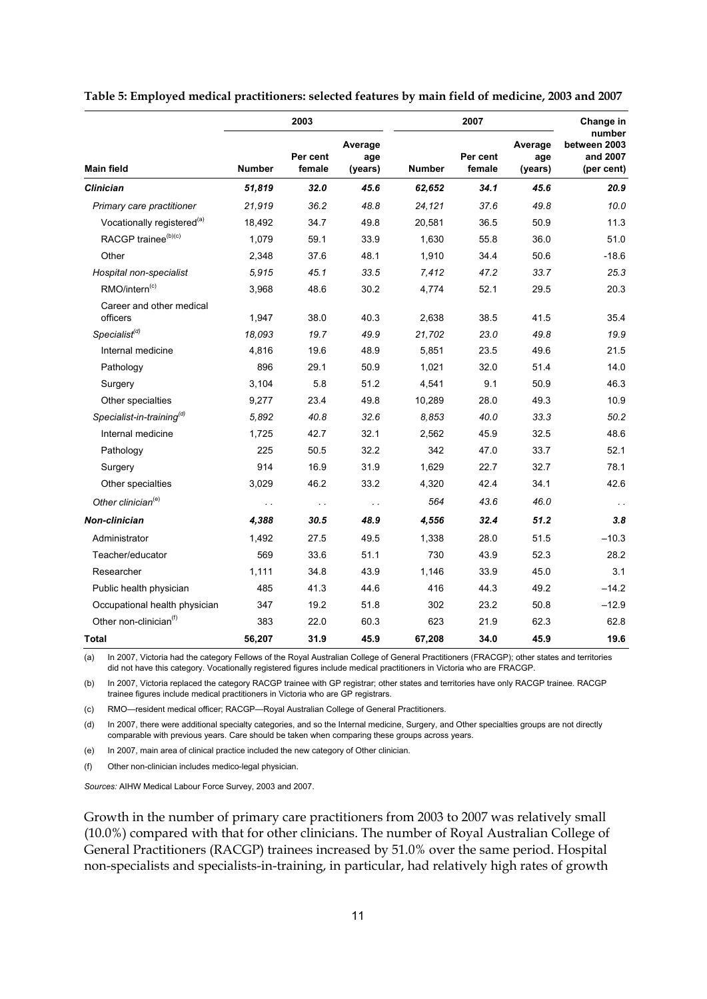|                                        |               | 2003               |                           |               | Change in          |                           |                                                  |  |
|----------------------------------------|---------------|--------------------|---------------------------|---------------|--------------------|---------------------------|--------------------------------------------------|--|
| <b>Main field</b>                      | <b>Number</b> | Per cent<br>female | Average<br>age<br>(years) | <b>Number</b> | Per cent<br>female | Average<br>age<br>(years) | number<br>between 2003<br>and 2007<br>(per cent) |  |
| <b>Clinician</b>                       | 51,819        | 32.0               | 45.6                      | 62,652        | 34.1               | 45.6                      | 20.9                                             |  |
| Primary care practitioner              | 21,919        | 36.2               | 48.8                      | 24,121        | 37.6               | 49.8                      | 10.0                                             |  |
| Vocationally registered <sup>(a)</sup> | 18,492        | 34.7               | 49.8                      | 20,581        | 36.5               | 50.9                      | 11.3                                             |  |
| RACGP trainee <sup>(b)(c)</sup>        | 1,079         | 59.1               | 33.9                      | 1,630         | 55.8               | 36.0                      | 51.0                                             |  |
| Other                                  | 2,348         | 37.6               | 48.1                      | 1,910         | 34.4               | 50.6                      | $-18.6$                                          |  |
| Hospital non-specialist                | 5,915         | 45.1               | 33.5                      | 7,412         | 47.2               | 33.7                      | 25.3                                             |  |
| RMO/intern <sup>(c)</sup>              | 3,968         | 48.6               | 30.2                      | 4,774         | 52.1               | 29.5                      | 20.3                                             |  |
| Career and other medical<br>officers   | 1.947         | 38.0               | 40.3                      | 2,638         | 38.5               | 41.5                      | 35.4                                             |  |
| Specialist <sup>(d)</sup>              | 18,093        | 19.7               | 49.9                      | 21,702        | 23.0               | 49.8                      | 19.9                                             |  |
| Internal medicine                      | 4,816         | 19.6               | 48.9                      | 5,851         | 23.5               | 49.6                      | 21.5                                             |  |
| Pathology                              | 896           | 29.1               | 50.9                      | 1,021         | 32.0               | 51.4                      | 14.0                                             |  |
| Surgery                                | 3,104         | 5.8                | 51.2                      | 4,541         | 9.1                | 50.9                      | 46.3                                             |  |
| Other specialties                      | 9,277         | 23.4               | 49.8                      | 10,289        | 28.0               | 49.3                      | 10.9                                             |  |
| Specialist-in-training <sup>(d)</sup>  | 5,892         | 40.8               | 32.6                      | 8.853         | 40.0               | 33.3                      | 50.2                                             |  |
| Internal medicine                      | 1,725         | 42.7               | 32.1                      | 2,562         | 45.9               | 32.5                      | 48.6                                             |  |
| Pathology                              | 225           | 50.5               | 32.2                      | 342           | 47.0               | 33.7                      | 52.1                                             |  |
| Surgery                                | 914           | 16.9               | 31.9                      | 1,629         | 22.7               | 32.7                      | 78.1                                             |  |
| Other specialties                      | 3,029         | 46.2               | 33.2                      | 4,320         | 42.4               | 34.1                      | 42.6                                             |  |
| Other clinician <sup>(e)</sup>         | $\sim$ $\sim$ | $\sim$ $\sim$      | $\sim$ $\sim$             | 564           | 43.6               | 46.0                      | $\ddot{\phantom{a}}$                             |  |
| Non-clinician                          | 4,388         | 30.5               | 48.9                      | 4,556         | 32.4               | 51.2                      | 3.8                                              |  |
| Administrator                          | 1,492         | 27.5               | 49.5                      | 1,338         | 28.0               | 51.5                      | $-10.3$                                          |  |
| Teacher/educator                       | 569           | 33.6               | 51.1                      | 730           | 43.9               | 52.3                      | 28.2                                             |  |
| Researcher                             | 1,111         | 34.8               | 43.9                      | 1,146         | 33.9               | 45.0                      | 3.1                                              |  |
| Public health physician                | 485           | 41.3               | 44.6                      | 416           | 44.3               | 49.2                      | $-14.2$                                          |  |
| Occupational health physician          | 347           | 19.2               | 51.8                      | 302           | 23.2               | 50.8                      | $-12.9$                                          |  |
| Other non-clinician <sup>(f)</sup>     | 383           | 22.0               | 60.3                      | 623           | 21.9               | 62.3                      | 62.8                                             |  |
| <b>Total</b>                           | 56,207        | 31.9               | 45.9                      | 67,208        | 34.0               | 45.9                      | 19.6                                             |  |

**Table 5: Employed medical practitioners: selected features by main field of medicine, 2003 and 2007** 

(a) In 2007, Victoria had the category Fellows of the Royal Australian College of General Practitioners (FRACGP); other states and territories did not have this category. Vocationally registered figures include medical practitioners in Victoria who are FRACGP.

(b) In 2007, Victoria replaced the category RACGP trainee with GP registrar; other states and territories have only RACGP trainee. RACGP trainee figures include medical practitioners in Victoria who are GP registrars.

(c) RMO—resident medical officer; RACGP—Royal Australian College of General Practitioners.

(d) In 2007, there were additional specialty categories, and so the Internal medicine, Surgery, and Other specialties groups are not directly comparable with previous years. Care should be taken when comparing these groups across years.

(e) In 2007, main area of clinical practice included the new category of Other clinician.

(f) Other non-clinician includes medico-legal physician.

*Sources:* AIHW Medical Labour Force Survey, 2003 and 2007.

Growth in the number of primary care practitioners from 2003 to 2007 was relatively small (10.0%) compared with that for other clinicians. The number of Royal Australian College of General Practitioners (RACGP) trainees increased by 51.0% over the same period. Hospital non-specialists and specialists-in-training, in particular, had relatively high rates of growth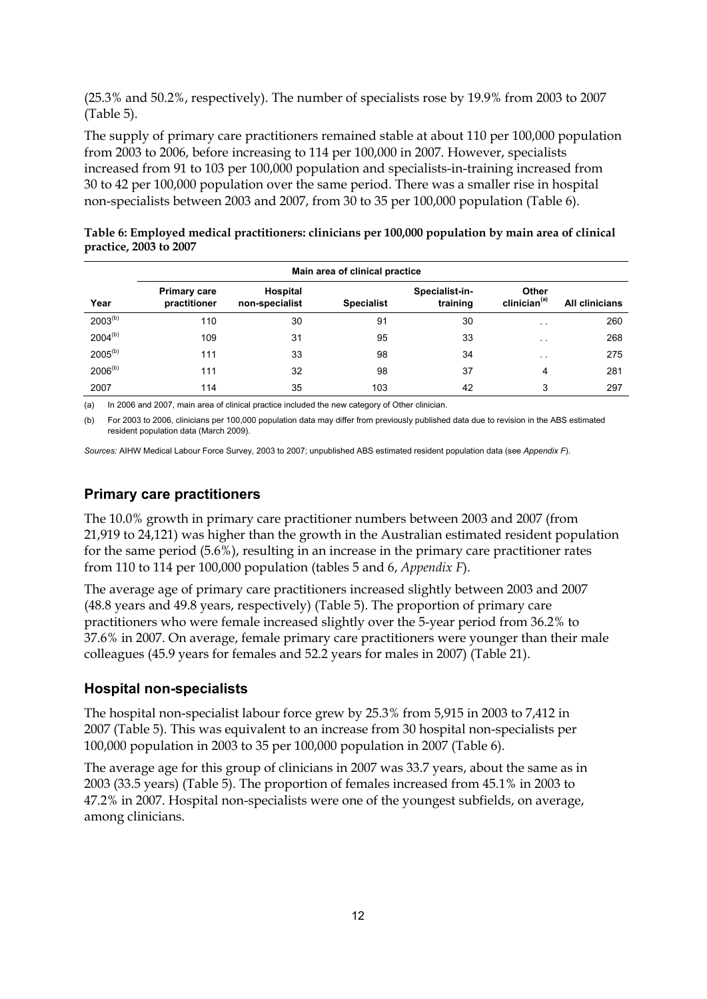(25.3% and 50.2%, respectively). The number of specialists rose by 19.9% from 2003 to 2007 (Table 5).

The supply of primary care practitioners remained stable at about 110 per 100,000 population from 2003 to 2006, before increasing to 114 per 100,000 in 2007. However, specialists increased from 91 to 103 per 100,000 population and specialists-in-training increased from 30 to 42 per 100,000 population over the same period. There was a smaller rise in hospital non-specialists between 2003 and 2007, from 30 to 35 per 100,000 population (Table 6).

| Table 6: Employed medical practitioners: clinicians per 100,000 population by main area of clinical |  |  |  |
|-----------------------------------------------------------------------------------------------------|--|--|--|
| practice, 2003 to 2007                                                                              |  |  |  |

|              | Main area of clinical practice      |                            |                   |                            |                                          |                       |  |  |  |  |
|--------------|-------------------------------------|----------------------------|-------------------|----------------------------|------------------------------------------|-----------------------|--|--|--|--|
| Year         | <b>Primary care</b><br>practitioner | Hospital<br>non-specialist | <b>Specialist</b> | Specialist-in-<br>training | <b>Other</b><br>clinician <sup>(a)</sup> | <b>All clinicians</b> |  |  |  |  |
| $2003^{(b)}$ | 110                                 | 30                         | 91                | 30                         | $\sim$ $\sim$                            | 260                   |  |  |  |  |
| $2004^{(b)}$ | 109                                 | 31                         | 95                | 33                         | $\sim$ $\sim$                            | 268                   |  |  |  |  |
| $2005^{(b)}$ | 111                                 | 33                         | 98                | 34                         | $\sim$ $-$                               | 275                   |  |  |  |  |
| $2006^{(b)}$ | 111                                 | 32                         | 98                | 37                         | 4                                        | 281                   |  |  |  |  |
| 2007         | 114                                 | 35                         | 103               | 42                         | 3                                        | 297                   |  |  |  |  |

(a) In 2006 and 2007, main area of clinical practice included the new category of Other clinician.

(b) For 2003 to 2006, clinicians per 100,000 population data may differ from previously published data due to revision in the ABS estimated resident population data (March 2009).

*Sources:* AIHW Medical Labour Force Survey, 2003 to 2007; unpublished ABS estimated resident population data (see *Appendix F*).

#### **Primary care practitioners**

The 10.0% growth in primary care practitioner numbers between 2003 and 2007 (from 21,919 to 24,121) was higher than the growth in the Australian estimated resident population for the same period (5.6%), resulting in an increase in the primary care practitioner rates from 110 to 114 per 100,000 population (tables 5 and 6, *Appendix F*).

The average age of primary care practitioners increased slightly between 2003 and 2007 (48.8 years and 49.8 years, respectively) (Table 5). The proportion of primary care practitioners who were female increased slightly over the 5-year period from 36.2% to 37.6% in 2007. On average, female primary care practitioners were younger than their male colleagues (45.9 years for females and 52.2 years for males in 2007) (Table 21).

#### **Hospital non-specialists**

The hospital non-specialist labour force grew by 25.3% from 5,915 in 2003 to 7,412 in 2007 (Table 5). This was equivalent to an increase from 30 hospital non-specialists per 100,000 population in 2003 to 35 per 100,000 population in 2007 (Table 6).

The average age for this group of clinicians in 2007 was 33.7 years, about the same as in 2003 (33.5 years) (Table 5). The proportion of females increased from 45.1% in 2003 to 47.2% in 2007. Hospital non-specialists were one of the youngest subfields, on average, among clinicians.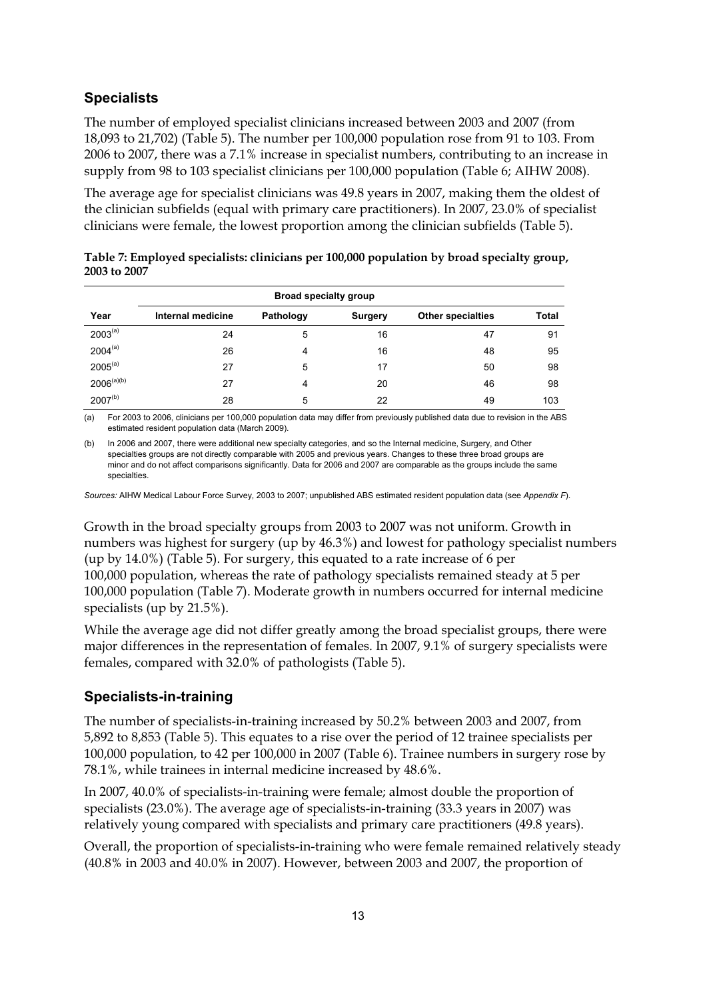#### **Specialists**

The number of employed specialist clinicians increased between 2003 and 2007 (from 18,093 to 21,702) (Table 5). The number per 100,000 population rose from 91 to 103. From 2006 to 2007, there was a 7.1% increase in specialist numbers, contributing to an increase in supply from 98 to 103 specialist clinicians per 100,000 population (Table 6; AIHW 2008).

The average age for specialist clinicians was 49.8 years in 2007, making them the oldest of the clinician subfields (equal with primary care practitioners). In 2007, 23.0% of specialist clinicians were female, the lowest proportion among the clinician subfields (Table 5).

| Table 7: Employed specialists: clinicians per 100,000 population by broad specialty group, |  |
|--------------------------------------------------------------------------------------------|--|
| 2003 to 2007                                                                               |  |

| <b>Broad specialty group</b> |                   |           |                |                          |              |  |  |  |
|------------------------------|-------------------|-----------|----------------|--------------------------|--------------|--|--|--|
| Year                         | Internal medicine | Pathology | <b>Surgery</b> | <b>Other specialties</b> | <b>Total</b> |  |  |  |
| $2003^{(a)}$                 | 24                | 5         | 16             | 47                       | 91           |  |  |  |
| $2004^{(a)}$                 | 26                | 4         | 16             | 48                       | 95           |  |  |  |
| $2005^{(a)}$                 | 27                | 5         | 17             | 50                       | 98           |  |  |  |
| $2006^{(a)(b)}$              | 27                | 4         | 20             | 46                       | 98           |  |  |  |
| $2007^{(b)}$                 | 28                | 5         | 22             | 49                       | 103          |  |  |  |

(a) For 2003 to 2006, clinicians per 100,000 population data may differ from previously published data due to revision in the ABS estimated resident population data (March 2009).

(b) In 2006 and 2007, there were additional new specialty categories, and so the Internal medicine, Surgery, and Other specialties groups are not directly comparable with 2005 and previous years. Changes to these three broad groups are minor and do not affect comparisons significantly. Data for 2006 and 2007 are comparable as the groups include the same specialties.

*Sources:* AIHW Medical Labour Force Survey, 2003 to 2007; unpublished ABS estimated resident population data (see *Appendix F*).

Growth in the broad specialty groups from 2003 to 2007 was not uniform. Growth in numbers was highest for surgery (up by 46.3%) and lowest for pathology specialist numbers (up by 14.0%) (Table 5). For surgery, this equated to a rate increase of 6 per 100,000 population, whereas the rate of pathology specialists remained steady at 5 per 100,000 population (Table 7). Moderate growth in numbers occurred for internal medicine specialists (up by 21.5%).

While the average age did not differ greatly among the broad specialist groups, there were major differences in the representation of females. In 2007, 9.1% of surgery specialists were females, compared with 32.0% of pathologists (Table 5).

#### **Specialists-in-training**

The number of specialists-in-training increased by 50.2% between 2003 and 2007, from 5,892 to 8,853 (Table 5). This equates to a rise over the period of 12 trainee specialists per 100,000 population, to 42 per 100,000 in 2007 (Table 6). Trainee numbers in surgery rose by 78.1%, while trainees in internal medicine increased by 48.6%.

In 2007, 40.0% of specialists-in-training were female; almost double the proportion of specialists (23.0%). The average age of specialists-in-training (33.3 years in 2007) was relatively young compared with specialists and primary care practitioners (49.8 years).

Overall, the proportion of specialists-in-training who were female remained relatively steady (40.8% in 2003 and 40.0% in 2007). However, between 2003 and 2007, the proportion of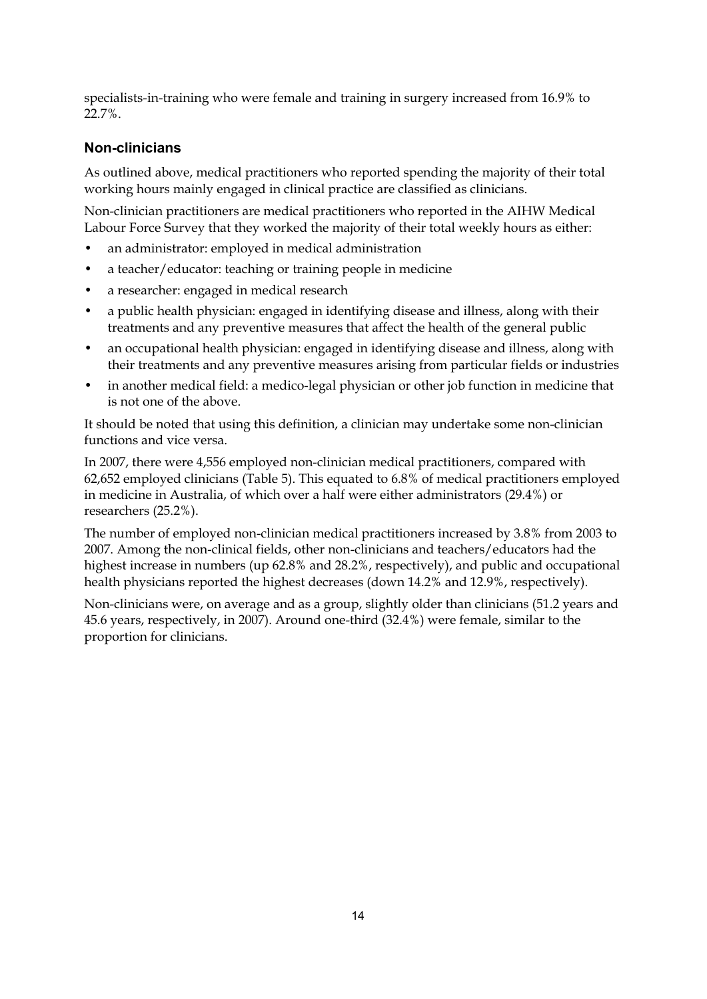specialists-in-training who were female and training in surgery increased from 16.9% to 22.7%.

#### **Non-clinicians**

As outlined above, medical practitioners who reported spending the majority of their total working hours mainly engaged in clinical practice are classified as clinicians.

Non-clinician practitioners are medical practitioners who reported in the AIHW Medical Labour Force Survey that they worked the majority of their total weekly hours as either:

- an administrator: employed in medical administration
- a teacher/educator: teaching or training people in medicine
- a researcher: engaged in medical research
- a public health physician: engaged in identifying disease and illness, along with their treatments and any preventive measures that affect the health of the general public
- an occupational health physician: engaged in identifying disease and illness, along with their treatments and any preventive measures arising from particular fields or industries
- in another medical field: a medico-legal physician or other job function in medicine that is not one of the above.

It should be noted that using this definition, a clinician may undertake some non-clinician functions and vice versa.

In 2007, there were 4,556 employed non-clinician medical practitioners, compared with 62,652 employed clinicians (Table 5). This equated to 6.8% of medical practitioners employed in medicine in Australia, of which over a half were either administrators (29.4%) or researchers (25.2%).

The number of employed non-clinician medical practitioners increased by 3.8% from 2003 to 2007. Among the non-clinical fields, other non-clinicians and teachers/educators had the highest increase in numbers (up 62.8% and 28.2%, respectively), and public and occupational health physicians reported the highest decreases (down 14.2% and 12.9%, respectively).

Non-clinicians were, on average and as a group, slightly older than clinicians (51.2 years and 45.6 years, respectively, in 2007). Around one-third (32.4%) were female, similar to the proportion for clinicians.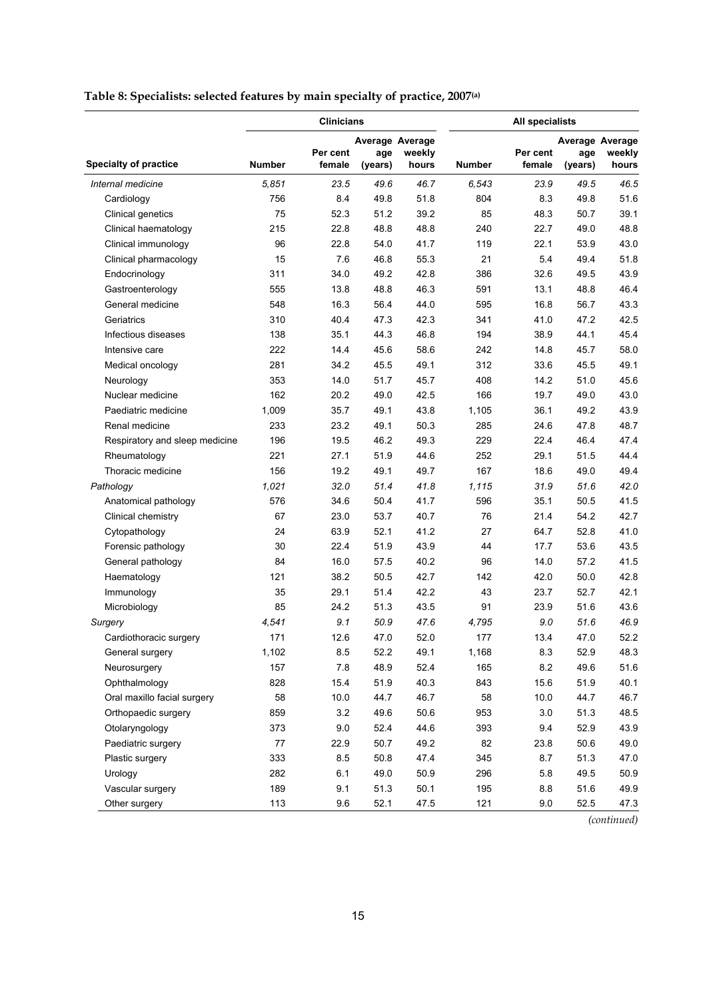#### **Table 8: Specialists: selected features by main specialty of practice, 2007(a)**

|                                | <b>Clinicians</b> |                    |                                   |                 | <b>All specialists</b> |                    |                |                                    |
|--------------------------------|-------------------|--------------------|-----------------------------------|-----------------|------------------------|--------------------|----------------|------------------------------------|
| <b>Specialty of practice</b>   | <b>Number</b>     | Per cent<br>female | Average Average<br>age<br>(years) | weekly<br>hours | <b>Number</b>          | Per cent<br>female | age<br>(years) | Average Average<br>weekly<br>hours |
| Internal medicine              | 5,851             | 23.5               | 49.6                              | 46.7            | 6,543                  | 23.9               | 49.5           | 46.5                               |
| Cardiology                     | 756               | 8.4                | 49.8                              | 51.8            | 804                    | 8.3                | 49.8           | 51.6                               |
| Clinical genetics              | 75                | 52.3               | 51.2                              | 39.2            | 85                     | 48.3               | 50.7           | 39.1                               |
| Clinical haematology           | 215               | 22.8               | 48.8                              | 48.8            | 240                    | 22.7               | 49.0           | 48.8                               |
| Clinical immunology            | 96                | 22.8               | 54.0                              | 41.7            | 119                    | 22.1               | 53.9           | 43.0                               |
| Clinical pharmacology          | 15                | 7.6                | 46.8                              | 55.3            | 21                     | 5.4                | 49.4           | 51.8                               |
| Endocrinology                  | 311               | 34.0               | 49.2                              | 42.8            | 386                    | 32.6               | 49.5           | 43.9                               |
| Gastroenterology               | 555               | 13.8               | 48.8                              | 46.3            | 591                    | 13.1               | 48.8           | 46.4                               |
| General medicine               | 548               | 16.3               | 56.4                              | 44.0            | 595                    | 16.8               | 56.7           | 43.3                               |
| Geriatrics                     | 310               | 40.4               | 47.3                              | 42.3            | 341                    | 41.0               | 47.2           | 42.5                               |
| Infectious diseases            | 138               | 35.1               | 44.3                              | 46.8            | 194                    | 38.9               | 44.1           | 45.4                               |
| Intensive care                 | 222               | 14.4               | 45.6                              | 58.6            | 242                    | 14.8               | 45.7           | 58.0                               |
| Medical oncology               | 281               | 34.2               | 45.5                              | 49.1            | 312                    | 33.6               | 45.5           | 49.1                               |
| Neurology                      | 353               | 14.0               | 51.7                              | 45.7            | 408                    | 14.2               | 51.0           | 45.6                               |
| Nuclear medicine               | 162               | 20.2               | 49.0                              | 42.5            | 166                    | 19.7               | 49.0           | 43.0                               |
| Paediatric medicine            | 1,009             | 35.7               | 49.1                              | 43.8            | 1,105                  | 36.1               | 49.2           | 43.9                               |
| Renal medicine                 | 233               | 23.2               | 49.1                              | 50.3            | 285                    | 24.6               | 47.8           | 48.7                               |
| Respiratory and sleep medicine | 196               | 19.5               | 46.2                              | 49.3            | 229                    | 22.4               | 46.4           | 47.4                               |
| Rheumatology                   | 221               | 27.1               | 51.9                              | 44.6            | 252                    | 29.1               | 51.5           | 44.4                               |
| Thoracic medicine              | 156               | 19.2               | 49.1                              | 49.7            | 167                    | 18.6               | 49.0           | 49.4                               |
| Pathology                      | 1,021             | 32.0               | 51.4                              | 41.8            | 1,115                  | 31.9               | 51.6           | 42.0                               |
| Anatomical pathology           | 576               | 34.6               | 50.4                              | 41.7            | 596                    | 35.1               | 50.5           | 41.5                               |
| Clinical chemistry             | 67                | 23.0               | 53.7                              | 40.7            | 76                     | 21.4               | 54.2           | 42.7                               |
| Cytopathology                  | 24                | 63.9               | 52.1                              | 41.2            | 27                     | 64.7               | 52.8           | 41.0                               |
| Forensic pathology             | 30                | 22.4               | 51.9                              | 43.9            | 44                     | 17.7               | 53.6           | 43.5                               |
| General pathology              | 84                | 16.0               | 57.5                              | 40.2            | 96                     | 14.0               | 57.2           | 41.5                               |
| Haematology                    | 121               | 38.2               | 50.5                              | 42.7            | 142                    | 42.0               | 50.0           | 42.8                               |
| Immunology                     | 35                | 29.1               | 51.4                              | 42.2            | 43                     | 23.7               | 52.7           | 42.1                               |
| Microbiology                   | 85                | 24.2               | 51.3                              | 43.5            | 91                     | 23.9               | 51.6           | 43.6                               |
| Surgery                        | 4,541             | 9.1                | 50.9                              | 47.6            | 4,795                  | 9.0                | 51.6           | 46.9                               |
| Cardiothoracic surgery         | 171               | 12.6               | 47.0                              | 52.0            | 177                    | 13.4               | 47.0           | 52.2                               |
| General surgery                | 1,102             | 8.5                | 52.2                              | 49.1            | 1,168                  | 8.3                | 52.9           | 48.3                               |
| Neurosurgery                   | 157               | 7.8                | 48.9                              | 52.4            | 165                    | 8.2                | 49.6           | 51.6                               |
| Ophthalmology                  | 828               | 15.4               | 51.9                              | 40.3            | 843                    | 15.6               | 51.9           | 40.1                               |
| Oral maxillo facial surgery    | 58                | 10.0               | 44.7                              | 46.7            | 58                     | 10.0               | 44.7           | 46.7                               |
| Orthopaedic surgery            | 859               | 3.2                | 49.6                              | 50.6            | 953                    | $3.0\,$            | 51.3           | 48.5                               |
| Otolaryngology                 | 373               | 9.0                | 52.4                              | 44.6            | 393                    | 9.4                | 52.9           | 43.9                               |
| Paediatric surgery             | 77                | 22.9               | 50.7                              | 49.2            | 82                     | 23.8               | 50.6           | 49.0                               |
| Plastic surgery                | 333               | 8.5                | 50.8                              | 47.4            | 345                    | 8.7                | 51.3           | 47.0                               |
| Urology                        | 282               | 6.1                | 49.0                              | 50.9            | 296                    | 5.8                | 49.5           | 50.9                               |
| Vascular surgery               | 189               | 9.1                | 51.3                              | 50.1            | 195                    | 8.8                | 51.6           | 49.9                               |
| Other surgery                  | 113               | 9.6                | 52.1                              | 47.5            | 121                    | 9.0                | 52.5           | 47.3                               |

*(continued)*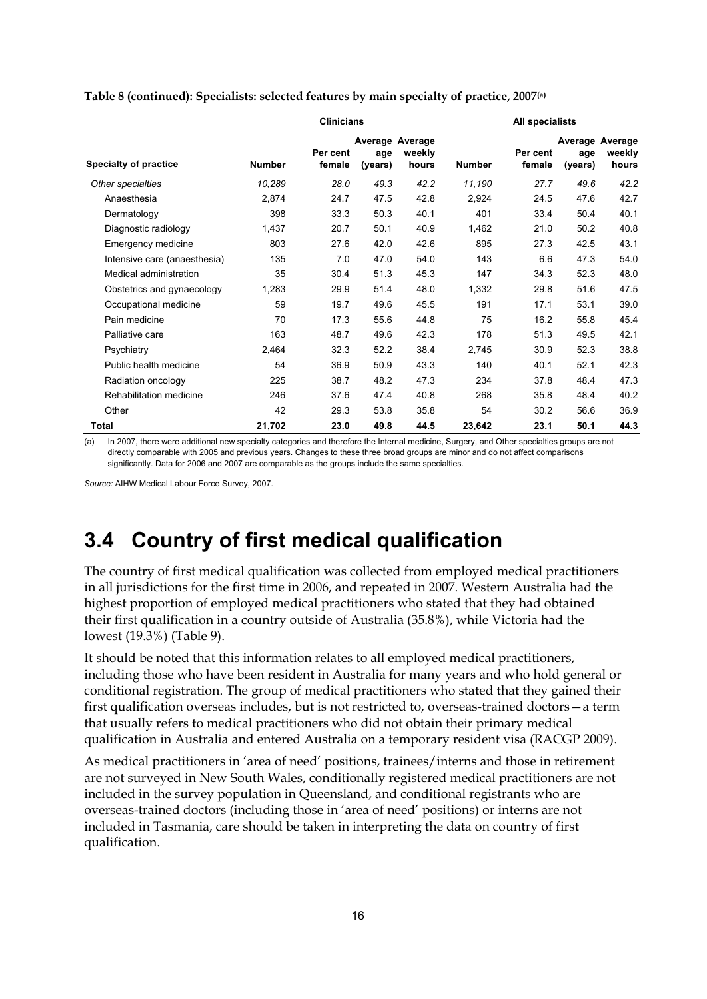|                              |               | <b>Clinicians</b>  |                                   |                 |               | All specialists    |                |                                    |  |
|------------------------------|---------------|--------------------|-----------------------------------|-----------------|---------------|--------------------|----------------|------------------------------------|--|
| <b>Specialty of practice</b> | <b>Number</b> | Per cent<br>female | Average Average<br>age<br>(years) | weekly<br>hours | <b>Number</b> | Per cent<br>female | age<br>(years) | Average Average<br>weekly<br>hours |  |
| Other specialties            | 10,289        | 28.0               | 49.3                              | 42.2            | 11,190        | 27.7               | 49.6           | 42.2                               |  |
| Anaesthesia                  | 2,874         | 24.7               | 47.5                              | 42.8            | 2,924         | 24.5               | 47.6           | 42.7                               |  |
| Dermatology                  | 398           | 33.3               | 50.3                              | 40.1            | 401           | 33.4               | 50.4           | 40.1                               |  |
| Diagnostic radiology         | 1,437         | 20.7               | 50.1                              | 40.9            | 1,462         | 21.0               | 50.2           | 40.8                               |  |
| Emergency medicine           | 803           | 27.6               | 42.0                              | 42.6            | 895           | 27.3               | 42.5           | 43.1                               |  |
| Intensive care (anaesthesia) | 135           | 7.0                | 47.0                              | 54.0            | 143           | 6.6                | 47.3           | 54.0                               |  |
| Medical administration       | 35            | 30.4               | 51.3                              | 45.3            | 147           | 34.3               | 52.3           | 48.0                               |  |
| Obstetrics and gynaecology   | 1,283         | 29.9               | 51.4                              | 48.0            | 1,332         | 29.8               | 51.6           | 47.5                               |  |
| Occupational medicine        | 59            | 19.7               | 49.6                              | 45.5            | 191           | 17.1               | 53.1           | 39.0                               |  |
| Pain medicine                | 70            | 17.3               | 55.6                              | 44.8            | 75            | 16.2               | 55.8           | 45.4                               |  |
| Palliative care              | 163           | 48.7               | 49.6                              | 42.3            | 178           | 51.3               | 49.5           | 42.1                               |  |
| Psychiatry                   | 2,464         | 32.3               | 52.2                              | 38.4            | 2,745         | 30.9               | 52.3           | 38.8                               |  |
| Public health medicine       | 54            | 36.9               | 50.9                              | 43.3            | 140           | 40.1               | 52.1           | 42.3                               |  |
| Radiation oncology           | 225           | 38.7               | 48.2                              | 47.3            | 234           | 37.8               | 48.4           | 47.3                               |  |
| Rehabilitation medicine      | 246           | 37.6               | 47.4                              | 40.8            | 268           | 35.8               | 48.4           | 40.2                               |  |
| Other                        | 42            | 29.3               | 53.8                              | 35.8            | 54            | 30.2               | 56.6           | 36.9                               |  |
| Total                        | 21,702        | 23.0               | 49.8                              | 44.5            | 23,642        | 23.1               | 50.1           | 44.3                               |  |

**Table 8 (continued): Specialists: selected features by main specialty of practice, 2007(a)** 

(a) In 2007, there were additional new specialty categories and therefore the Internal medicine, Surgery, and Other specialties groups are not directly comparable with 2005 and previous years. Changes to these three broad groups are minor and do not affect comparisons significantly. Data for 2006 and 2007 are comparable as the groups include the same specialties.

*Source:* AIHW Medical Labour Force Survey, 2007.

### <span id="page-21-0"></span>**3.4 Country of first medical qualification**

The country of first medical qualification was collected from employed medical practitioners in all jurisdictions for the first time in 2006, and repeated in 2007. Western Australia had the highest proportion of employed medical practitioners who stated that they had obtained their first qualification in a country outside of Australia (35.8%), while Victoria had the lowest (19.3%) (Table 9).

It should be noted that this information relates to all employed medical practitioners, including those who have been resident in Australia for many years and who hold general or conditional registration. The group of medical practitioners who stated that they gained their first qualification overseas includes, but is not restricted to, overseas-trained doctors—a term that usually refers to medical practitioners who did not obtain their primary medical qualification in Australia and entered Australia on a temporary resident visa (RACGP 2009).

As medical practitioners in 'area of need' positions, trainees/interns and those in retirement are not surveyed in New South Wales, conditionally registered medical practitioners are not included in the survey population in Queensland, and conditional registrants who are overseas-trained doctors (including those in 'area of need' positions) or interns are not included in Tasmania, care should be taken in interpreting the data on country of first qualification.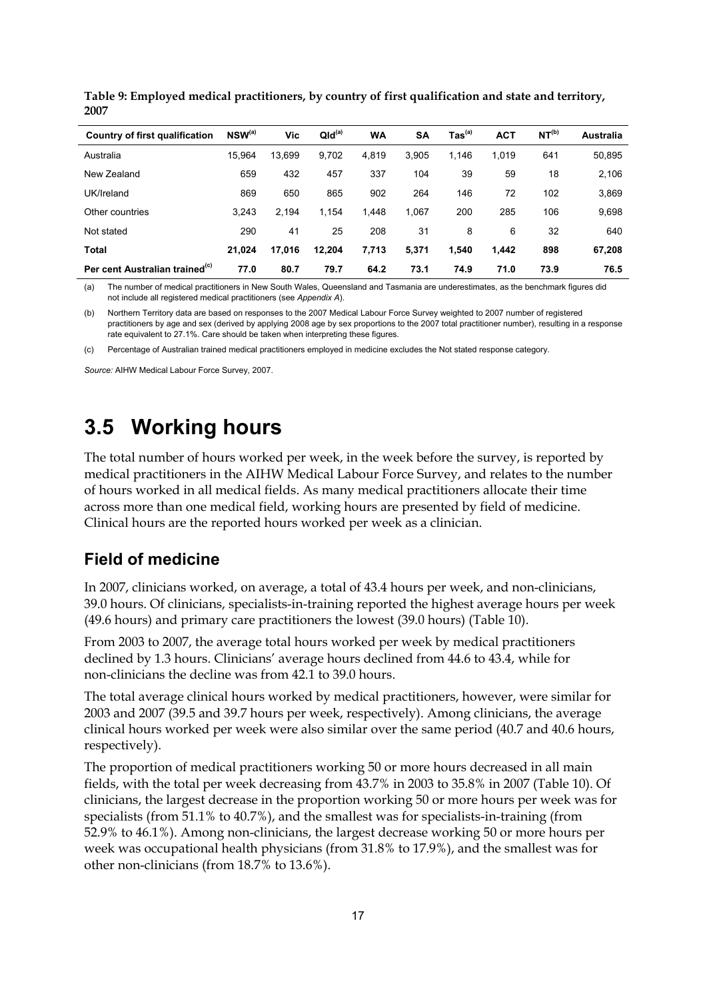| Country of first qualification             | NSW <sup>(a)</sup> | Vic    | QId <sup>(a)</sup> | <b>WA</b> | <b>SA</b> | $\mathsf{ Tas}^\mathsf{(a)}$ | <b>ACT</b> | NT <sup>(b)</sup> | Australia |
|--------------------------------------------|--------------------|--------|--------------------|-----------|-----------|------------------------------|------------|-------------------|-----------|
| Australia                                  | 15.964             | 13.699 | 9.702              | 4,819     | 3,905     | 1.146                        | 1,019      | 641               | 50,895    |
| New Zealand                                | 659                | 432    | 457                | 337       | 104       | 39                           | 59         | 18                | 2,106     |
| UK/Ireland                                 | 869                | 650    | 865                | 902       | 264       | 146                          | 72         | 102               | 3,869     |
| Other countries                            | 3.243              | 2.194  | 1.154              | 1,448     | 1,067     | 200                          | 285        | 106               | 9,698     |
| Not stated                                 | 290                | 41     | 25                 | 208       | 31        | 8                            | 6          | 32                | 640       |
| <b>Total</b>                               | 21,024             | 17,016 | 12,204             | 7,713     | 5,371     | 1,540                        | 1,442      | 898               | 67,208    |
| Per cent Australian trained <sup>(c)</sup> | 77.0               | 80.7   | 79.7               | 64.2      | 73.1      | 74.9                         | 71.0       | 73.9              | 76.5      |

**Table 9: Employed medical practitioners, by country of first qualification and state and territory, 2007** 

(a) The number of medical practitioners in New South Wales, Queensland and Tasmania are underestimates, as the benchmark figures did not include all registered medical practitioners (see *Appendix A*).

(b) Northern Territory data are based on responses to the 2007 Medical Labour Force Survey weighted to 2007 number of registered practitioners by age and sex (derived by applying 2008 age by sex proportions to the 2007 total practitioner number), resulting in a response rate equivalent to 27.1%. Care should be taken when interpreting these figures.

(c) Percentage of Australian trained medical practitioners employed in medicine excludes the Not stated response category.

*Source:* AIHW Medical Labour Force Survey, 2007.

## <span id="page-22-0"></span>**3.5 Working hours**

The total number of hours worked per week, in the week before the survey, is reported by medical practitioners in the AIHW Medical Labour Force Survey, and relates to the number of hours worked in all medical fields. As many medical practitioners allocate their time across more than one medical field, working hours are presented by field of medicine. Clinical hours are the reported hours worked per week as a clinician.

#### **Field of medicine**

In 2007, clinicians worked, on average, a total of 43.4 hours per week, and non-clinicians, 39.0 hours. Of clinicians, specialists-in-training reported the highest average hours per week (49.6 hours) and primary care practitioners the lowest (39.0 hours) (Table 10).

From 2003 to 2007, the average total hours worked per week by medical practitioners declined by 1.3 hours. Clinicians' average hours declined from 44.6 to 43.4, while for non-clinicians the decline was from 42.1 to 39.0 hours.

The total average clinical hours worked by medical practitioners, however, were similar for 2003 and 2007 (39.5 and 39.7 hours per week, respectively). Among clinicians, the average clinical hours worked per week were also similar over the same period (40.7 and 40.6 hours, respectively).

The proportion of medical practitioners working 50 or more hours decreased in all main fields, with the total per week decreasing from 43.7% in 2003 to 35.8% in 2007 (Table 10). Of clinicians, the largest decrease in the proportion working 50 or more hours per week was for specialists (from 51.1% to 40.7%), and the smallest was for specialists-in-training (from 52.9% to 46.1%). Among non-clinicians, the largest decrease working 50 or more hours per week was occupational health physicians (from 31.8% to 17.9%), and the smallest was for other non-clinicians (from 18.7% to 13.6%).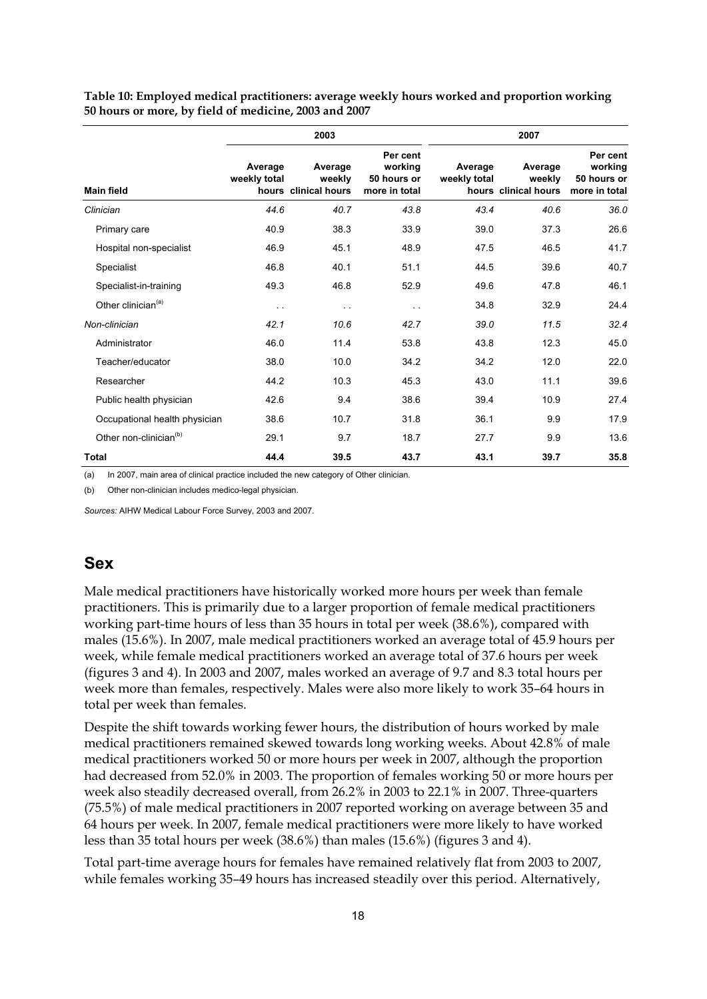|                                    | 2003                    |                                           |                                                     | 2007                    |                                           |                                                     |  |
|------------------------------------|-------------------------|-------------------------------------------|-----------------------------------------------------|-------------------------|-------------------------------------------|-----------------------------------------------------|--|
| <b>Main field</b>                  | Average<br>weekly total | Average<br>weekly<br>hours clinical hours | Per cent<br>working<br>50 hours or<br>more in total | Average<br>weekly total | Average<br>weekly<br>hours clinical hours | Per cent<br>working<br>50 hours or<br>more in total |  |
| Clinician                          | 44.6                    | 40.7                                      | 43.8                                                | 43.4                    | 40.6                                      | 36.0                                                |  |
| Primary care                       | 40.9                    | 38.3                                      | 33.9                                                | 39.0                    | 37.3                                      | 26.6                                                |  |
| Hospital non-specialist            | 46.9                    | 45.1                                      | 48.9                                                | 47.5                    | 46.5                                      | 41.7                                                |  |
| Specialist                         | 46.8                    | 40.1                                      | 51.1                                                | 44.5                    | 39.6                                      | 40.7                                                |  |
| Specialist-in-training             | 49.3                    | 46.8                                      | 52.9                                                | 49.6                    | 47.8                                      | 46.1                                                |  |
| Other clinician <sup>(a)</sup>     | $\ddotsc$               | $\sim$ $\sim$                             | $\ddot{\phantom{1}}$                                | 34.8                    | 32.9                                      | 24.4                                                |  |
| Non-clinician                      | 42.1                    | 10.6                                      | 42.7                                                | 39.0                    | 11.5                                      | 32.4                                                |  |
| Administrator                      | 46.0                    | 11.4                                      | 53.8                                                | 43.8                    | 12.3                                      | 45.0                                                |  |
| Teacher/educator                   | 38.0                    | 10.0                                      | 34.2                                                | 34.2                    | 12.0                                      | 22.0                                                |  |
| Researcher                         | 44.2                    | 10.3                                      | 45.3                                                | 43.0                    | 11.1                                      | 39.6                                                |  |
| Public health physician            | 42.6                    | 9.4                                       | 38.6                                                | 39.4                    | 10.9                                      | 27.4                                                |  |
| Occupational health physician      | 38.6                    | 10.7                                      | 31.8                                                | 36.1                    | 9.9                                       | 17.9                                                |  |
| Other non-clinician <sup>(b)</sup> | 29.1                    | 9.7                                       | 18.7                                                | 27.7                    | 9.9                                       | 13.6                                                |  |
| <b>Total</b>                       | 44.4                    | 39.5                                      | 43.7                                                | 43.1                    | 39.7                                      | 35.8                                                |  |

**Table 10: Employed medical practitioners: average weekly hours worked and proportion working 50 hours or more, by field of medicine, 2003 and 2007** 

(a) In 2007, main area of clinical practice included the new category of Other clinician.

(b) Other non-clinician includes medico-legal physician.

*Sources:* AIHW Medical Labour Force Survey, 2003 and 2007.

#### **Sex**

Male medical practitioners have historically worked more hours per week than female practitioners. This is primarily due to a larger proportion of female medical practitioners working part-time hours of less than 35 hours in total per week (38.6%), compared with males (15.6%). In 2007, male medical practitioners worked an average total of 45.9 hours per week, while female medical practitioners worked an average total of 37.6 hours per week (figures 3 and 4). In 2003 and 2007, males worked an average of 9.7 and 8.3 total hours per week more than females, respectively. Males were also more likely to work 35–64 hours in total per week than females.

Despite the shift towards working fewer hours, the distribution of hours worked by male medical practitioners remained skewed towards long working weeks. About 42.8% of male medical practitioners worked 50 or more hours per week in 2007, although the proportion had decreased from 52.0% in 2003. The proportion of females working 50 or more hours per week also steadily decreased overall, from 26.2% in 2003 to 22.1% in 2007. Three-quarters (75.5%) of male medical practitioners in 2007 reported working on average between 35 and 64 hours per week. In 2007, female medical practitioners were more likely to have worked less than 35 total hours per week (38.6%) than males (15.6%) (figures 3 and 4).

Total part-time average hours for females have remained relatively flat from 2003 to 2007, while females working 35–49 hours has increased steadily over this period. Alternatively,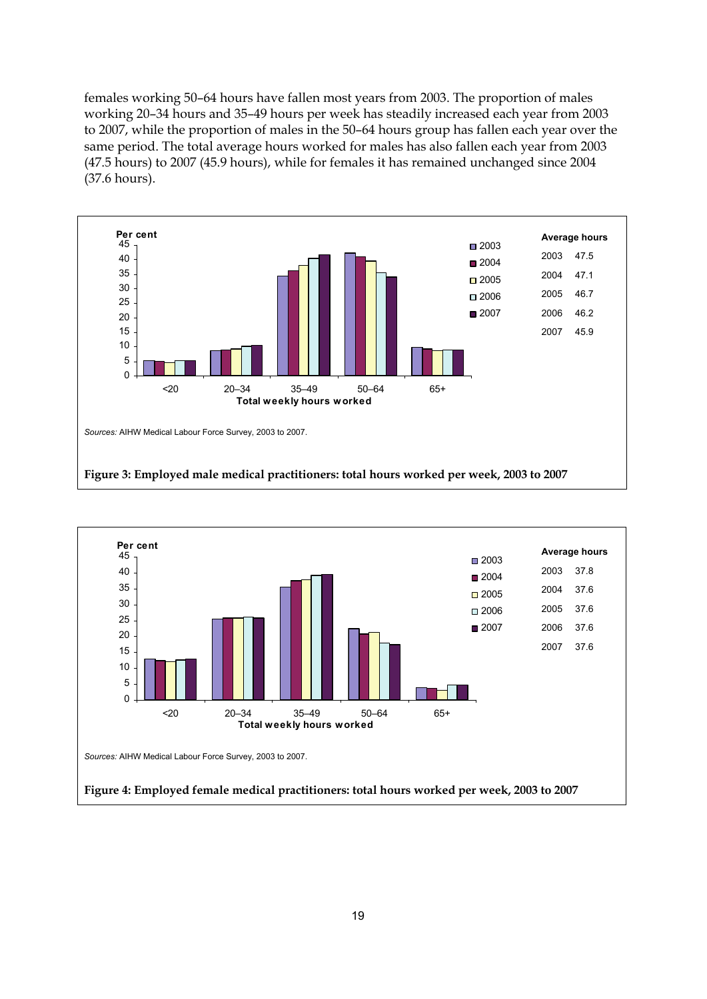females working 50–64 hours have fallen most years from 2003. The proportion of males working 20–34 hours and 35–49 hours per week has steadily increased each year from 2003 to 2007, while the proportion of males in the 50–64 hours group has fallen each year over the same period. The total average hours worked for males has also fallen each year from 2003 (47.5 hours) to 2007 (45.9 hours), while for females it has remained unchanged since 2004 (37.6 hours).



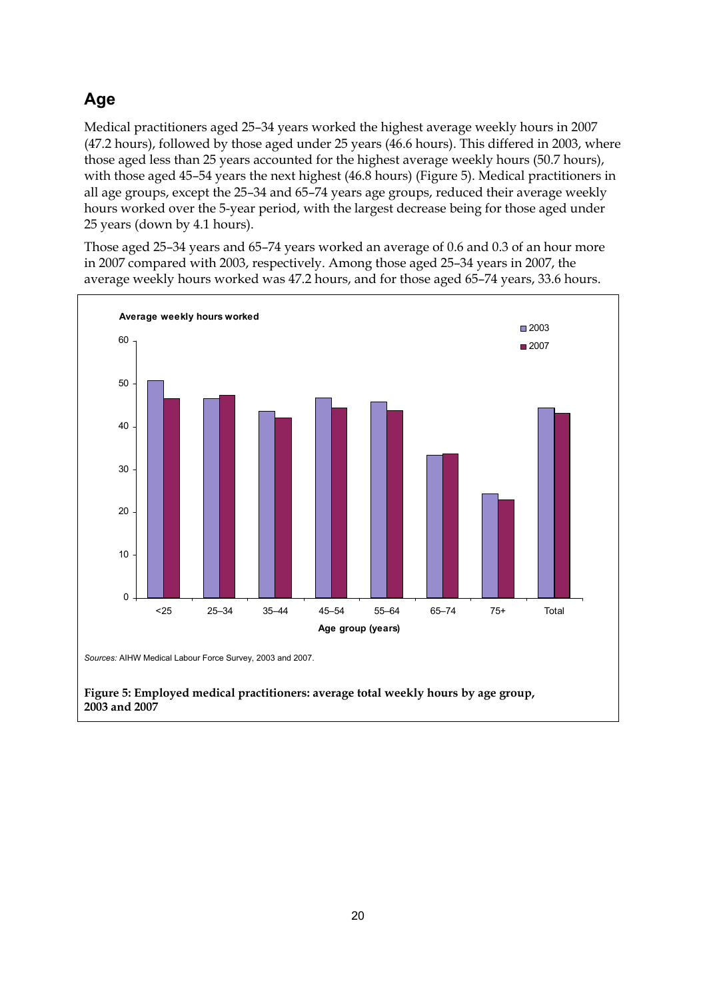### **Age**

Medical practitioners aged 25–34 years worked the highest average weekly hours in 2007 (47.2 hours), followed by those aged under 25 years (46.6 hours). This differed in 2003, where those aged less than 25 years accounted for the highest average weekly hours (50.7 hours), with those aged 45–54 years the next highest (46.8 hours) (Figure 5). Medical practitioners in all age groups, except the 25–34 and 65–74 years age groups, reduced their average weekly hours worked over the 5-year period, with the largest decrease being for those aged under 25 years (down by 4.1 hours).

Those aged 25–34 years and 65–74 years worked an average of 0.6 and 0.3 of an hour more in 2007 compared with 2003, respectively. Among those aged 25–34 years in 2007, the average weekly hours worked was 47.2 hours, and for those aged 65–74 years, 33.6 hours.

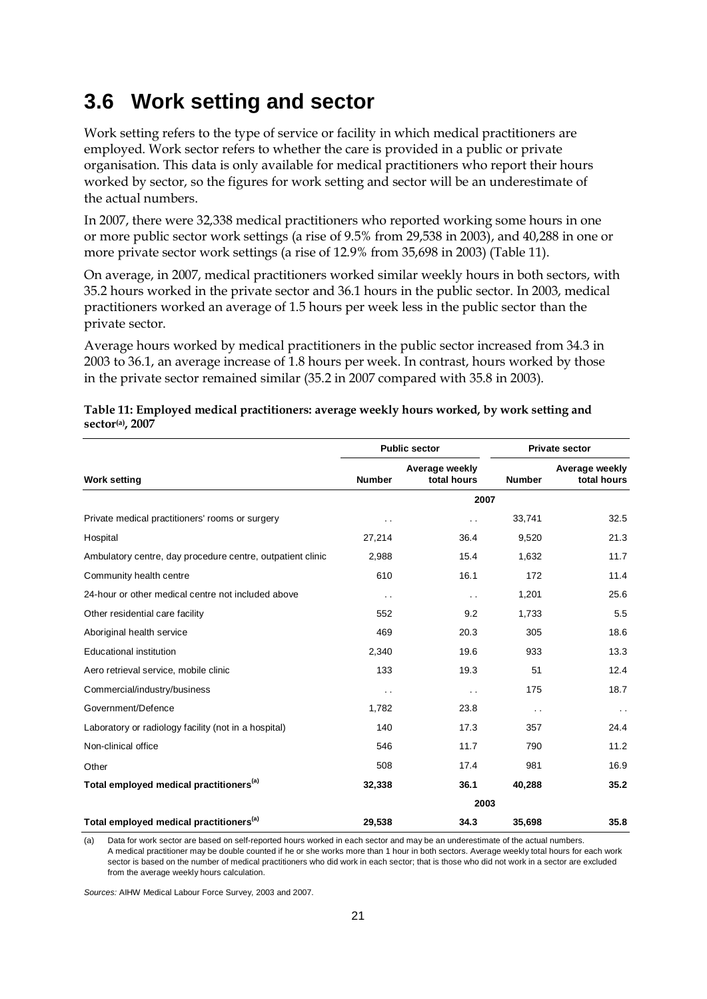### <span id="page-26-0"></span>**3.6 Work setting and sector**

Work setting refers to the type of service or facility in which medical practitioners are employed. Work sector refers to whether the care is provided in a public or private organisation. This data is only available for medical practitioners who report their hours worked by sector, so the figures for work setting and sector will be an underestimate of the actual numbers.

In 2007, there were 32,338 medical practitioners who reported working some hours in one or more public sector work settings (a rise of 9.5% from 29,538 in 2003), and 40,288 in one or more private sector work settings (a rise of 12.9% from 35,698 in 2003) (Table 11).

On average, in 2007, medical practitioners worked similar weekly hours in both sectors, with 35.2 hours worked in the private sector and 36.1 hours in the public sector. In 2003, medical practitioners worked an average of 1.5 hours per week less in the public sector than the private sector.

Average hours worked by medical practitioners in the public sector increased from 34.3 in 2003 to 36.1, an average increase of 1.8 hours per week. In contrast, hours worked by those in the private sector remained similar (35.2 in 2007 compared with 35.8 in 2003).

|                                                            |               | <b>Public sector</b>          | <b>Private sector</b> |                               |  |
|------------------------------------------------------------|---------------|-------------------------------|-----------------------|-------------------------------|--|
| <b>Work setting</b>                                        | <b>Number</b> | Average weekly<br>total hours | <b>Number</b>         | Average weekly<br>total hours |  |
|                                                            |               | 2007                          |                       |                               |  |
| Private medical practitioners' rooms or surgery            | . .           | $\ddot{\phantom{0}}$          | 33,741                | 32.5                          |  |
| Hospital                                                   | 27,214        | 36.4                          | 9,520                 | 21.3                          |  |
| Ambulatory centre, day procedure centre, outpatient clinic | 2,988         | 15.4                          | 1,632                 | 11.7                          |  |
| Community health centre                                    | 610           | 16.1                          | 172                   | 11.4                          |  |
| 24-hour or other medical centre not included above         | . .           | $\sim$ $\sim$                 | 1,201                 | 25.6                          |  |
| Other residential care facility                            | 552           | 9.2                           | 1,733                 | 5.5                           |  |
| Aboriginal health service                                  | 469           | 20.3                          | 305                   | 18.6                          |  |
| <b>Educational institution</b>                             | 2,340         | 19.6                          | 933                   | 13.3                          |  |
| Aero retrieval service, mobile clinic                      | 133           | 19.3                          | 51                    | 12.4                          |  |
| Commercial/industry/business                               | $\sim$ $\sim$ | $\sim$ $\sim$                 | 175                   | 18.7                          |  |
| Government/Defence                                         | 1,782         | 23.8                          | $\sim$                | $\sim$ $\sim$                 |  |
| Laboratory or radiology facility (not in a hospital)       | 140           | 17.3                          | 357                   | 24.4                          |  |
| Non-clinical office                                        | 546           | 11.7                          | 790                   | 11.2                          |  |
| Other                                                      | 508           | 17.4                          | 981                   | 16.9                          |  |
| Total employed medical practitioners <sup>(a)</sup>        | 32,338        | 36.1                          | 40,288                | 35.2                          |  |
|                                                            |               | 2003                          |                       |                               |  |
| Total employed medical practitioners <sup>(a)</sup>        | 29.538        | 34.3                          | 35,698                | 35.8                          |  |

#### **Table 11: Employed medical practitioners: average weekly hours worked, by work setting and sector(a), 2007**

(a) Data for work sector are based on self-reported hours worked in each sector and may be an underestimate of the actual numbers. A medical practitioner may be double counted if he or she works more than 1 hour in both sectors. Average weekly total hours for each work sector is based on the number of medical practitioners who did work in each sector; that is those who did not work in a sector are excluded from the average weekly hours calculation.

*Sources:* AIHW Medical Labour Force Survey, 2003 and 2007.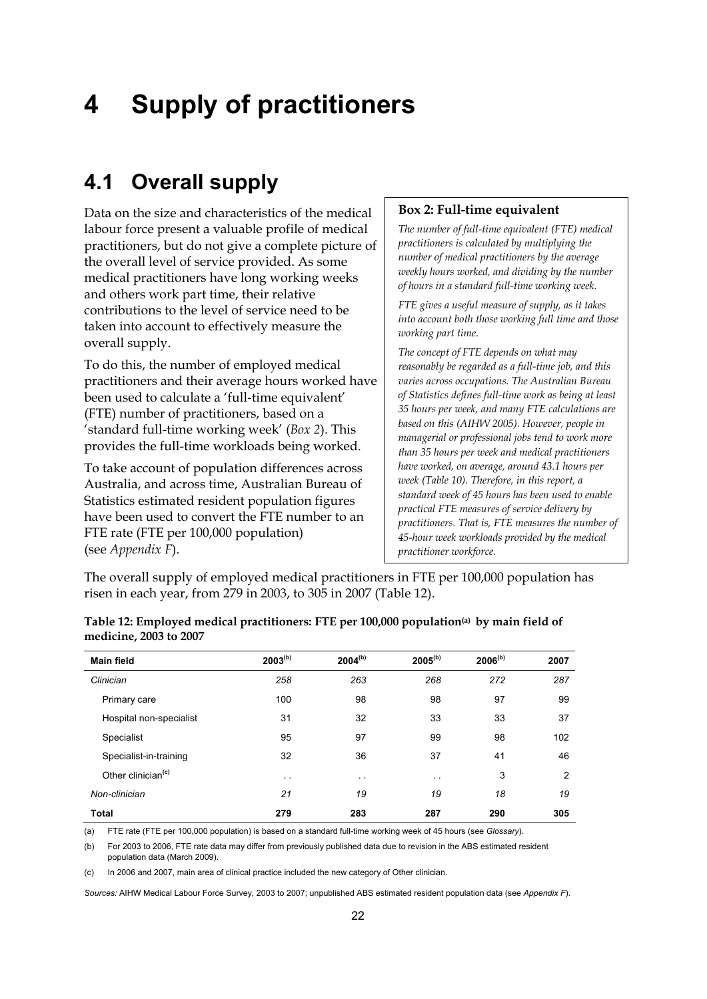# <span id="page-27-0"></span>**4 Supply of practitioners**

### <span id="page-27-1"></span>**4.1 Overall supply**

Data on the size and characteristics of the medical labour force present a valuable profile of medical practitioners, but do not give a complete picture of the overall level of service provided. As some medical practitioners have long working weeks and others work part time, their relative contributions to the level of service need to be taken into account to effectively measure the overall supply.

To do this, the number of employed medical practitioners and their average hours worked have been used to calculate a 'full-time equivalent' (FTE) number of practitioners, based on a 'standard full-time working week' (*Box 2*). This provides the full-time workloads being worked.

To take account of population differences across Australia, and across time, Australian Bureau of Statistics estimated resident population figures have been used to convert the FTE number to an FTE rate (FTE per 100,000 population) (see *Appendix F*).

#### **Box 2: Full-time equivalent**

*The number of full-time equivalent (FTE) medical practitioners is calculated by multiplying the number of medical practitioners by the average weekly hours worked, and dividing by the number of hours in a standard full-time working week.* 

*FTE gives a useful measure of supply, as it takes into account both those working full time and those working part time.* 

*The concept of FTE depends on what may reasonably be regarded as a full-time job, and this varies across occupations. The Australian Bureau of Statistics defines full-time work as being at least 35 hours per week, and many FTE calculations are based on this (AIHW 2005). However, people in managerial or professional jobs tend to work more than 35 hours per week and medical practitioners have worked, on average, around 43.1 hours per week (Table 10). Therefore, in this report, a standard week of 45 hours has been used to enable practical FTE measures of service delivery by practitioners. That is, FTE measures the number of 45-hour week workloads provided by the medical practitioner workforce.* 

The overall supply of employed medical practitioners in FTE per 100,000 population has risen in each year, from 279 in 2003, to 305 in 2007 (Table 12).

| <b>Main field</b>              | $2003^{(b)}$  | $2004^{(b)}$  | $2005^{(b)}$  | $2006^{(b)}$ | 2007 |
|--------------------------------|---------------|---------------|---------------|--------------|------|
| Clinician                      | 258           | 263           | 268           | 272          | 287  |
| Primary care                   | 100           | 98            | 98            | 97           | 99   |
| Hospital non-specialist        | 31            | 32            | 33            | 33           | 37   |
| Specialist                     | 95            | 97            | 99            | 98           | 102  |
| Specialist-in-training         | 32            | 36            | 37            | 41           | 46   |
| Other clinician <sup>(c)</sup> | $\sim$ $\sim$ | $\sim$ $\sim$ | $\sim$ $\sim$ | 3            | 2    |
| Non-clinician                  | 21            | 19            | 19            | 18           | 19   |
| Total                          | 279           | 283           | 287           | 290          | 305  |

**Table 12: Employed medical practitioners: FTE per 100,000 population(a) by main field of medicine, 2003 to 2007** 

(a) FTE rate (FTE per 100,000 population) is based on a standard full-time working week of 45 hours (see *Glossary*).

(b) For 2003 to 2006, FTE rate data may differ from previously published data due to revision in the ABS estimated resident population data (March 2009).

(c) In 2006 and 2007, main area of clinical practice included the new category of Other clinician.

*Sources:* AIHW Medical Labour Force Survey, 2003 to 2007; unpublished ABS estimated resident population data (see *Appendix F*).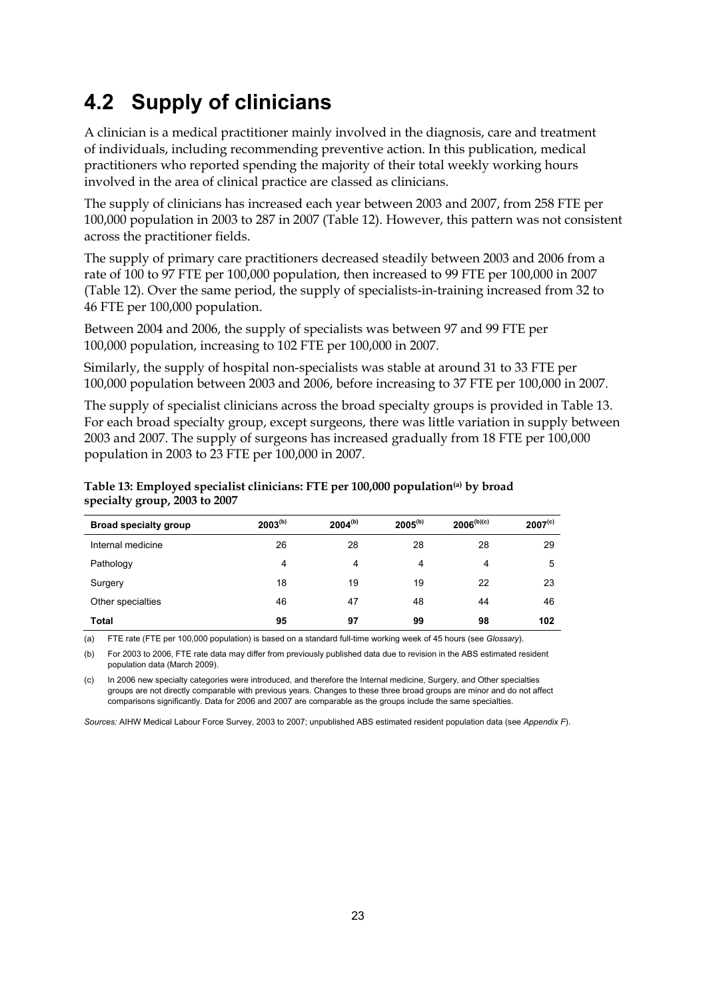## <span id="page-28-0"></span>**4.2 Supply of clinicians**

A clinician is a medical practitioner mainly involved in the diagnosis, care and treatment of individuals, including recommending preventive action. In this publication, medical practitioners who reported spending the majority of their total weekly working hours involved in the area of clinical practice are classed as clinicians.

The supply of clinicians has increased each year between 2003 and 2007, from 258 FTE per 100,000 population in 2003 to 287 in 2007 (Table 12). However, this pattern was not consistent across the practitioner fields.

The supply of primary care practitioners decreased steadily between 2003 and 2006 from a rate of 100 to 97 FTE per 100,000 population, then increased to 99 FTE per 100,000 in 2007 (Table 12). Over the same period, the supply of specialists-in-training increased from 32 to 46 FTE per 100,000 population.

Between 2004 and 2006, the supply of specialists was between 97 and 99 FTE per 100,000 population, increasing to 102 FTE per 100,000 in 2007.

Similarly, the supply of hospital non-specialists was stable at around 31 to 33 FTE per 100,000 population between 2003 and 2006, before increasing to 37 FTE per 100,000 in 2007.

The supply of specialist clinicians across the broad specialty groups is provided in Table 13. For each broad specialty group, except surgeons, there was little variation in supply between 2003 and 2007. The supply of surgeons has increased gradually from 18 FTE per 100,000 population in 2003 to 23 FTE per 100,000 in 2007.

| <b>Broad specialty group</b> | $2003^{(b)}$ | $2004^{(b)}$ | $2005^{(b)}$ | $2006^{(b)(c)}$ | 2007 <sup>(c)</sup> |
|------------------------------|--------------|--------------|--------------|-----------------|---------------------|
| Internal medicine            | 26           | 28           | 28           | 28              | 29                  |
| Pathology                    | 4            | 4            | 4            | 4               | 5                   |
| Surgery                      | 18           | 19           | 19           | 22              | 23                  |
| Other specialties            | 46           | 47           | 48           | 44              | 46                  |
| <b>Total</b>                 | 95           | 97           | 99           | 98              | 102                 |

#### **Table 13: Employed specialist clinicians: FTE per 100,000 population(a) by broad specialty group, 2003 to 2007**

(a) FTE rate (FTE per 100,000 population) is based on a standard full-time working week of 45 hours (see *Glossary*).

(b) For 2003 to 2006, FTE rate data may differ from previously published data due to revision in the ABS estimated resident population data (March 2009).

(c) In 2006 new specialty categories were introduced, and therefore the Internal medicine, Surgery, and Other specialties groups are not directly comparable with previous years. Changes to these three broad groups are minor and do not affect comparisons significantly. Data for 2006 and 2007 are comparable as the groups include the same specialties.

*Sources:* AIHW Medical Labour Force Survey, 2003 to 2007; unpublished ABS estimated resident population data (see *Appendix F*).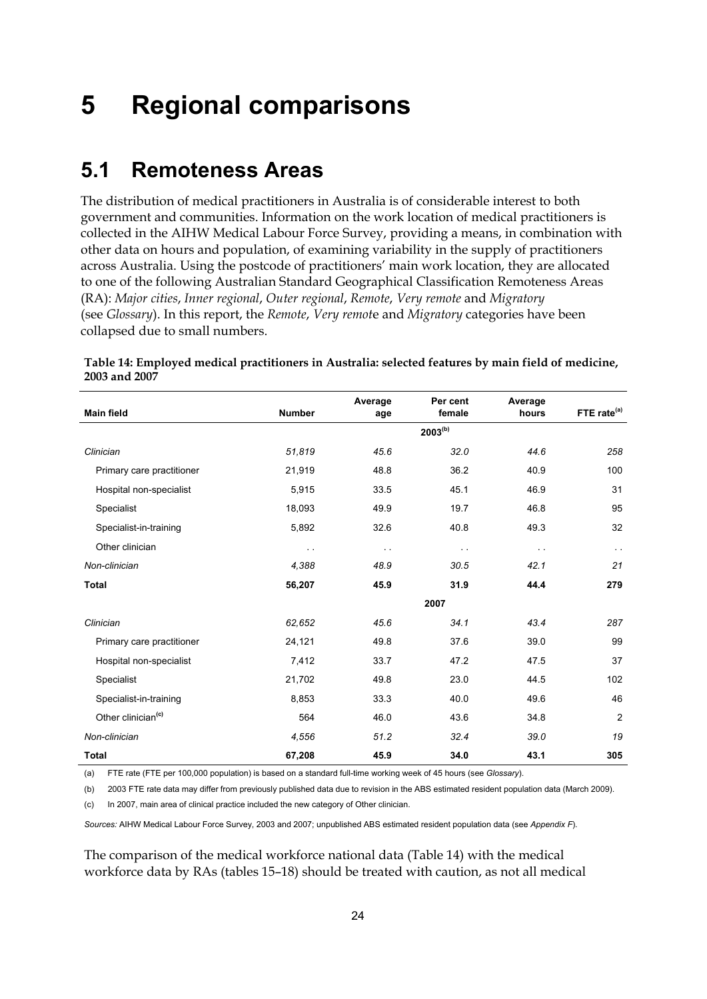## <span id="page-29-0"></span>**5 Regional comparisons**

### <span id="page-29-1"></span>**5.1 Remoteness Areas**

The distribution of medical practitioners in Australia is of considerable interest to both government and communities. Information on the work location of medical practitioners is collected in the AIHW Medical Labour Force Survey, providing a means, in combination with other data on hours and population, of examining variability in the supply of practitioners across Australia. Using the postcode of practitioners' main work location, they are allocated to one of the following Australian Standard Geographical Classification Remoteness Areas (RA): *Major cities*, *Inner regional*, *Outer regional*, *Remote*, *Very remote* and *Migratory* (see *Glossary*). In this report, the *Remote*, *Very remot*e and *Migratory* categories have been collapsed due to small numbers.

| <b>Main field</b>              | <b>Number</b> | Average<br>age | Per cent<br>female | Average<br>hours | FTE rate <sup>(a)</sup> |
|--------------------------------|---------------|----------------|--------------------|------------------|-------------------------|
|                                |               |                | $2003^{(b)}$       |                  |                         |
| Clinician                      | 51,819        | 45.6           | 32.0               | 44.6             | 258                     |
| Primary care practitioner      | 21,919        | 48.8           | 36.2               | 40.9             | 100                     |
| Hospital non-specialist        | 5,915         | 33.5           | 45.1               | 46.9             | 31                      |
| Specialist                     | 18,093        | 49.9           | 19.7               | 46.8             | 95                      |
| Specialist-in-training         | 5,892         | 32.6           | 40.8               | 49.3             | 32                      |
| Other clinician                | $\ddotsc$     | $\sim$ $\sim$  | $\sim$ $\sim$      | $\sim$ $\sim$    | $\sim$                  |
| Non-clinician                  | 4.388         | 48.9           | 30.5               | 42.1             | 21                      |
| <b>Total</b>                   | 56,207        | 45.9           | 31.9               | 44.4             | 279                     |
|                                |               |                | 2007               |                  |                         |
| Clinician                      | 62,652        | 45.6           | 34.1               | 43.4             | 287                     |
| Primary care practitioner      | 24,121        | 49.8           | 37.6               | 39.0             | 99                      |
| Hospital non-specialist        | 7,412         | 33.7           | 47.2               | 47.5             | 37                      |
| Specialist                     | 21,702        | 49.8           | 23.0               | 44.5             | 102                     |
| Specialist-in-training         | 8,853         | 33.3           | 40.0               | 49.6             | 46                      |
| Other clinician <sup>(c)</sup> | 564           | 46.0           | 43.6               | 34.8             | 2                       |
| Non-clinician                  | 4,556         | 51.2           | 32.4               | 39.0             | 19                      |
| <b>Total</b>                   | 67,208        | 45.9           | 34.0               | 43.1             | 305                     |

**Table 14: Employed medical practitioners in Australia: selected features by main field of medicine, 2003 and 2007** 

(a) FTE rate (FTE per 100,000 population) is based on a standard full-time working week of 45 hours (see *Glossary*).

(c) In 2007, main area of clinical practice included the new category of Other clinician.

*Sources:* AIHW Medical Labour Force Survey, 2003 and 2007; unpublished ABS estimated resident population data (see *Appendix F*).

The comparison of the medical workforce national data (Table 14) with the medical workforce data by RAs (tables 15–18) should be treated with caution, as not all medical

<sup>(</sup>b) 2003 FTE rate data may differ from previously published data due to revision in the ABS estimated resident population data (March 2009).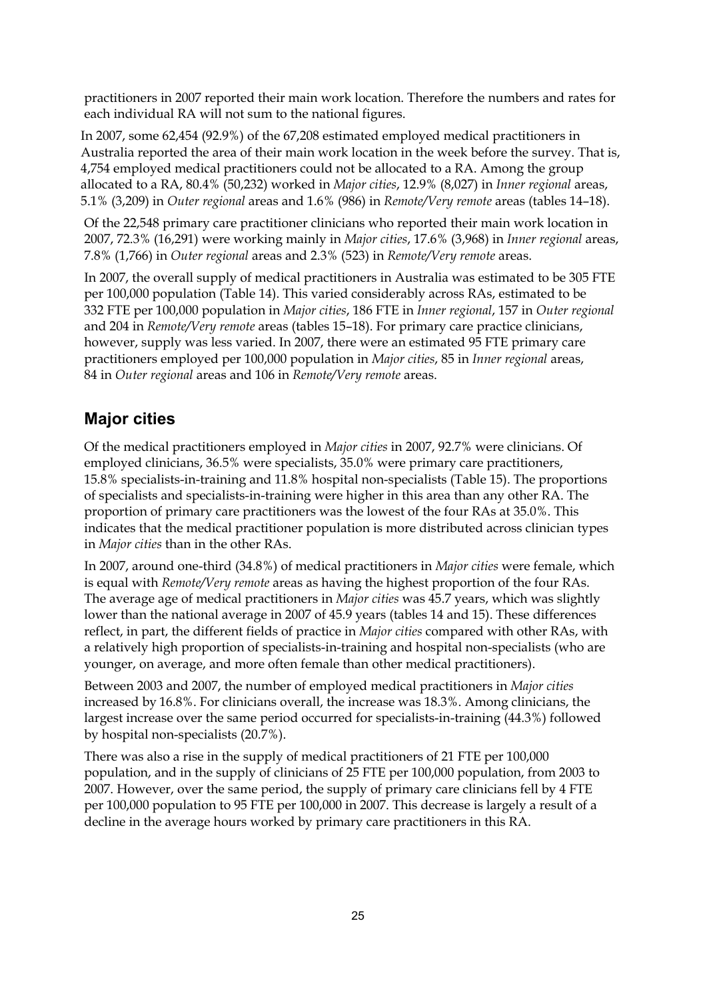practitioners in 2007 reported their main work location. Therefore the numbers and rates for each individual RA will not sum to the national figures.

In 2007, some 62,454 (92.9%) of the 67,208 estimated employed medical practitioners in Australia reported the area of their main work location in the week before the survey. That is, 4,754 employed medical practitioners could not be allocated to a RA. Among the group allocated to a RA, 80.4% (50,232) worked in *Major cities*, 12.9% (8,027) in *Inner regional* areas, 5.1% (3,209) in *Outer regional* areas and 1.6% (986) in *Remote/Very remote* areas (tables 14–18).

Of the 22,548 primary care practitioner clinicians who reported their main work location in 2007, 72.3% (16,291) were working mainly in *Major cities*, 17.6% (3,968) in *Inner regional* areas, 7.8% (1,766) in *Outer regional* areas and 2.3% (523) in *Remote/Very remote* areas.

In 2007, the overall supply of medical practitioners in Australia was estimated to be 305 FTE per 100,000 population (Table 14). This varied considerably across RAs, estimated to be 332 FTE per 100,000 population in *Major cities*, 186 FTE in *Inner regional*, 157 in *Outer regional* and 204 in *Remote/Very remote* areas (tables 15–18). For primary care practice clinicians, however, supply was less varied. In 2007, there were an estimated 95 FTE primary care practitioners employed per 100,000 population in *Major cities*, 85 in *Inner regional* areas, 84 in *Outer regional* areas and 106 in *Remote/Very remote* areas.

#### **Major cities**

Of the medical practitioners employed in *Major cities* in 2007, 92.7% were clinicians. Of employed clinicians, 36.5% were specialists, 35.0% were primary care practitioners, 15.8% specialists-in-training and 11.8% hospital non-specialists (Table 15). The proportions of specialists and specialists-in-training were higher in this area than any other RA. The proportion of primary care practitioners was the lowest of the four RAs at 35.0%. This indicates that the medical practitioner population is more distributed across clinician types in *Major cities* than in the other RAs.

In 2007, around one-third (34.8%) of medical practitioners in *Major cities* were female, which is equal with *Remote/Very remote* areas as having the highest proportion of the four RAs. The average age of medical practitioners in *Major cities* was 45.7 years, which was slightly lower than the national average in 2007 of 45.9 years (tables 14 and 15). These differences reflect, in part, the different fields of practice in *Major cities* compared with other RAs, with a relatively high proportion of specialists-in-training and hospital non-specialists (who are younger, on average, and more often female than other medical practitioners).

Between 2003 and 2007, the number of employed medical practitioners in *Major cities* increased by 16.8%. For clinicians overall, the increase was 18.3%. Among clinicians, the largest increase over the same period occurred for specialists-in-training (44.3%) followed by hospital non-specialists (20.7%).

There was also a rise in the supply of medical practitioners of 21 FTE per 100,000 population, and in the supply of clinicians of 25 FTE per 100,000 population, from 2003 to 2007. However, over the same period, the supply of primary care clinicians fell by 4 FTE per 100,000 population to 95 FTE per 100,000 in 2007. This decrease is largely a result of a decline in the average hours worked by primary care practitioners in this RA.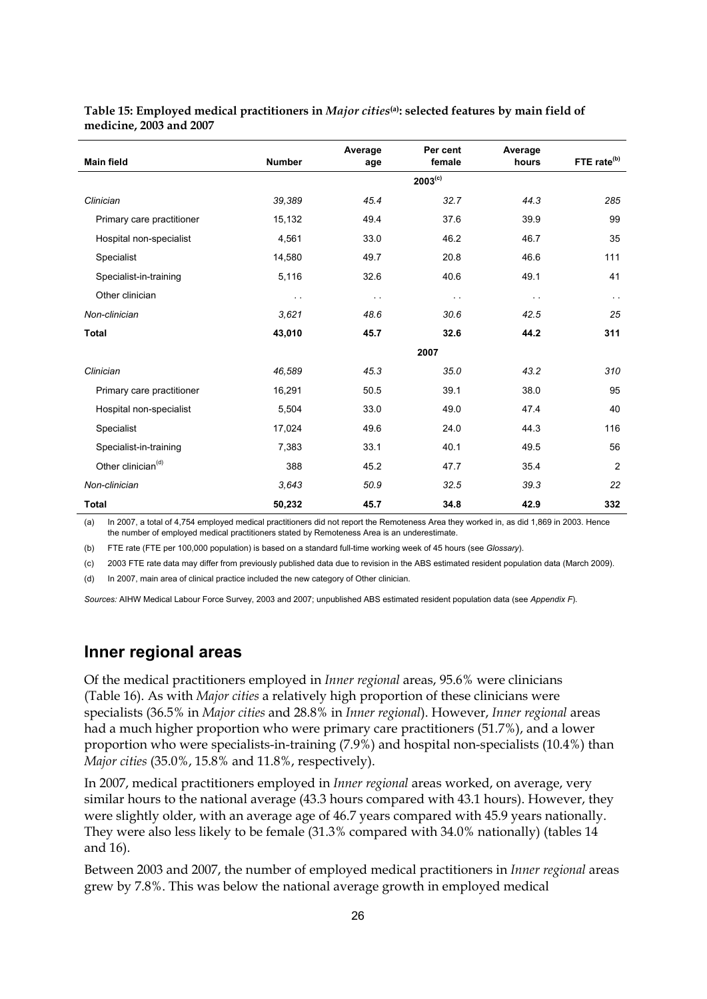| <b>Main field</b>              | <b>Number</b>        | Average<br>age | Per cent<br>female | Average<br>hours | FTE rate <sup>(b)</sup> |
|--------------------------------|----------------------|----------------|--------------------|------------------|-------------------------|
|                                |                      |                | $2003^{(c)}$       |                  |                         |
| Clinician                      | 39,389               | 45.4           | 32.7               | 44.3             | 285                     |
| Primary care practitioner      | 15,132               | 49.4           | 37.6               | 39.9             | 99                      |
| Hospital non-specialist        | 4,561                | 33.0           | 46.2               | 46.7             | 35                      |
| Specialist                     | 14,580               | 49.7           | 20.8               | 46.6             | 111                     |
| Specialist-in-training         | 5,116                | 32.6           | 40.6               | 49.1             | 41                      |
| Other clinician                | $\ddot{\phantom{1}}$ | $\sim$ $\sim$  | $\sim$ $\sim$      | $\sim$ $\sim$    | $\sim$                  |
| Non-clinician                  | 3,621                | 48.6           | 30.6               | 42.5             | 25                      |
| <b>Total</b>                   | 43,010               | 45.7           | 32.6               | 44.2             | 311                     |
|                                |                      |                | 2007               |                  |                         |
| Clinician                      | 46,589               | 45.3           | 35.0               | 43.2             | 310                     |
| Primary care practitioner      | 16,291               | 50.5           | 39.1               | 38.0             | 95                      |
| Hospital non-specialist        | 5,504                | 33.0           | 49.0               | 47.4             | 40                      |
| Specialist                     | 17,024               | 49.6           | 24.0               | 44.3             | 116                     |
| Specialist-in-training         | 7,383                | 33.1           | 40.1               | 49.5             | 56                      |
| Other clinician <sup>(d)</sup> | 388                  | 45.2           | 47.7               | 35.4             | 2                       |
| Non-clinician                  | 3,643                | 50.9           | 32.5               | 39.3             | 22                      |
| Total                          | 50,232               | 45.7           | 34.8               | 42.9             | 332                     |

#### **Table 15: Employed medical practitioners in** *Major cities***(a): selected features by main field of medicine, 2003 and 2007**

(a) In 2007, a total of 4,754 employed medical practitioners did not report the Remoteness Area they worked in, as did 1,869 in 2003. Hence the number of employed medical practitioners stated by Remoteness Area is an underestimate.

(b) FTE rate (FTE per 100,000 population) is based on a standard full-time working week of 45 hours (see *Glossary*).

(c) 2003 FTE rate data may differ from previously published data due to revision in the ABS estimated resident population data (March 2009).

(d) In 2007, main area of clinical practice included the new category of Other clinician.

*Sources:* AIHW Medical Labour Force Survey, 2003 and 2007; unpublished ABS estimated resident population data (see *Appendix F*).

#### **Inner regional areas**

Of the medical practitioners employed in *Inner regional* areas, 95.6% were clinicians (Table 16). As with *Major cities* a relatively high proportion of these clinicians were specialists (36.5% in *Major cities* and 28.8% in *Inner regional*). However, *Inner regional* areas had a much higher proportion who were primary care practitioners (51.7%), and a lower proportion who were specialists-in-training (7.9%) and hospital non-specialists (10.4%) than *Major cities* (35.0%, 15.8% and 11.8%, respectively).

In 2007, medical practitioners employed in *Inner regional* areas worked, on average, very similar hours to the national average (43.3 hours compared with 43.1 hours). However, they were slightly older, with an average age of 46.7 years compared with 45.9 years nationally. They were also less likely to be female (31.3% compared with 34.0% nationally) (tables 14 and 16).

Between 2003 and 2007, the number of employed medical practitioners in *Inner regional* areas grew by 7.8%. This was below the national average growth in employed medical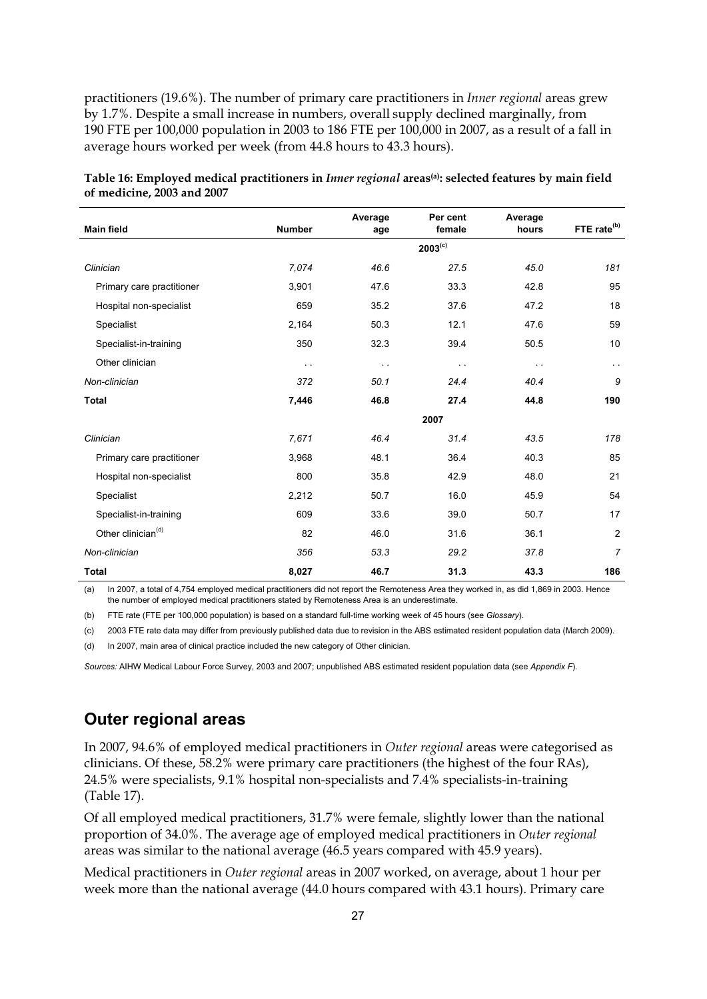practitioners (19.6%). The number of primary care practitioners in *Inner regional* areas grew by 1.7%. Despite a small increase in numbers, overall supply declined marginally, from 190 FTE per 100,000 population in 2003 to 186 FTE per 100,000 in 2007, as a result of a fall in average hours worked per week (from 44.8 hours to 43.3 hours).

| <b>Main field</b>              | <b>Number</b> | Average<br>age | Per cent<br>female | Average<br>hours | FTE rate <sup>(b)</sup> |
|--------------------------------|---------------|----------------|--------------------|------------------|-------------------------|
|                                |               |                | $2003^{(c)}$       |                  |                         |
| Clinician                      | 7,074         | 46.6           | 27.5               | 45.0             | 181                     |
| Primary care practitioner      | 3,901         | 47.6           | 33.3               | 42.8             | 95                      |
| Hospital non-specialist        | 659           | 35.2           | 37.6               | 47.2             | 18                      |
| Specialist                     | 2,164         | 50.3           | 12.1               | 47.6             | 59                      |
| Specialist-in-training         | 350           | 32.3           | 39.4               | 50.5             | 10                      |
| Other clinician                | $\sim$ $\sim$ | $\sim$         | $\sim$ $\sim$      | $\sim$ $\sim$    | $\sim$                  |
| Non-clinician                  | 372           | 50.1           | 24.4               | 40.4             | 9                       |
| <b>Total</b>                   | 7,446         | 46.8           | 27.4               | 44.8             | 190                     |
|                                |               |                | 2007               |                  |                         |
| Clinician                      | 7,671         | 46.4           | 31.4               | 43.5             | 178                     |
| Primary care practitioner      | 3,968         | 48.1           | 36.4               | 40.3             | 85                      |
| Hospital non-specialist        | 800           | 35.8           | 42.9               | 48.0             | 21                      |
| Specialist                     | 2,212         | 50.7           | 16.0               | 45.9             | 54                      |
| Specialist-in-training         | 609           | 33.6           | 39.0               | 50.7             | 17                      |
| Other clinician <sup>(d)</sup> | 82            | 46.0           | 31.6               | 36.1             | $\overline{c}$          |
| Non-clinician                  | 356           | 53.3           | 29.2               | 37.8             | $\overline{7}$          |
| Total                          | 8,027         | 46.7           | 31.3               | 43.3             | 186                     |

| Table 16: Employed medical practitioners in <i>Inner regional</i> areas <sup>(a)</sup> : selected features by main field |  |
|--------------------------------------------------------------------------------------------------------------------------|--|
| of medicine, 2003 and 2007                                                                                               |  |

(a) In 2007, a total of 4,754 employed medical practitioners did not report the Remoteness Area they worked in, as did 1,869 in 2003. Hence the number of employed medical practitioners stated by Remoteness Area is an underestimate.

(b) FTE rate (FTE per 100,000 population) is based on a standard full-time working week of 45 hours (see *Glossary*).

(c) 2003 FTE rate data may differ from previously published data due to revision in the ABS estimated resident population data (March 2009).

(d) In 2007, main area of clinical practice included the new category of Other clinician.

*Sources:* AIHW Medical Labour Force Survey, 2003 and 2007; unpublished ABS estimated resident population data (see *Appendix F*).

#### **Outer regional areas**

In 2007, 94.6% of employed medical practitioners in *Outer regional* areas were categorised as clinicians. Of these, 58.2% were primary care practitioners (the highest of the four RAs), 24.5% were specialists, 9.1% hospital non-specialists and 7.4% specialists-in-training (Table 17).

Of all employed medical practitioners, 31.7% were female, slightly lower than the national proportion of 34.0%. The average age of employed medical practitioners in *Outer regional* areas was similar to the national average (46.5 years compared with 45.9 years).

Medical practitioners in *Outer regional* areas in 2007 worked, on average, about 1 hour per week more than the national average (44.0 hours compared with 43.1 hours). Primary care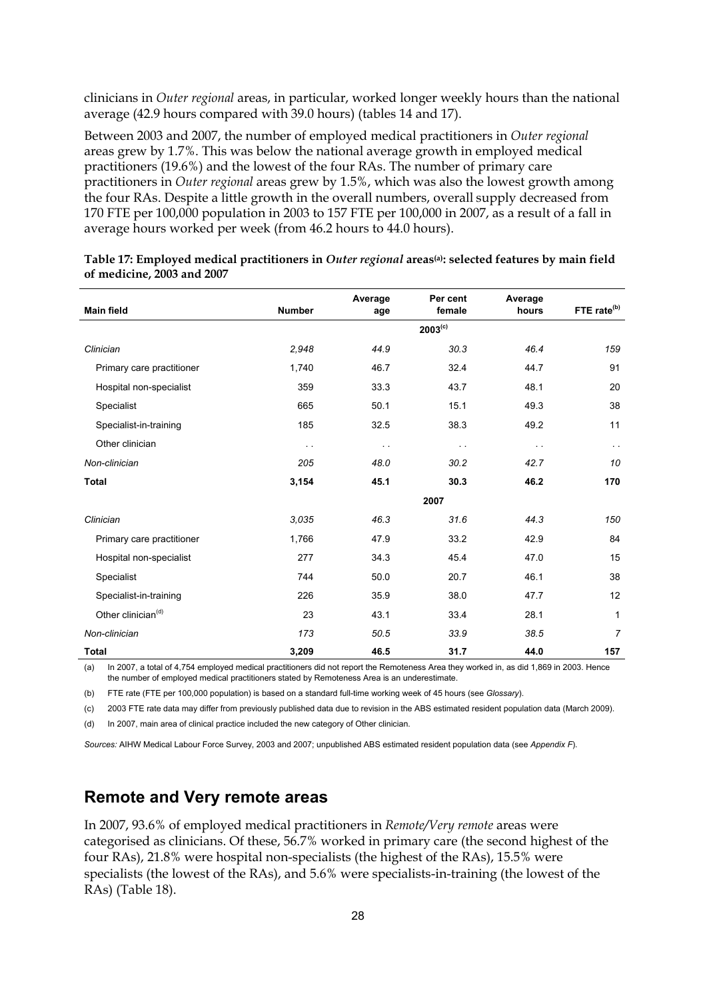clinicians in *Outer regional* areas, in particular, worked longer weekly hours than the national average (42.9 hours compared with 39.0 hours) (tables 14 and 17).

Between 2003 and 2007, the number of employed medical practitioners in *Outer regional* areas grew by 1.7%. This was below the national average growth in employed medical practitioners (19.6%) and the lowest of the four RAs. The number of primary care practitioners in *Outer regional* areas grew by 1.5%, which was also the lowest growth among the four RAs. Despite a little growth in the overall numbers, overall supply decreased from 170 FTE per 100,000 population in 2003 to 157 FTE per 100,000 in 2007, as a result of a fall in average hours worked per week (from 46.2 hours to 44.0 hours).

| <b>Main field</b>              | <b>Number</b> | Average<br>age | Per cent<br>female | Average<br>hours | FTE rate <sup>(b)</sup> |
|--------------------------------|---------------|----------------|--------------------|------------------|-------------------------|
|                                |               |                | $2003^{(c)}$       |                  |                         |
| Clinician                      | 2,948         | 44.9           | 30.3               | 46.4             | 159                     |
| Primary care practitioner      | 1,740         | 46.7           | 32.4               | 44.7             | 91                      |
| Hospital non-specialist        | 359           | 33.3           | 43.7               | 48.1             | 20                      |
| Specialist                     | 665           | 50.1           | 15.1               | 49.3             | 38                      |
| Specialist-in-training         | 185           | 32.5           | 38.3               | 49.2             | 11                      |
| Other clinician                | $\sim$ $\sim$ | $\sim$         | $\sim$ $\sim$      | $\sim$ $\sim$    | $\sim$ $\sim$           |
| Non-clinician                  | 205           | 48.0           | 30.2               | 42.7             | 10                      |
| <b>Total</b>                   | 3,154         | 45.1           | 30.3               | 46.2             | 170                     |
|                                |               |                | 2007               |                  |                         |
| Clinician                      | 3.035         | 46.3           | 31.6               | 44.3             | 150                     |
| Primary care practitioner      | 1,766         | 47.9           | 33.2               | 42.9             | 84                      |
| Hospital non-specialist        | 277           | 34.3           | 45.4               | 47.0             | 15                      |
| Specialist                     | 744           | 50.0           | 20.7               | 46.1             | 38                      |
| Specialist-in-training         | 226           | 35.9           | 38.0               | 47.7             | 12                      |
| Other clinician <sup>(d)</sup> | 23            | 43.1           | 33.4               | 28.1             | 1                       |
| Non-clinician                  | 173           | 50.5           | 33.9               | 38.5             | $\overline{7}$          |
| Total                          | 3,209         | 46.5           | 31.7               | 44.0             | 157                     |

**Table 17: Employed medical practitioners in** *Outer regional* **areas(a): selected features by main field of medicine, 2003 and 2007** 

(a) In 2007, a total of 4,754 employed medical practitioners did not report the Remoteness Area they worked in, as did 1,869 in 2003. Hence the number of employed medical practitioners stated by Remoteness Area is an underestimate.

(b) FTE rate (FTE per 100,000 population) is based on a standard full-time working week of 45 hours (see *Glossary*).

(c) 2003 FTE rate data may differ from previously published data due to revision in the ABS estimated resident population data (March 2009).

(d) In 2007, main area of clinical practice included the new category of Other clinician.

*Sources:* AIHW Medical Labour Force Survey, 2003 and 2007; unpublished ABS estimated resident population data (see *Appendix F*).

#### **Remote and Very remote areas**

In 2007, 93.6% of employed medical practitioners in *Remote/Very remote* areas were categorised as clinicians. Of these, 56.7% worked in primary care (the second highest of the four RAs), 21.8% were hospital non-specialists (the highest of the RAs), 15.5% were specialists (the lowest of the RAs), and 5.6% were specialists-in-training (the lowest of the RAs) (Table 18).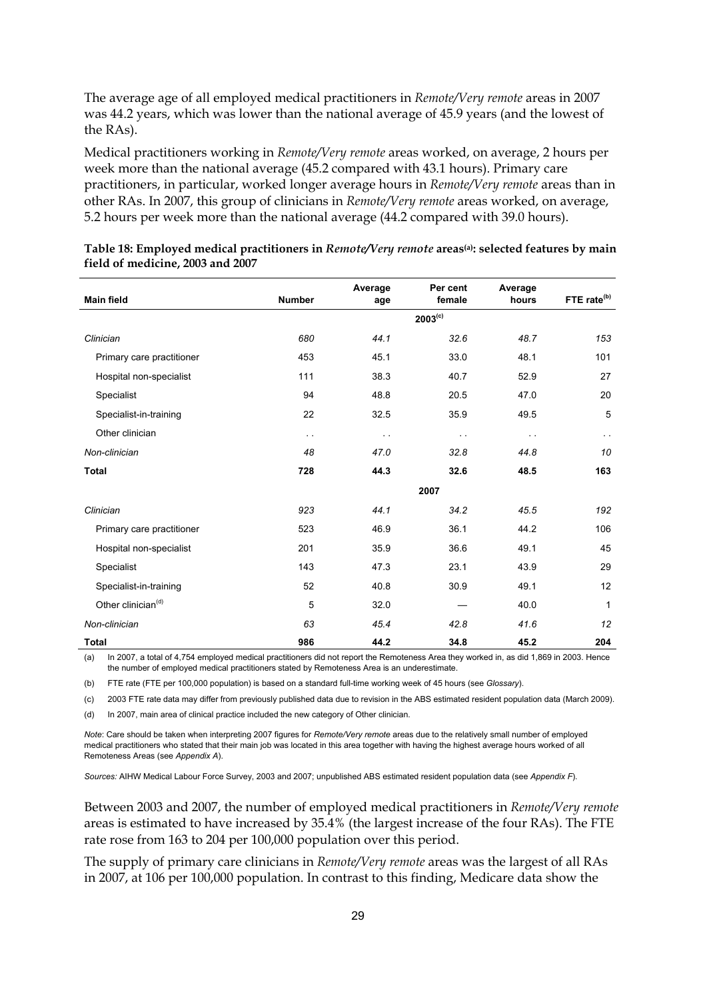The average age of all employed medical practitioners in *Remote/Very remote* areas in 2007 was 44.2 years, which was lower than the national average of 45.9 years (and the lowest of the RAs).

Medical practitioners working in *Remote/Very remote* areas worked, on average, 2 hours per week more than the national average (45.2 compared with 43.1 hours). Primary care practitioners, in particular, worked longer average hours in *Remote/Very remote* areas than in other RAs. In 2007, this group of clinicians in *Remote/Very remote* areas worked, on average, 5.2 hours per week more than the national average (44.2 compared with 39.0 hours).

|                                |               | Average | Per cent               | Average       | FTE rate <sup>(b)</sup> |  |  |  |  |
|--------------------------------|---------------|---------|------------------------|---------------|-------------------------|--|--|--|--|
| <b>Main field</b>              | <b>Number</b> | age     | female<br>$2003^{(c)}$ | hours         |                         |  |  |  |  |
|                                |               |         |                        |               |                         |  |  |  |  |
| Clinician                      | 680           | 44.1    | 32.6                   | 48.7          | 153                     |  |  |  |  |
| Primary care practitioner      | 453           | 45.1    | 33.0                   | 48.1          | 101                     |  |  |  |  |
| Hospital non-specialist        | 111           | 38.3    | 40.7                   | 52.9          | 27                      |  |  |  |  |
| Specialist                     | 94            | 48.8    | 20.5                   | 47.0          | 20                      |  |  |  |  |
| Specialist-in-training         | 22            | 32.5    | 35.9                   | 49.5          | 5                       |  |  |  |  |
| Other clinician                | $\sim$        | $\sim$  | $\sim$ $\sim$          | $\sim$ $\sim$ | $\sim$ $\sim$           |  |  |  |  |
| Non-clinician                  | 48            | 47.0    | 32.8                   | 44.8          | 10                      |  |  |  |  |
| <b>Total</b>                   | 728           | 44.3    | 32.6                   | 48.5          | 163                     |  |  |  |  |
|                                | 2007          |         |                        |               |                         |  |  |  |  |
| Clinician                      | 923           | 44.1    | 34.2                   | 45.5          | 192                     |  |  |  |  |
| Primary care practitioner      | 523           | 46.9    | 36.1                   | 44.2          | 106                     |  |  |  |  |
| Hospital non-specialist        | 201           | 35.9    | 36.6                   | 49.1          | 45                      |  |  |  |  |
| Specialist                     | 143           | 47.3    | 23.1                   | 43.9          | 29                      |  |  |  |  |
| Specialist-in-training         | 52            | 40.8    | 30.9                   | 49.1          | 12                      |  |  |  |  |
| Other clinician <sup>(d)</sup> | 5             | 32.0    |                        | 40.0          | $\mathbf{1}$            |  |  |  |  |
| Non-clinician                  | 63            | 45.4    | 42.8                   | 41.6          | 12                      |  |  |  |  |
| <b>Total</b>                   | 986           | 44.2    | 34.8                   | 45.2          | 204                     |  |  |  |  |

**Table 18: Employed medical practitioners in** *Remote/Very remote* **areas(a): selected features by main field of medicine, 2003 and 2007** 

(a) In 2007, a total of 4,754 employed medical practitioners did not report the Remoteness Area they worked in, as did 1,869 in 2003. Hence the number of employed medical practitioners stated by Remoteness Area is an underestimate.

(b) FTE rate (FTE per 100,000 population) is based on a standard full-time working week of 45 hours (see *Glossary*).

(c) 2003 FTE rate data may differ from previously published data due to revision in the ABS estimated resident population data (March 2009).

(d) In 2007, main area of clinical practice included the new category of Other clinician.

*Note*: Care should be taken when interpreting 2007 figures for *Remote/Very remote* areas due to the relatively small number of employed medical practitioners who stated that their main job was located in this area together with having the highest average hours worked of all Remoteness Areas (see *Appendix A*).

*Sources:* AIHW Medical Labour Force Survey, 2003 and 2007; unpublished ABS estimated resident population data (see *Appendix F*).

Between 2003 and 2007, the number of employed medical practitioners in *Remote/Very remote*  areas is estimated to have increased by 35.4% (the largest increase of the four RAs). The FTE rate rose from 163 to 204 per 100,000 population over this period.

The supply of primary care clinicians in *Remote/Very remote* areas was the largest of all RAs in 2007, at 106 per 100,000 population. In contrast to this finding, Medicare data show the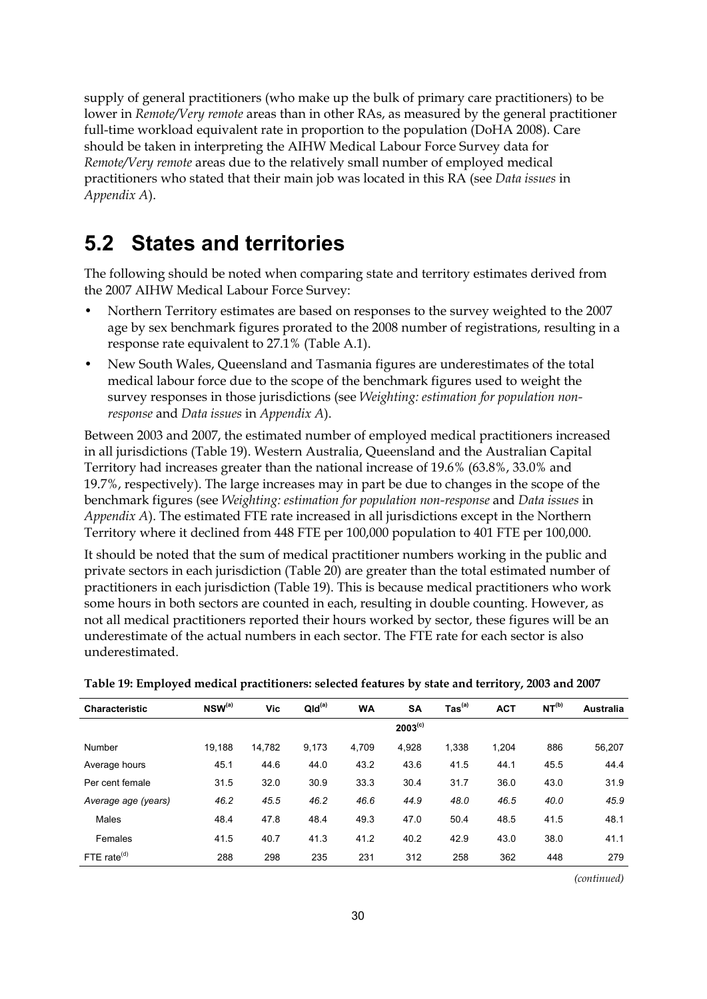supply of general practitioners (who make up the bulk of primary care practitioners) to be lower in *Remote/Very remote* areas than in other RAs, as measured by the general practitioner full-time workload equivalent rate in proportion to the population (DoHA 2008). Care should be taken in interpreting the AIHW Medical Labour Force Survey data for *Remote/Very remote* areas due to the relatively small number of employed medical practitioners who stated that their main job was located in this RA (see *Data issues* in *Appendix A*).

### <span id="page-35-0"></span>**5.2 States and territories**

The following should be noted when comparing state and territory estimates derived from the 2007 AIHW Medical Labour Force Survey:

- Northern Territory estimates are based on responses to the survey weighted to the 2007 age by sex benchmark figures prorated to the 2008 number of registrations, resulting in a response rate equivalent to 27.1% (Table A.1).
- New South Wales, Queensland and Tasmania figures are underestimates of the total medical labour force due to the scope of the benchmark figures used to weight the survey responses in those jurisdictions (see *Weighting: estimation for population nonresponse* and *Data issues* in *Appendix A*).

Between 2003 and 2007, the estimated number of employed medical practitioners increased in all jurisdictions (Table 19). Western Australia, Queensland and the Australian Capital Territory had increases greater than the national increase of 19.6% (63.8%, 33.0% and 19.7%, respectively). The large increases may in part be due to changes in the scope of the benchmark figures (see *Weighting: estimation for population non-response* and *Data issues* in *Appendix A*). The estimated FTE rate increased in all jurisdictions except in the Northern Territory where it declined from 448 FTE per 100,000 population to 401 FTE per 100,000.

It should be noted that the sum of medical practitioner numbers working in the public and private sectors in each jurisdiction (Table 20) are greater than the total estimated number of practitioners in each jurisdiction (Table 19). This is because medical practitioners who work some hours in both sectors are counted in each, resulting in double counting. However, as not all medical practitioners reported their hours worked by sector, these figures will be an underestimate of the actual numbers in each sector. The FTE rate for each sector is also underestimated.

| <b>Characteristic</b> | $NSW^{(a)}$ | Vic    | QId <sup>(a)</sup> | <b>WA</b> | <b>SA</b>    | $\mathsf{ Tas}^\mathsf{(a)}$ | <b>ACT</b> | NT <sup>(b)</sup> | <b>Australia</b> |
|-----------------------|-------------|--------|--------------------|-----------|--------------|------------------------------|------------|-------------------|------------------|
|                       |             |        |                    |           | $2003^{(c)}$ |                              |            |                   |                  |
| Number                | 19,188      | 14,782 | 9,173              | 4.709     | 4,928        | 1,338                        | 1,204      | 886               | 56,207           |
| Average hours         | 45.1        | 44.6   | 44.0               | 43.2      | 43.6         | 41.5                         | 44.1       | 45.5              | 44.4             |
| Per cent female       | 31.5        | 32.0   | 30.9               | 33.3      | 30.4         | 31.7                         | 36.0       | 43.0              | 31.9             |
| Average age (years)   | 46.2        | 45.5   | 46.2               | 46.6      | 44.9         | 48.0                         | 46.5       | 40.0              | 45.9             |
| Males                 | 48.4        | 47.8   | 48.4               | 49.3      | 47.0         | 50.4                         | 48.5       | 41.5              | 48.1             |
| Females               | 41.5        | 40.7   | 41.3               | 41.2      | 40.2         | 42.9                         | 43.0       | 38.0              | 41.1             |
| FTE rate $(d)$        | 288         | 298    | 235                | 231       | 312          | 258                          | 362        | 448               | 279              |

**Table 19: Employed medical practitioners: selected features by state and territory, 2003 and 2007** 

*(continued)*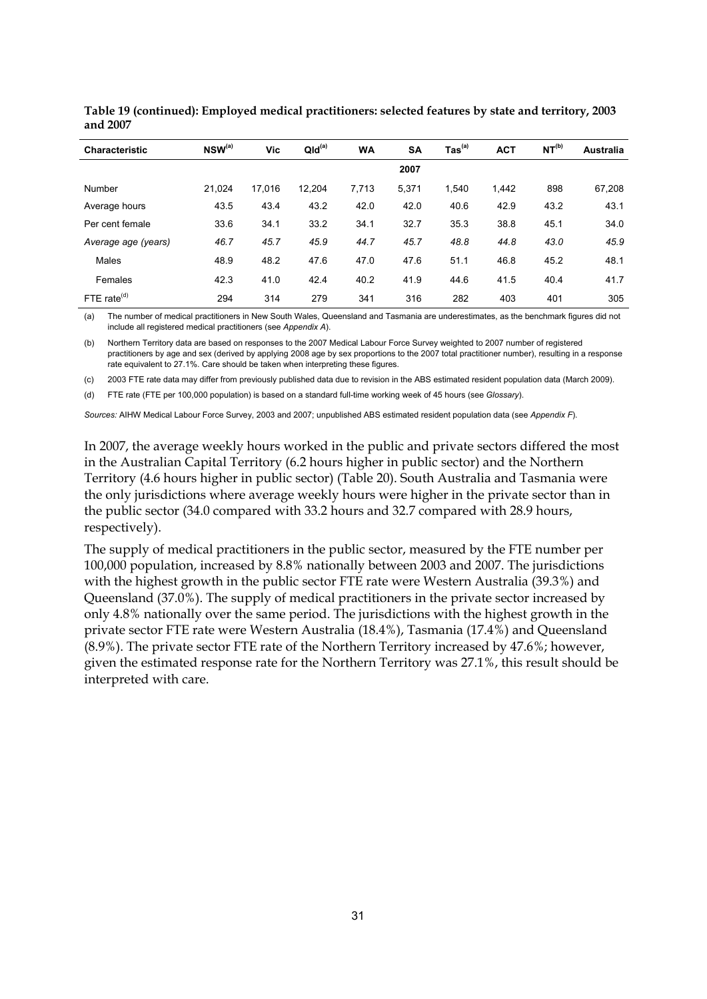| <b>Characteristic</b> | NSW(a) | Vic    | QId <sup>(a)</sup> | <b>WA</b> | <b>SA</b> | $\text{Tas}^{(a)}$ | <b>ACT</b> | NT <sup>(b)</sup> | <b>Australia</b> |
|-----------------------|--------|--------|--------------------|-----------|-----------|--------------------|------------|-------------------|------------------|
|                       |        |        |                    |           | 2007      |                    |            |                   |                  |
| Number                | 21.024 | 17.016 | 12.204             | 7,713     | 5.371     | 1.540              | 1,442      | 898               | 67,208           |
| Average hours         | 43.5   | 43.4   | 43.2               | 42.0      | 42.0      | 40.6               | 42.9       | 43.2              | 43.1             |
| Per cent female       | 33.6   | 34.1   | 33.2               | 34.1      | 32.7      | 35.3               | 38.8       | 45.1              | 34.0             |
| Average age (years)   | 46.7   | 45.7   | 45.9               | 44.7      | 45.7      | 48.8               | 44.8       | 43.0              | 45.9             |
| Males                 | 48.9   | 48.2   | 47.6               | 47.0      | 47.6      | 51.1               | 46.8       | 45.2              | 48.1             |
| Females               | 42.3   | 41.0   | 42.4               | 40.2      | 41.9      | 44.6               | 41.5       | 40.4              | 41.7             |
| FTE rate $(d)$        | 294    | 314    | 279                | 341       | 316       | 282                | 403        | 401               | 305              |

| Table 19 (continued): Employed medical practitioners: selected features by state and territory, 2003 |  |
|------------------------------------------------------------------------------------------------------|--|
| and 2007                                                                                             |  |

(a) The number of medical practitioners in New South Wales, Queensland and Tasmania are underestimates, as the benchmark figures did not include all registered medical practitioners (see *Appendix A*).

(b) Northern Territory data are based on responses to the 2007 Medical Labour Force Survey weighted to 2007 number of registered practitioners by age and sex (derived by applying 2008 age by sex proportions to the 2007 total practitioner number), resulting in a response rate equivalent to 27.1%. Care should be taken when interpreting these figures.

(c) 2003 FTE rate data may differ from previously published data due to revision in the ABS estimated resident population data (March 2009).

(d) FTE rate (FTE per 100,000 population) is based on a standard full-time working week of 45 hours (see *Glossary*).

*Sources:* AIHW Medical Labour Force Survey, 2003 and 2007; unpublished ABS estimated resident population data (see *Appendix F*).

In 2007, the average weekly hours worked in the public and private sectors differed the most in the Australian Capital Territory (6.2 hours higher in public sector) and the Northern Territory (4.6 hours higher in public sector) (Table 20). South Australia and Tasmania were the only jurisdictions where average weekly hours were higher in the private sector than in the public sector (34.0 compared with 33.2 hours and 32.7 compared with 28.9 hours, respectively).

The supply of medical practitioners in the public sector, measured by the FTE number per 100,000 population, increased by 8.8% nationally between 2003 and 2007. The jurisdictions with the highest growth in the public sector FTE rate were Western Australia (39.3%) and Queensland (37.0%). The supply of medical practitioners in the private sector increased by only 4.8% nationally over the same period. The jurisdictions with the highest growth in the private sector FTE rate were Western Australia (18.4%), Tasmania (17.4%) and Queensland (8.9%). The private sector FTE rate of the Northern Territory increased by 47.6%; however, given the estimated response rate for the Northern Territory was 27.1%, this result should be interpreted with care.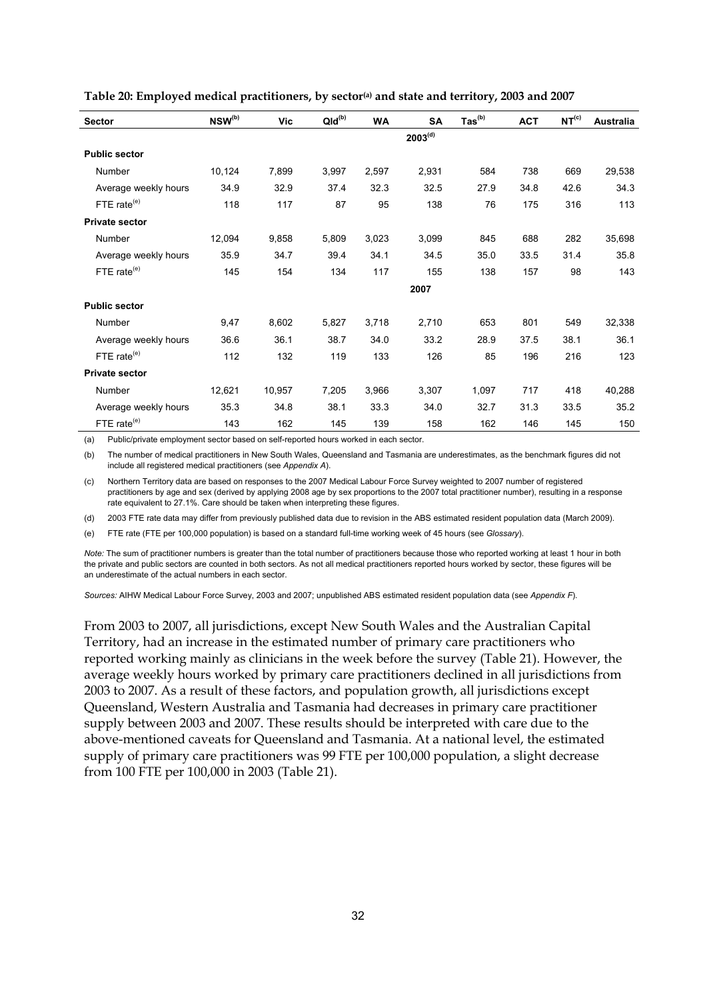| <b>Sector</b>           | NSW(b) | Vic    | $QId^{(b)}$ | WA    | SA                  | $\text{Tas}^{(b)}$ | <b>ACT</b> | NT <sup>(c)</sup> | Australia |
|-------------------------|--------|--------|-------------|-------|---------------------|--------------------|------------|-------------------|-----------|
|                         |        |        |             |       | 2003 <sup>(d)</sup> |                    |            |                   |           |
| <b>Public sector</b>    |        |        |             |       |                     |                    |            |                   |           |
| Number                  | 10,124 | 7,899  | 3,997       | 2,597 | 2,931               | 584                | 738        | 669               | 29,538    |
| Average weekly hours    | 34.9   | 32.9   | 37.4        | 32.3  | 32.5                | 27.9               | 34.8       | 42.6              | 34.3      |
| FTE rate $(e)$          | 118    | 117    | 87          | 95    | 138                 | 76                 | 175        | 316               | 113       |
| <b>Private sector</b>   |        |        |             |       |                     |                    |            |                   |           |
| Number                  | 12,094 | 9,858  | 5,809       | 3,023 | 3,099               | 845                | 688        | 282               | 35,698    |
| Average weekly hours    | 35.9   | 34.7   | 39.4        | 34.1  | 34.5                | 35.0               | 33.5       | 31.4              | 35.8      |
| FTE rate <sup>(e)</sup> | 145    | 154    | 134         | 117   | 155                 | 138                | 157        | 98                | 143       |
|                         |        |        |             |       | 2007                |                    |            |                   |           |
| <b>Public sector</b>    |        |        |             |       |                     |                    |            |                   |           |
| Number                  | 9,47   | 8,602  | 5,827       | 3,718 | 2,710               | 653                | 801        | 549               | 32,338    |
| Average weekly hours    | 36.6   | 36.1   | 38.7        | 34.0  | 33.2                | 28.9               | 37.5       | 38.1              | 36.1      |
| FTE rate $(e)$          | 112    | 132    | 119         | 133   | 126                 | 85                 | 196        | 216               | 123       |
| <b>Private sector</b>   |        |        |             |       |                     |                    |            |                   |           |
| Number                  | 12,621 | 10,957 | 7,205       | 3,966 | 3,307               | 1,097              | 717        | 418               | 40,288    |
| Average weekly hours    | 35.3   | 34.8   | 38.1        | 33.3  | 34.0                | 32.7               | 31.3       | 33.5              | 35.2      |
| FTE rate <sup>(e)</sup> | 143    | 162    | 145         | 139   | 158                 | 162                | 146        | 145               | 150       |

<span id="page-37-0"></span>Table 20: Employed medical practitioners, by sector<sup>(a)</sup> and state and territory, 2003 and 2007

(a) Public/private employment sector based on self-reported hours worked in each sector.

(b) The number of medical practitioners in New South Wales, Queensland and Tasmania are underestimates, as the benchmark figures did not include all registered medical practitioners (see *Appendix A*).

(c) Northern Territory data are based on responses to the 2007 Medical Labour Force Survey weighted to 2007 number of registered practitioners by age and sex (derived by applying 2008 age by sex proportions to the 2007 total practitioner number), resulting in a response rate equivalent to 27.1%. Care should be taken when interpreting these figures.

(d) 2003 FTE rate data may differ from previously published data due to revision in the ABS estimated resident population data (March 2009).

(e) FTE rate (FTE per 100,000 population) is based on a standard full-time working week of 45 hours (see *Glossary*).

*Note:* The sum of practitioner numbers is greater than the total number of practitioners because those who reported working at least 1 hour in both the private and public sectors are counted in both sectors. As not all medical practitioners reported hours worked by sector, these figures will be an underestimate of the actual numbers in each sector.

*Sources:* AIHW Medical Labour Force Survey, 2003 and 2007; unpublished ABS estimated resident population data (see *Appendix F*).

From 2003 to 2007, all jurisdictions, except New South Wales and the Australian Capital Territory, had an increase in the estimated number of primary care practitioners who reported working mainly as clinicians in the week before the survey (Table 21). However, the average weekly hours worked by primary care practitioners declined in all jurisdictions from 2003 to 2007. As a result of these factors, and population growth, all jurisdictions except Queensland, Western Australia and Tasmania had decreases in primary care practitioner supply between 2003 and 2007. These results should be interpreted with care due to the above-mentioned caveats for Queensland and Tasmania. At a national level, the estimated supply of primary care practitioners was 99 FTE per 100,000 population, a slight decrease from 100 FTE per 100,000 in 2003 (Table 21).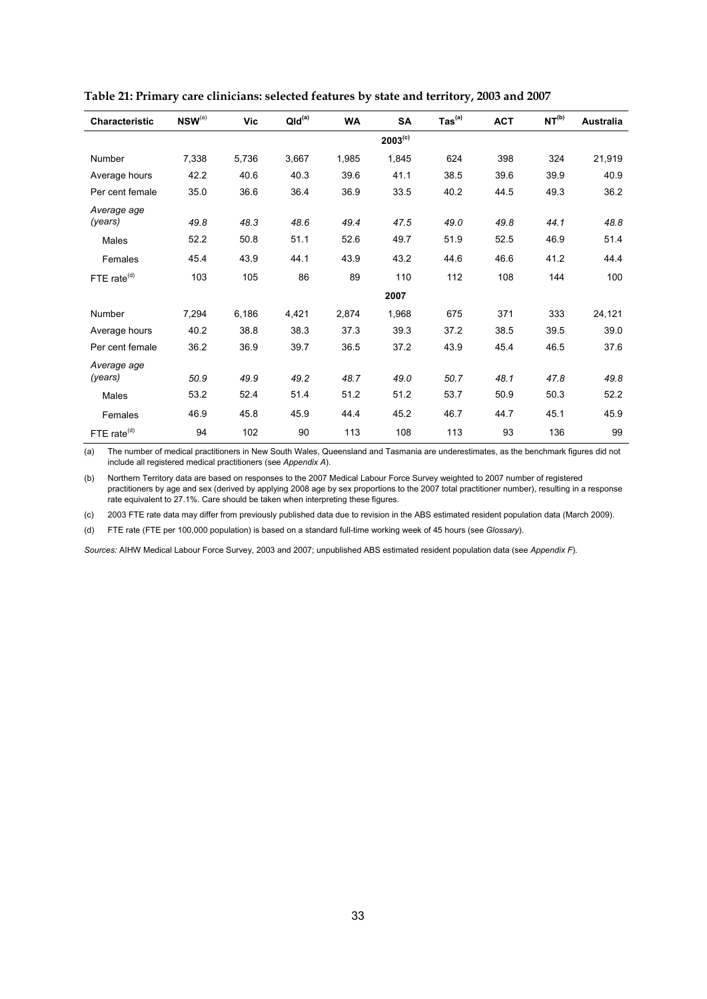| Characteristic          | $NSW^{(a)}$ | Vic   | QId <sup>(a)</sup> | <b>WA</b> | SA           | $\mathsf{ Tas}^\mathsf{(a)}$ | <b>ACT</b> | NT <sup>(b)</sup> | <b>Australia</b> |
|-------------------------|-------------|-------|--------------------|-----------|--------------|------------------------------|------------|-------------------|------------------|
|                         |             |       |                    |           | $2003^{(c)}$ |                              |            |                   |                  |
| Number                  | 7,338       | 5,736 | 3,667              | 1,985     | 1,845        | 624                          | 398        | 324               | 21,919           |
| Average hours           | 42.2        | 40.6  | 40.3               | 39.6      | 41.1         | 38.5                         | 39.6       | 39.9              | 40.9             |
| Per cent female         | 35.0        | 36.6  | 36.4               | 36.9      | 33.5         | 40.2                         | 44.5       | 49.3              | 36.2             |
| Average age             |             |       |                    |           |              |                              |            |                   |                  |
| (years)                 | 49.8        | 48.3  | 48.6               | 49.4      | 47.5         | 49.0                         | 49.8       | 44.1              | 48.8             |
| Males                   | 52.2        | 50.8  | 51.1               | 52.6      | 49.7         | 51.9                         | 52.5       | 46.9              | 51.4             |
| Females                 | 45.4        | 43.9  | 44.1               | 43.9      | 43.2         | 44.6                         | 46.6       | 41.2              | 44.4             |
| FTE rate <sup>(d)</sup> | 103         | 105   | 86                 | 89        | 110          | 112                          | 108        | 144               | 100              |
|                         |             |       |                    |           | 2007         |                              |            |                   |                  |
| Number                  | 7,294       | 6,186 | 4,421              | 2,874     | 1,968        | 675                          | 371        | 333               | 24,121           |
| Average hours           | 40.2        | 38.8  | 38.3               | 37.3      | 39.3         | 37.2                         | 38.5       | 39.5              | 39.0             |
| Per cent female         | 36.2        | 36.9  | 39.7               | 36.5      | 37.2         | 43.9                         | 45.4       | 46.5              | 37.6             |
| Average age             |             |       |                    |           |              |                              |            |                   |                  |
| (years)                 | 50.9        | 49.9  | 49.2               | 48.7      | 49.0         | 50.7                         | 48.1       | 47.8              | 49.8             |
| Males                   | 53.2        | 52.4  | 51.4               | 51.2      | 51.2         | 53.7                         | 50.9       | 50.3              | 52.2             |
| Females                 | 46.9        | 45.8  | 45.9               | 44.4      | 45.2         | 46.7                         | 44.7       | 45.1              | 45.9             |
| FTE rate <sup>(d)</sup> | 94          | 102   | 90                 | 113       | 108          | 113                          | 93         | 136               | 99               |

<span id="page-38-0"></span>**Table 21: Primary care clinicians: selected features by state and territory, 2003 and 2007** 

(a) The number of medical practitioners in New South Wales, Queensland and Tasmania are underestimates, as the benchmark figures did not include all registered medical practitioners (see *Appendix A*).

(b) Northern Territory data are based on responses to the 2007 Medical Labour Force Survey weighted to 2007 number of registered practitioners by age and sex (derived by applying 2008 age by sex proportions to the 2007 total practitioner number), resulting in a response rate equivalent to 27.1%. Care should be taken when interpreting these figures.

(c) 2003 FTE rate data may differ from previously published data due to revision in the ABS estimated resident population data (March 2009).

(d) FTE rate (FTE per 100,000 population) is based on a standard full-time working week of 45 hours (see *Glossary*).

*Sources:* AIHW Medical Labour Force Survey, 2003 and 2007; unpublished ABS estimated resident population data (see *Appendix F*).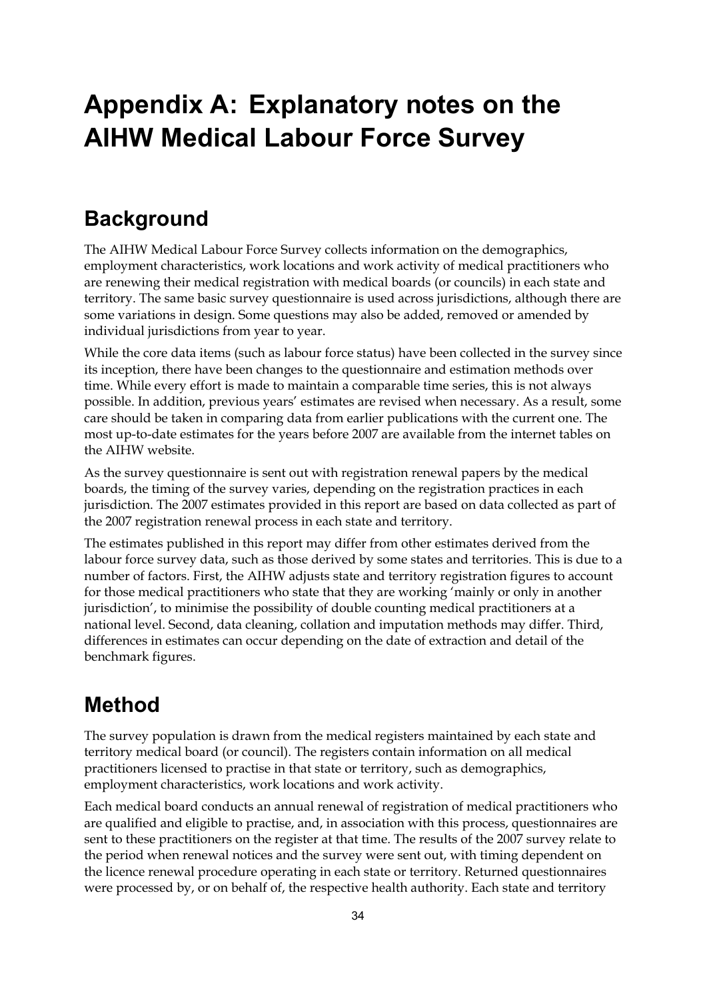## **Appendix A: Explanatory notes on the AIHW Medical Labour Force Survey**

### **Background**

The AIHW Medical Labour Force Survey collects information on the demographics, employment characteristics, work locations and work activity of medical practitioners who are renewing their medical registration with medical boards (or councils) in each state and territory. The same basic survey questionnaire is used across jurisdictions, although there are some variations in design. Some questions may also be added, removed or amended by individual jurisdictions from year to year.

While the core data items (such as labour force status) have been collected in the survey since its inception, there have been changes to the questionnaire and estimation methods over time. While every effort is made to maintain a comparable time series, this is not always possible. In addition, previous years' estimates are revised when necessary. As a result, some care should be taken in comparing data from earlier publications with the current one. The most up-to-date estimates for the years before 2007 are available from the internet tables on the AIHW website.

As the survey questionnaire is sent out with registration renewal papers by the medical boards, the timing of the survey varies, depending on the registration practices in each jurisdiction. The 2007 estimates provided in this report are based on data collected as part of the 2007 registration renewal process in each state and territory.

The estimates published in this report may differ from other estimates derived from the labour force survey data, such as those derived by some states and territories. This is due to a number of factors. First, the AIHW adjusts state and territory registration figures to account for those medical practitioners who state that they are working 'mainly or only in another jurisdiction', to minimise the possibility of double counting medical practitioners at a national level. Second, data cleaning, collation and imputation methods may differ. Third, differences in estimates can occur depending on the date of extraction and detail of the benchmark figures.

## **Method**

The survey population is drawn from the medical registers maintained by each state and territory medical board (or council). The registers contain information on all medical practitioners licensed to practise in that state or territory, such as demographics, employment characteristics, work locations and work activity.

Each medical board conducts an annual renewal of registration of medical practitioners who are qualified and eligible to practise, and, in association with this process, questionnaires are sent to these practitioners on the register at that time. The results of the 2007 survey relate to the period when renewal notices and the survey were sent out, with timing dependent on the licence renewal procedure operating in each state or territory. Returned questionnaires were processed by, or on behalf of, the respective health authority. Each state and territory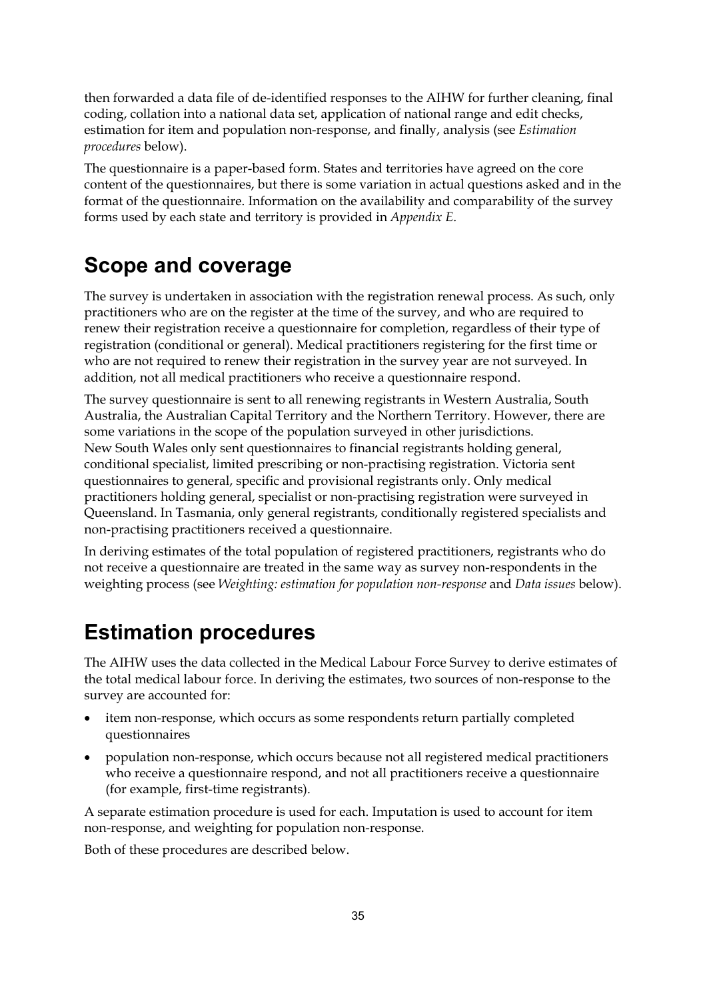then forwarded a data file of de-identified responses to the AIHW for further cleaning, final coding, collation into a national data set, application of national range and edit checks, estimation for item and population non-response, and finally, analysis (see *Estimation procedures* below).

The questionnaire is a paper-based form. States and territories have agreed on the core content of the questionnaires, but there is some variation in actual questions asked and in the format of the questionnaire. Information on the availability and comparability of the survey forms used by each state and territory is provided in *Appendix E*.

## **Scope and coverage**

The survey is undertaken in association with the registration renewal process. As such, only practitioners who are on the register at the time of the survey, and who are required to renew their registration receive a questionnaire for completion, regardless of their type of registration (conditional or general). Medical practitioners registering for the first time or who are not required to renew their registration in the survey year are not surveyed. In addition, not all medical practitioners who receive a questionnaire respond.

The survey questionnaire is sent to all renewing registrants in Western Australia, South Australia, the Australian Capital Territory and the Northern Territory. However, there are some variations in the scope of the population surveyed in other jurisdictions. New South Wales only sent questionnaires to financial registrants holding general, conditional specialist, limited prescribing or non-practising registration. Victoria sent questionnaires to general, specific and provisional registrants only. Only medical practitioners holding general, specialist or non-practising registration were surveyed in Queensland. In Tasmania, only general registrants, conditionally registered specialists and non-practising practitioners received a questionnaire.

In deriving estimates of the total population of registered practitioners, registrants who do not receive a questionnaire are treated in the same way as survey non-respondents in the weighting process (see *Weighting: estimation for population non-response* and *Data issues* below).

### **Estimation procedures**

The AIHW uses the data collected in the Medical Labour Force Survey to derive estimates of the total medical labour force. In deriving the estimates, two sources of non-response to the survey are accounted for:

- item non-response, which occurs as some respondents return partially completed questionnaires
- population non-response, which occurs because not all registered medical practitioners who receive a questionnaire respond, and not all practitioners receive a questionnaire (for example, first-time registrants).

A separate estimation procedure is used for each. Imputation is used to account for item non-response, and weighting for population non-response.

Both of these procedures are described below.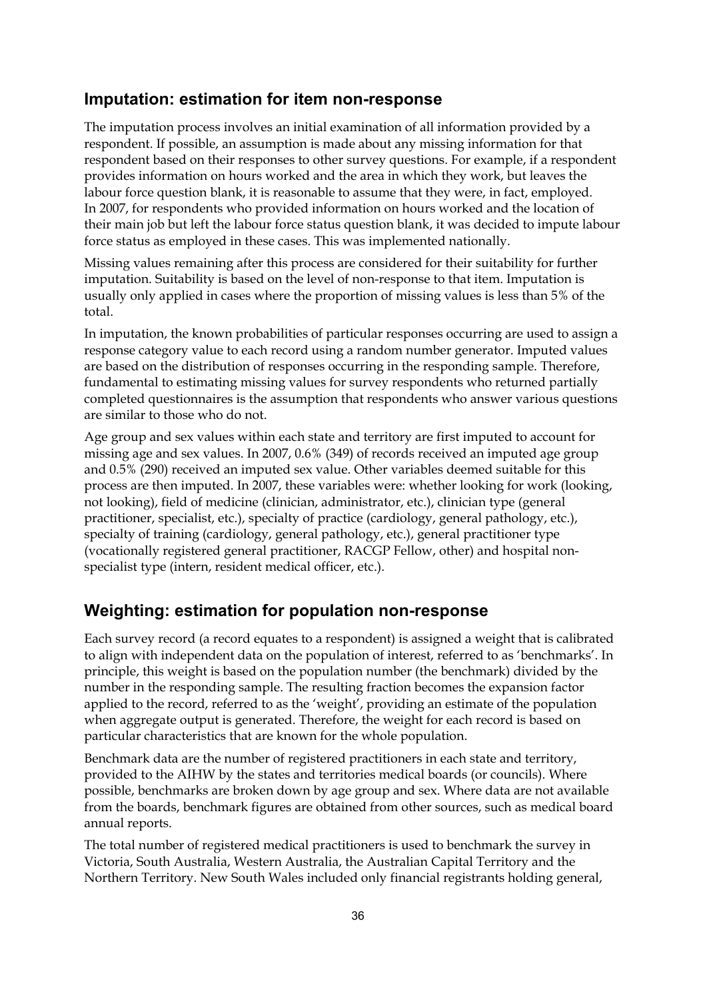#### **Imputation: estimation for item non-response**

The imputation process involves an initial examination of all information provided by a respondent. If possible, an assumption is made about any missing information for that respondent based on their responses to other survey questions. For example, if a respondent provides information on hours worked and the area in which they work, but leaves the labour force question blank, it is reasonable to assume that they were, in fact, employed. In 2007, for respondents who provided information on hours worked and the location of their main job but left the labour force status question blank, it was decided to impute labour force status as employed in these cases. This was implemented nationally.

Missing values remaining after this process are considered for their suitability for further imputation. Suitability is based on the level of non-response to that item. Imputation is usually only applied in cases where the proportion of missing values is less than 5% of the total.

In imputation, the known probabilities of particular responses occurring are used to assign a response category value to each record using a random number generator. Imputed values are based on the distribution of responses occurring in the responding sample. Therefore, fundamental to estimating missing values for survey respondents who returned partially completed questionnaires is the assumption that respondents who answer various questions are similar to those who do not.

Age group and sex values within each state and territory are first imputed to account for missing age and sex values. In 2007, 0.6% (349) of records received an imputed age group and 0.5% (290) received an imputed sex value. Other variables deemed suitable for this process are then imputed. In 2007, these variables were: whether looking for work (looking, not looking), field of medicine (clinician, administrator, etc.), clinician type (general practitioner, specialist, etc.), specialty of practice (cardiology, general pathology, etc.), specialty of training (cardiology, general pathology, etc.), general practitioner type (vocationally registered general practitioner, RACGP Fellow, other) and hospital nonspecialist type (intern, resident medical officer, etc.).

#### **Weighting: estimation for population non-response**

Each survey record (a record equates to a respondent) is assigned a weight that is calibrated to align with independent data on the population of interest, referred to as 'benchmarks'. In principle, this weight is based on the population number (the benchmark) divided by the number in the responding sample. The resulting fraction becomes the expansion factor applied to the record, referred to as the 'weight', providing an estimate of the population when aggregate output is generated. Therefore, the weight for each record is based on particular characteristics that are known for the whole population.

Benchmark data are the number of registered practitioners in each state and territory, provided to the AIHW by the states and territories medical boards (or councils). Where possible, benchmarks are broken down by age group and sex. Where data are not available from the boards, benchmark figures are obtained from other sources, such as medical board annual reports.

The total number of registered medical practitioners is used to benchmark the survey in Victoria, South Australia, Western Australia, the Australian Capital Territory and the Northern Territory. New South Wales included only financial registrants holding general,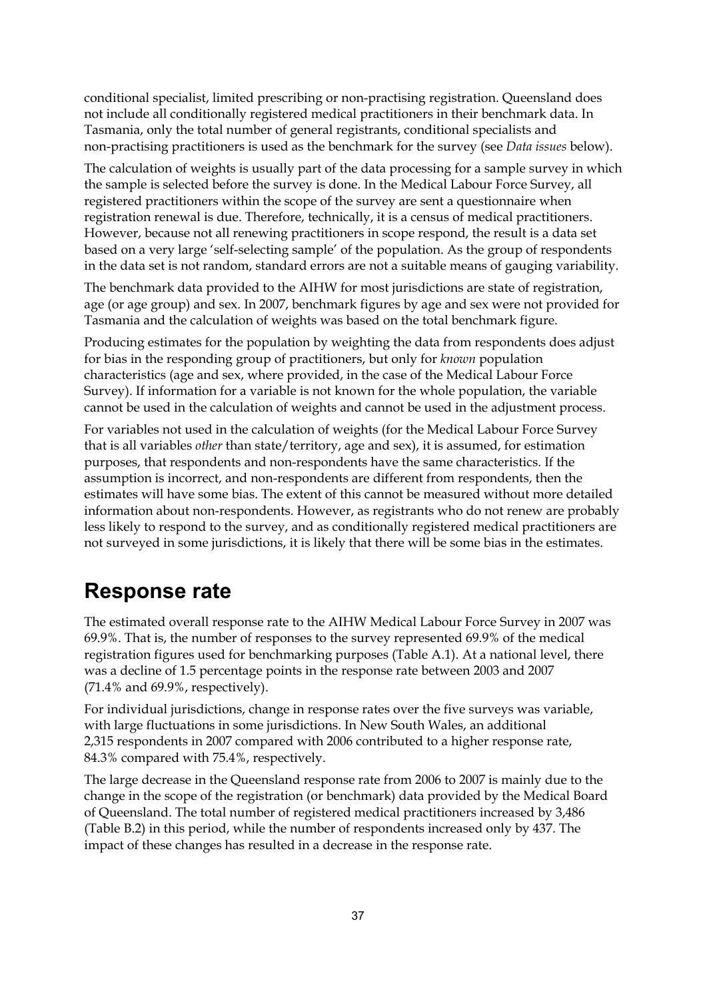conditional specialist, limited prescribing or non-practising registration. Queensland does not include all conditionally registered medical practitioners in their benchmark data. In Tasmania, only the total number of general registrants, conditional specialists and non-practising practitioners is used as the benchmark for the survey (see *Data issues* below).

The calculation of weights is usually part of the data processing for a sample survey in which the sample is selected before the survey is done. In the Medical Labour Force Survey, all registered practitioners within the scope of the survey are sent a questionnaire when registration renewal is due. Therefore, technically, it is a census of medical practitioners. However, because not all renewing practitioners in scope respond, the result is a data set based on a very large 'self-selecting sample' of the population. As the group of respondents in the data set is not random, standard errors are not a suitable means of gauging variability.

The benchmark data provided to the AIHW for most jurisdictions are state of registration, age (or age group) and sex. In 2007, benchmark figures by age and sex were not provided for Tasmania and the calculation of weights was based on the total benchmark figure.

Producing estimates for the population by weighting the data from respondents does adjust for bias in the responding group of practitioners, but only for *known* population characteristics (age and sex, where provided, in the case of the Medical Labour Force Survey). If information for a variable is not known for the whole population, the variable cannot be used in the calculation of weights and cannot be used in the adjustment process.

For variables not used in the calculation of weights (for the Medical Labour Force Survey that is all variables *other* than state/territory, age and sex), it is assumed, for estimation purposes, that respondents and non-respondents have the same characteristics. If the assumption is incorrect, and non-respondents are different from respondents, then the estimates will have some bias. The extent of this cannot be measured without more detailed information about non-respondents. However, as registrants who do not renew are probably less likely to respond to the survey, and as conditionally registered medical practitioners are not surveyed in some jurisdictions, it is likely that there will be some bias in the estimates.

### **Response rate**

The estimated overall response rate to the AIHW Medical Labour Force Survey in 2007 was 69.9%. That is, the number of responses to the survey represented 69.9% of the medical registration figures used for benchmarking purposes (Table A.1). At a national level, there was a decline of 1.5 percentage points in the response rate between 2003 and 2007 (71.4% and 69.9%, respectively).

For individual jurisdictions, change in response rates over the five surveys was variable, with large fluctuations in some jurisdictions. In New South Wales, an additional 2,315 respondents in 2007 compared with 2006 contributed to a higher response rate, 84.3% compared with 75.4%, respectively.

The large decrease in the Queensland response rate from 2006 to 2007 is mainly due to the change in the scope of the registration (or benchmark) data provided by the Medical Board of Queensland. The total number of registered medical practitioners increased by 3,486 (Table B.2) in this period, while the number of respondents increased only by 437. The impact of these changes has resulted in a decrease in the response rate.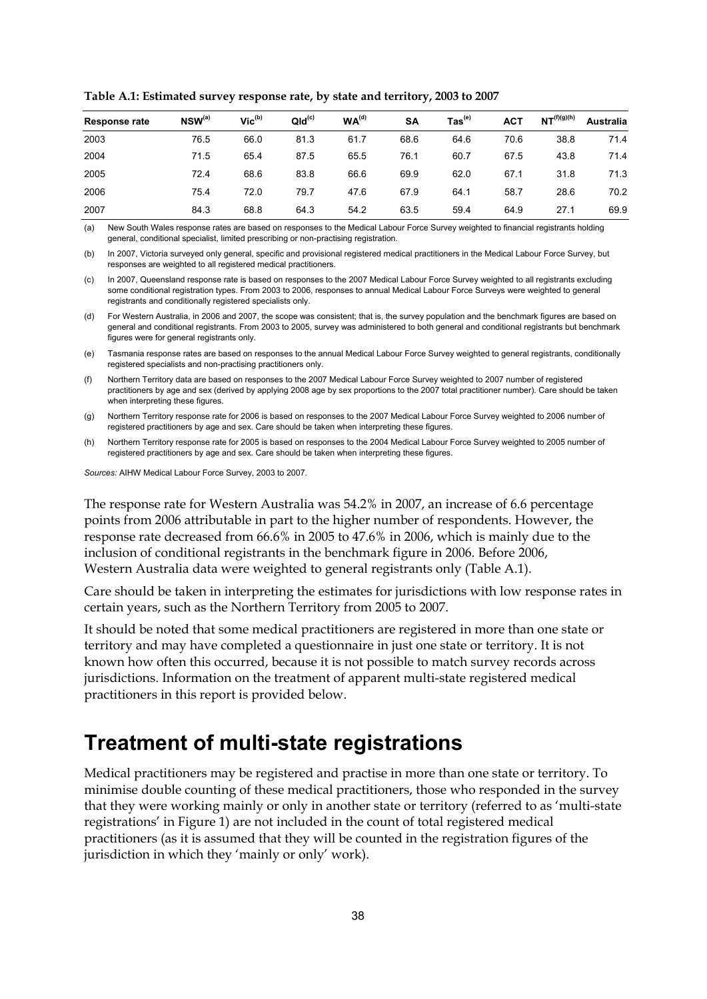| <b>Response rate</b> | $NSW^{(a)}$ | $Vic^{(b)}$ | QId <sup>(c)</sup> | WA <sup>(d)</sup> | <b>SA</b> | $\mathsf{ Tas}^\mathsf{(e)}$ | <b>ACT</b> | NT <sup>(f)(g)(h)</sup> | <b>Australia</b> |
|----------------------|-------------|-------------|--------------------|-------------------|-----------|------------------------------|------------|-------------------------|------------------|
| 2003                 | 76.5        | 66.0        | 81.3               | 61.7              | 68.6      | 64.6                         | 70.6       | 38.8                    | 71.4             |
| 2004                 | 71.5        | 65.4        | 87.5               | 65.5              | 76.1      | 60.7                         | 67.5       | 43.8                    | 71.4             |
| 2005                 | 72.4        | 68.6        | 83.8               | 66.6              | 69.9      | 62.0                         | 67.1       | 31.8                    | 71.3             |
| 2006                 | 75.4        | 72.0        | 79.7               | 47.6              | 67.9      | 64.1                         | 58.7       | 28.6                    | 70.2             |
| 2007                 | 84.3        | 68.8        | 64.3               | 54.2              | 63.5      | 59.4                         | 64.9       | 27.1                    | 69.9             |

<span id="page-43-0"></span>**Table A.1: Estimated survey response rate, by state and territory, 2003 to 2007** 

(a) New South Wales response rates are based on responses to the Medical Labour Force Survey weighted to financial registrants holding general, conditional specialist, limited prescribing or non-practising registration.

(b) In 2007, Victoria surveyed only general, specific and provisional registered medical practitioners in the Medical Labour Force Survey, but responses are weighted to all registered medical practitioners.

(c) In 2007, Queensland response rate is based on responses to the 2007 Medical Labour Force Survey weighted to all registrants excluding some conditional registration types. From 2003 to 2006, responses to annual Medical Labour Force Surveys were weighted to general registrants and conditionally registered specialists only.

(d) For Western Australia, in 2006 and 2007, the scope was consistent; that is, the survey population and the benchmark figures are based on general and conditional registrants. From 2003 to 2005, survey was administered to both general and conditional registrants but benchmark figures were for general registrants only.

(e) Tasmania response rates are based on responses to the annual Medical Labour Force Survey weighted to general registrants, conditionally registered specialists and non-practising practitioners only.

(f) Northern Territory data are based on responses to the 2007 Medical Labour Force Survey weighted to 2007 number of registered practitioners by age and sex (derived by applying 2008 age by sex proportions to the 2007 total practitioner number). Care should be taken when interpreting these figures.

(g) Northern Territory response rate for 2006 is based on responses to the 2007 Medical Labour Force Survey weighted to 2006 number of registered practitioners by age and sex. Care should be taken when interpreting these figures.

(h) Northern Territory response rate for 2005 is based on responses to the 2004 Medical Labour Force Survey weighted to 2005 number of registered practitioners by age and sex. Care should be taken when interpreting these figures.

*Sources:* AIHW Medical Labour Force Survey, 2003 to 2007.

The response rate for Western Australia was 54.2% in 2007, an increase of 6.6 percentage points from 2006 attributable in part to the higher number of respondents. However, the response rate decreased from 66.6% in 2005 to 47.6% in 2006, which is mainly due to the inclusion of conditional registrants in the benchmark figure in 2006. Before 2006, Western Australia data were weighted to general registrants only (Table A.1).

Care should be taken in interpreting the estimates for jurisdictions with low response rates in certain years, such as the Northern Territory from 2005 to 2007.

It should be noted that some medical practitioners are registered in more than one state or territory and may have completed a questionnaire in just one state or territory. It is not known how often this occurred, because it is not possible to match survey records across jurisdictions. Information on the treatment of apparent multi-state registered medical practitioners in this report is provided below.

### **Treatment of multi-state registrations**

Medical practitioners may be registered and practise in more than one state or territory. To minimise double counting of these medical practitioners, those who responded in the survey that they were working mainly or only in another state or territory (referred to as 'multi-state registrations' in Figure 1) are not included in the count of total registered medical practitioners (as it is assumed that they will be counted in the registration figures of the jurisdiction in which they 'mainly or only' work).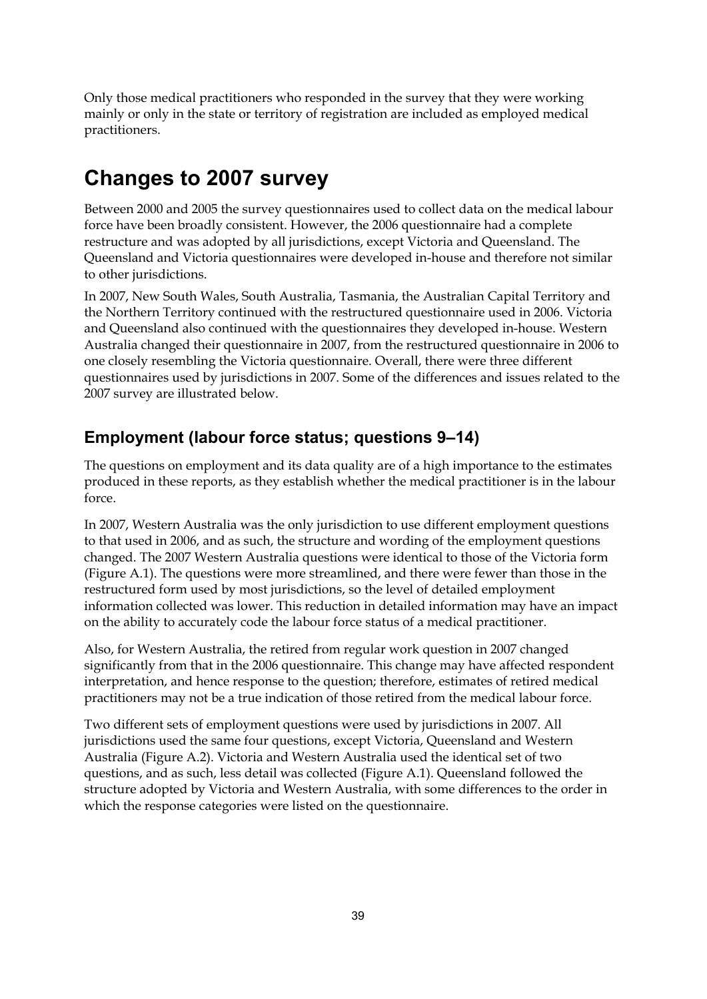Only those medical practitioners who responded in the survey that they were working mainly or only in the state or territory of registration are included as employed medical practitioners.

### **Changes to 2007 survey**

Between 2000 and 2005 the survey questionnaires used to collect data on the medical labour force have been broadly consistent. However, the 2006 questionnaire had a complete restructure and was adopted by all jurisdictions, except Victoria and Queensland. The Queensland and Victoria questionnaires were developed in-house and therefore not similar to other jurisdictions.

In 2007, New South Wales, South Australia, Tasmania, the Australian Capital Territory and the Northern Territory continued with the restructured questionnaire used in 2006. Victoria and Queensland also continued with the questionnaires they developed in-house. Western Australia changed their questionnaire in 2007, from the restructured questionnaire in 2006 to one closely resembling the Victoria questionnaire. Overall, there were three different questionnaires used by jurisdictions in 2007. Some of the differences and issues related to the 2007 survey are illustrated below.

### **Employment (labour force status; questions 9–14)**

The questions on employment and its data quality are of a high importance to the estimates produced in these reports, as they establish whether the medical practitioner is in the labour force.

In 2007, Western Australia was the only jurisdiction to use different employment questions to that used in 2006, and as such, the structure and wording of the employment questions changed. The 2007 Western Australia questions were identical to those of the Victoria form (Figure A.1). The questions were more streamlined, and there were fewer than those in the restructured form used by most jurisdictions, so the level of detailed employment information collected was lower. This reduction in detailed information may have an impact on the ability to accurately code the labour force status of a medical practitioner.

Also, for Western Australia, the retired from regular work question in 2007 changed significantly from that in the 2006 questionnaire. This change may have affected respondent interpretation, and hence response to the question; therefore, estimates of retired medical practitioners may not be a true indication of those retired from the medical labour force.

Two different sets of employment questions were used by jurisdictions in 2007. All jurisdictions used the same four questions, except Victoria, Queensland and Western Australia (Figure A.2). Victoria and Western Australia used the identical set of two questions, and as such, less detail was collected (Figure A.1). Queensland followed the structure adopted by Victoria and Western Australia, with some differences to the order in which the response categories were listed on the questionnaire.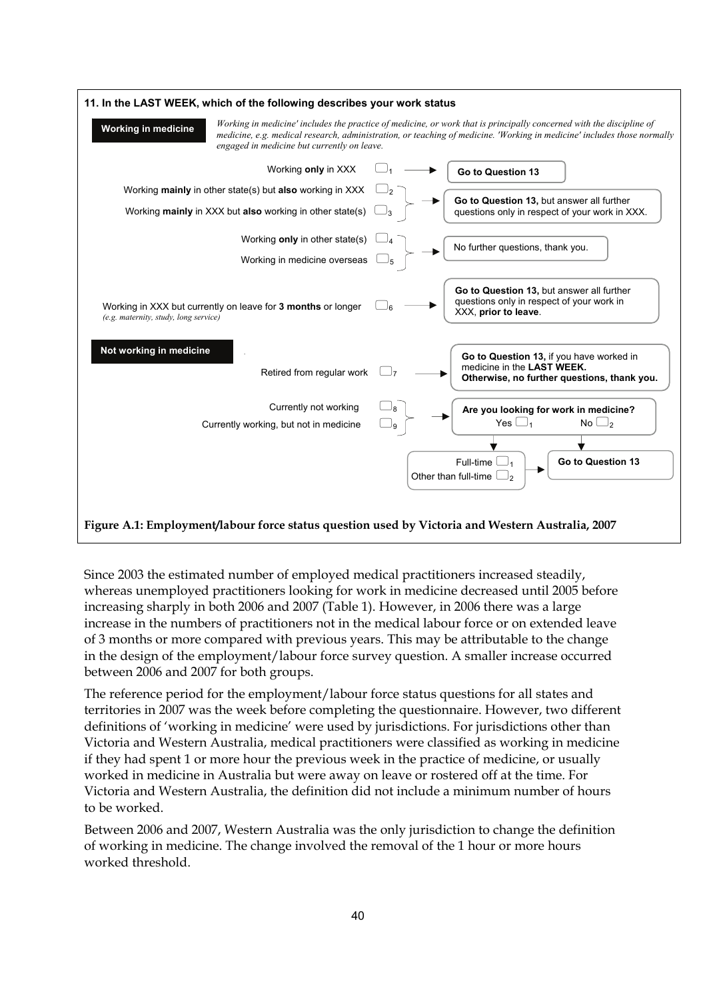

<span id="page-45-0"></span>Since 2003 the estimated number of employed medical practitioners increased steadily, whereas unemployed practitioners looking for work in medicine decreased until 2005 before increasing sharply in both 2006 and 2007 (Table 1). However, in 2006 there was a large increase in the numbers of practitioners not in the medical labour force or on extended leave of 3 months or more compared with previous years. This may be attributable to the change in the design of the employment/labour force survey question. A smaller increase occurred between 2006 and 2007 for both groups.

The reference period for the employment/labour force status questions for all states and territories in 2007 was the week before completing the questionnaire. However, two different definitions of 'working in medicine' were used by jurisdictions. For jurisdictions other than Victoria and Western Australia, medical practitioners were classified as working in medicine if they had spent 1 or more hour the previous week in the practice of medicine, or usually worked in medicine in Australia but were away on leave or rostered off at the time. For Victoria and Western Australia, the definition did not include a minimum number of hours to be worked.

Between 2006 and 2007, Western Australia was the only jurisdiction to change the definition of working in medicine. The change involved the removal of the 1 hour or more hours worked threshold.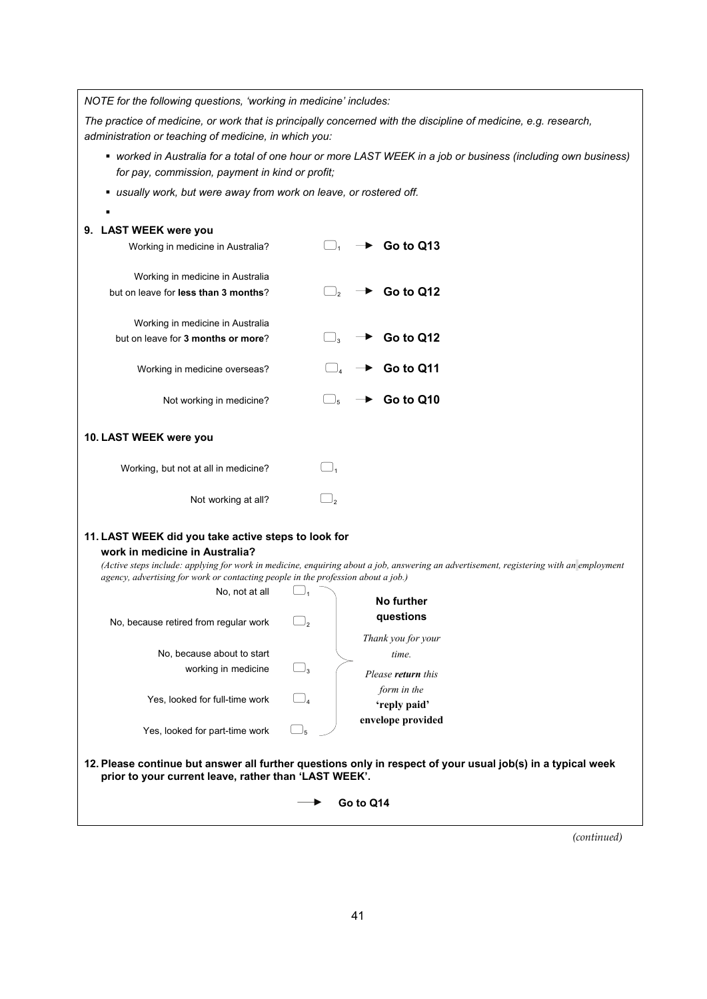*NOTE for the following questions, 'working in medicine' includes:* 

*The practice of medicine, or work that is principally concerned with the discipline of medicine, e.g. research, administration or teaching of medicine, in which you:* 

- *worked in Australia for a total of one hour or more LAST WEEK in a job or business (including own business) for pay, commission, payment in kind or profit;*
- *usually work, but were away from work on leave, or rostered off.*

| 9. LAST WEEK were you                                                             |                                                                                                                                         |
|-----------------------------------------------------------------------------------|-----------------------------------------------------------------------------------------------------------------------------------------|
| Working in medicine in Australia?                                                 | Go to Q13                                                                                                                               |
| Working in medicine in Australia                                                  |                                                                                                                                         |
| but on leave for less than 3 months?                                              | Go to Q12                                                                                                                               |
| Working in medicine in Australia                                                  |                                                                                                                                         |
| but on leave for 3 months or more?                                                | Go to Q12                                                                                                                               |
| Working in medicine overseas?                                                     | Go to Q11                                                                                                                               |
| Not working in medicine?                                                          | Go to Q10<br>$\vert$ $\vert$ <sub>5</sub>                                                                                               |
| 10. LAST WEEK were you                                                            |                                                                                                                                         |
| Working, but not at all in medicine?                                              | $\bigcup_{1}$                                                                                                                           |
| Not working at all?                                                               | 2 ا                                                                                                                                     |
| 11. LAST WEEK did you take active steps to look for                               |                                                                                                                                         |
| work in medicine in Australia?                                                    |                                                                                                                                         |
| agency, advertising for work or contacting people in the profession about a job.) | (Active steps include: applying for work in medicine, enquiring about a job, answering an advertisement, registering with an employment |
| No, not at all                                                                    |                                                                                                                                         |
|                                                                                   | No further                                                                                                                              |
| No, because retired from regular work                                             | questions<br>$\Box_2$                                                                                                                   |
|                                                                                   | Thank you for your                                                                                                                      |
| No, because about to start                                                        | time.                                                                                                                                   |
| working in medicine                                                               | $\Box_3$<br>Please <b>return</b> this                                                                                                   |
|                                                                                   | form in the                                                                                                                             |
| Yes, looked for full-time work                                                    | 'reply paid'                                                                                                                            |
| Yes, looked for part-time work $\Box_{5}$                                         | envelope provided                                                                                                                       |
| prior to your current leave, rather than 'LAST WEEK'.                             | 12. Please continue but answer all further questions only in respect of your usual job(s) in a typical week                             |
|                                                                                   | Go to Q14                                                                                                                               |
|                                                                                   |                                                                                                                                         |

*(continued)*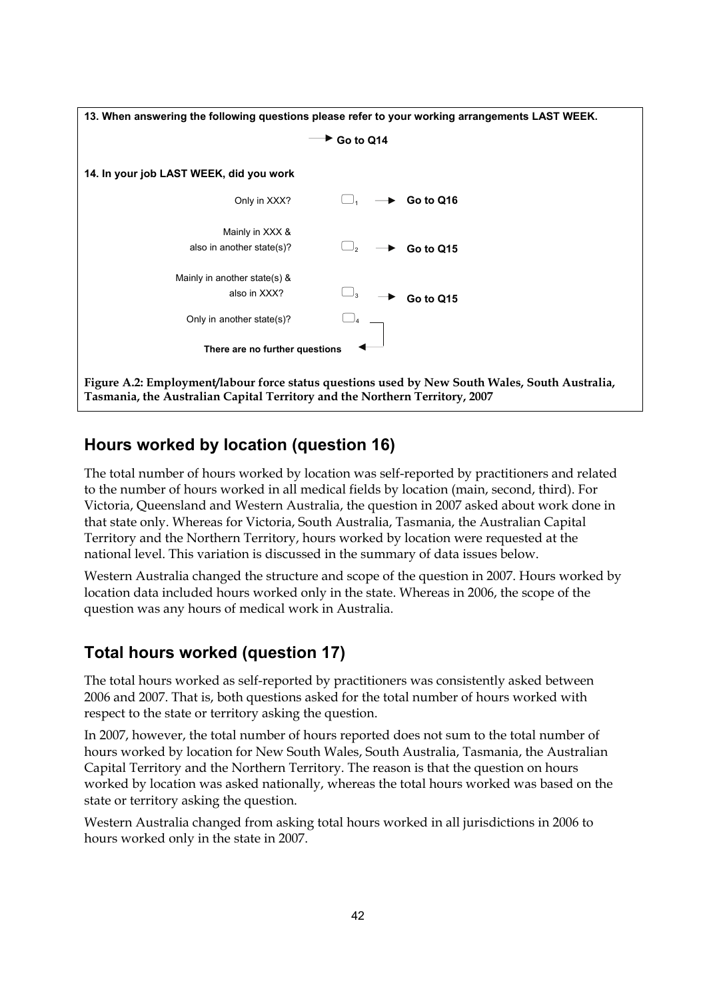

### <span id="page-47-0"></span>**Hours worked by location (question 16)**

The total number of hours worked by location was self-reported by practitioners and related to the number of hours worked in all medical fields by location (main, second, third). For Victoria, Queensland and Western Australia, the question in 2007 asked about work done in that state only. Whereas for Victoria, South Australia, Tasmania, the Australian Capital Territory and the Northern Territory, hours worked by location were requested at the national level. This variation is discussed in the summary of data issues below.

Western Australia changed the structure and scope of the question in 2007. Hours worked by location data included hours worked only in the state. Whereas in 2006, the scope of the question was any hours of medical work in Australia.

### **Total hours worked (question 17)**

The total hours worked as self-reported by practitioners was consistently asked between 2006 and 2007. That is, both questions asked for the total number of hours worked with respect to the state or territory asking the question.

In 2007, however, the total number of hours reported does not sum to the total number of hours worked by location for New South Wales, South Australia, Tasmania, the Australian Capital Territory and the Northern Territory. The reason is that the question on hours worked by location was asked nationally, whereas the total hours worked was based on the state or territory asking the question.

Western Australia changed from asking total hours worked in all jurisdictions in 2006 to hours worked only in the state in 2007.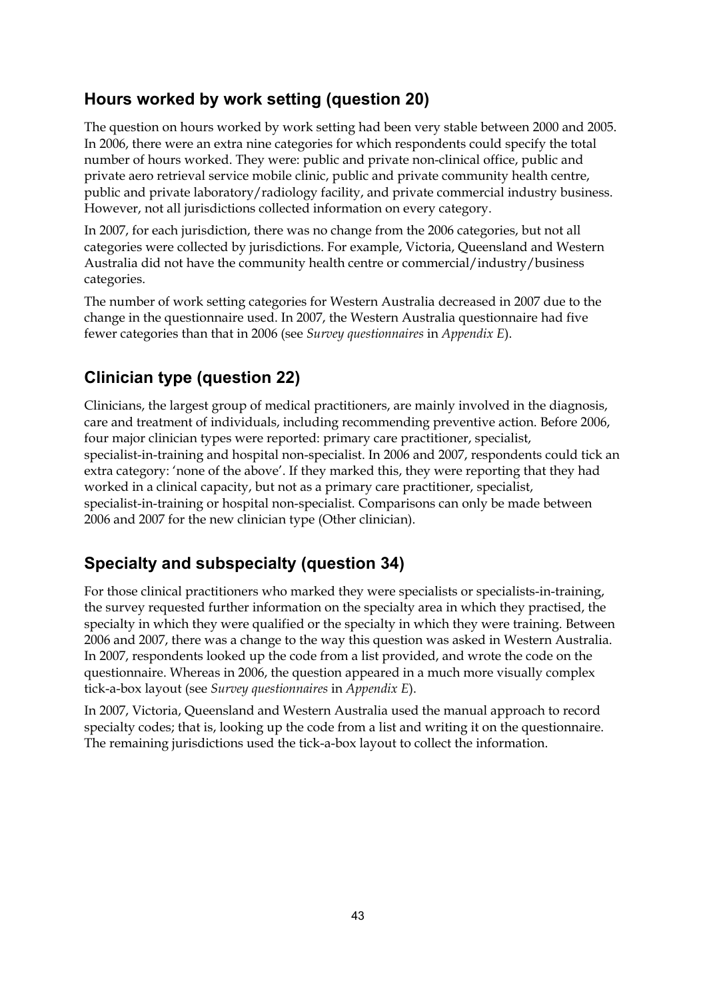### **Hours worked by work setting (question 20)**

The question on hours worked by work setting had been very stable between 2000 and 2005. In 2006, there were an extra nine categories for which respondents could specify the total number of hours worked. They were: public and private non-clinical office, public and private aero retrieval service mobile clinic, public and private community health centre, public and private laboratory/radiology facility, and private commercial industry business. However, not all jurisdictions collected information on every category.

In 2007, for each jurisdiction, there was no change from the 2006 categories, but not all categories were collected by jurisdictions. For example, Victoria, Queensland and Western Australia did not have the community health centre or commercial/industry/business categories.

The number of work setting categories for Western Australia decreased in 2007 due to the change in the questionnaire used. In 2007, the Western Australia questionnaire had five fewer categories than that in 2006 (see *Survey questionnaires* in *Appendix E*).

### **Clinician type (question 22)**

Clinicians, the largest group of medical practitioners, are mainly involved in the diagnosis, care and treatment of individuals, including recommending preventive action. Before 2006, four major clinician types were reported: primary care practitioner, specialist, specialist-in-training and hospital non-specialist. In 2006 and 2007, respondents could tick an extra category: 'none of the above'. If they marked this, they were reporting that they had worked in a clinical capacity, but not as a primary care practitioner, specialist, specialist-in-training or hospital non-specialist. Comparisons can only be made between 2006 and 2007 for the new clinician type (Other clinician).

### **Specialty and subspecialty (question 34)**

For those clinical practitioners who marked they were specialists or specialists-in-training, the survey requested further information on the specialty area in which they practised, the specialty in which they were qualified or the specialty in which they were training. Between 2006 and 2007, there was a change to the way this question was asked in Western Australia. In 2007, respondents looked up the code from a list provided, and wrote the code on the questionnaire. Whereas in 2006, the question appeared in a much more visually complex tick-a-box layout (see *Survey questionnaires* in *Appendix E*).

In 2007, Victoria, Queensland and Western Australia used the manual approach to record specialty codes; that is, looking up the code from a list and writing it on the questionnaire. The remaining jurisdictions used the tick-a-box layout to collect the information.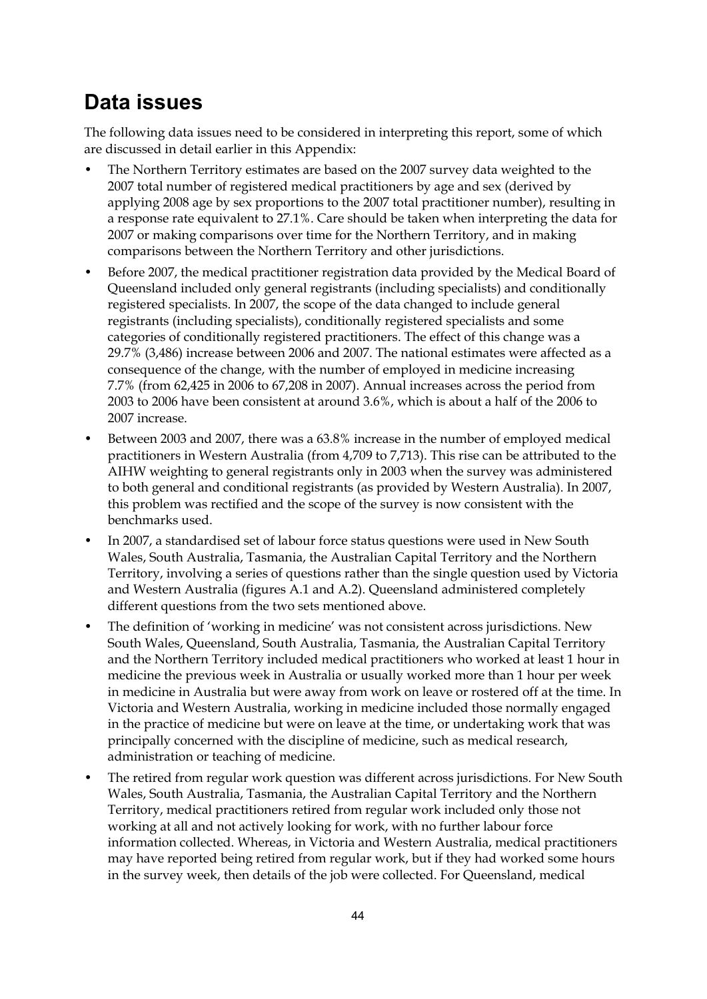### **Data issues**

The following data issues need to be considered in interpreting this report, some of which are discussed in detail earlier in this Appendix:

- The Northern Territory estimates are based on the 2007 survey data weighted to the 2007 total number of registered medical practitioners by age and sex (derived by applying 2008 age by sex proportions to the 2007 total practitioner number), resulting in a response rate equivalent to 27.1%. Care should be taken when interpreting the data for 2007 or making comparisons over time for the Northern Territory, and in making comparisons between the Northern Territory and other jurisdictions.
- Before 2007, the medical practitioner registration data provided by the Medical Board of Queensland included only general registrants (including specialists) and conditionally registered specialists. In 2007, the scope of the data changed to include general registrants (including specialists), conditionally registered specialists and some categories of conditionally registered practitioners. The effect of this change was a 29.7% (3,486) increase between 2006 and 2007. The national estimates were affected as a consequence of the change, with the number of employed in medicine increasing 7.7% (from 62,425 in 2006 to 67,208 in 2007). Annual increases across the period from 2003 to 2006 have been consistent at around 3.6%, which is about a half of the 2006 to 2007 increase.
- Between 2003 and 2007, there was a 63.8% increase in the number of employed medical practitioners in Western Australia (from 4,709 to 7,713). This rise can be attributed to the AIHW weighting to general registrants only in 2003 when the survey was administered to both general and conditional registrants (as provided by Western Australia). In 2007, this problem was rectified and the scope of the survey is now consistent with the benchmarks used.
- In 2007, a standardised set of labour force status questions were used in New South Wales, South Australia, Tasmania, the Australian Capital Territory and the Northern Territory, involving a series of questions rather than the single question used by Victoria and Western Australia (figures A.1 and A.2). Queensland administered completely different questions from the two sets mentioned above.
- The definition of 'working in medicine' was not consistent across jurisdictions. New South Wales, Queensland, South Australia, Tasmania, the Australian Capital Territory and the Northern Territory included medical practitioners who worked at least 1 hour in medicine the previous week in Australia or usually worked more than 1 hour per week in medicine in Australia but were away from work on leave or rostered off at the time. In Victoria and Western Australia, working in medicine included those normally engaged in the practice of medicine but were on leave at the time, or undertaking work that was principally concerned with the discipline of medicine, such as medical research, administration or teaching of medicine.
- The retired from regular work question was different across jurisdictions. For New South Wales, South Australia, Tasmania, the Australian Capital Territory and the Northern Territory, medical practitioners retired from regular work included only those not working at all and not actively looking for work, with no further labour force information collected. Whereas, in Victoria and Western Australia, medical practitioners may have reported being retired from regular work, but if they had worked some hours in the survey week, then details of the job were collected. For Queensland, medical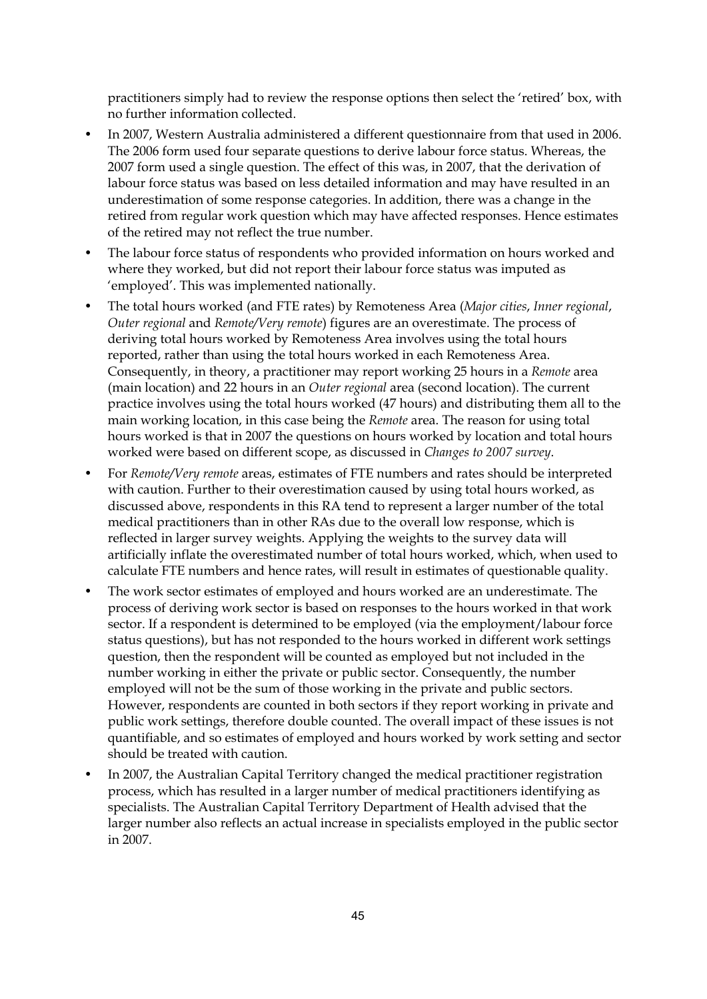practitioners simply had to review the response options then select the 'retired' box, with no further information collected.

- In 2007, Western Australia administered a different questionnaire from that used in 2006. The 2006 form used four separate questions to derive labour force status. Whereas, the 2007 form used a single question. The effect of this was, in 2007, that the derivation of labour force status was based on less detailed information and may have resulted in an underestimation of some response categories. In addition, there was a change in the retired from regular work question which may have affected responses. Hence estimates of the retired may not reflect the true number.
- The labour force status of respondents who provided information on hours worked and where they worked, but did not report their labour force status was imputed as 'employed'. This was implemented nationally.
- The total hours worked (and FTE rates) by Remoteness Area (*Major cities*, *Inner regional*, *Outer regional* and *Remote/Very remote*) figures are an overestimate. The process of deriving total hours worked by Remoteness Area involves using the total hours reported, rather than using the total hours worked in each Remoteness Area. Consequently, in theory, a practitioner may report working 25 hours in a *Remote* area (main location) and 22 hours in an *Outer regional* area (second location). The current practice involves using the total hours worked (47 hours) and distributing them all to the main working location, in this case being the *Remote* area. The reason for using total hours worked is that in 2007 the questions on hours worked by location and total hours worked were based on different scope, as discussed in *Changes to 2007 survey*.
- For *Remote/Very remote* areas, estimates of FTE numbers and rates should be interpreted with caution. Further to their overestimation caused by using total hours worked, as discussed above, respondents in this RA tend to represent a larger number of the total medical practitioners than in other RAs due to the overall low response, which is reflected in larger survey weights. Applying the weights to the survey data will artificially inflate the overestimated number of total hours worked, which, when used to calculate FTE numbers and hence rates, will result in estimates of questionable quality.
- The work sector estimates of employed and hours worked are an underestimate. The process of deriving work sector is based on responses to the hours worked in that work sector. If a respondent is determined to be employed (via the employment/labour force status questions), but has not responded to the hours worked in different work settings question, then the respondent will be counted as employed but not included in the number working in either the private or public sector. Consequently, the number employed will not be the sum of those working in the private and public sectors. However, respondents are counted in both sectors if they report working in private and public work settings, therefore double counted. The overall impact of these issues is not quantifiable, and so estimates of employed and hours worked by work setting and sector should be treated with caution.
- In 2007, the Australian Capital Territory changed the medical practitioner registration process, which has resulted in a larger number of medical practitioners identifying as specialists. The Australian Capital Territory Department of Health advised that the larger number also reflects an actual increase in specialists employed in the public sector in 2007.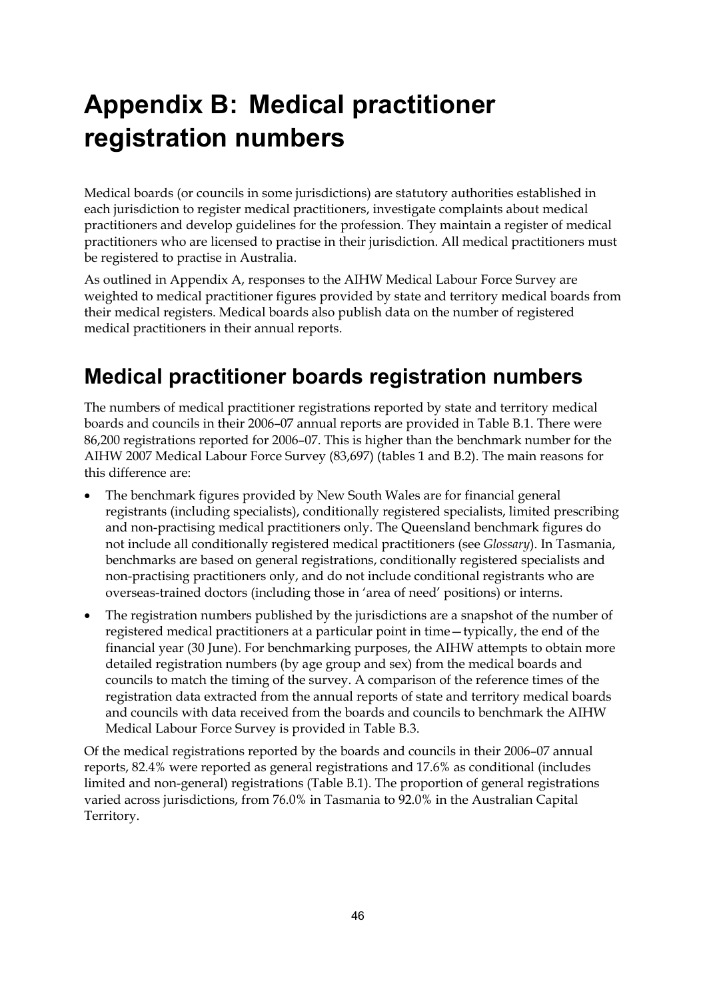# **Appendix B: Medical practitioner registration numbers**

Medical boards (or councils in some jurisdictions) are statutory authorities established in each jurisdiction to register medical practitioners, investigate complaints about medical practitioners and develop guidelines for the profession. They maintain a register of medical practitioners who are licensed to practise in their jurisdiction. All medical practitioners must be registered to practise in Australia.

As outlined in Appendix A, responses to the AIHW Medical Labour Force Survey are weighted to medical practitioner figures provided by state and territory medical boards from their medical registers. Medical boards also publish data on the number of registered medical practitioners in their annual reports.

## **Medical practitioner boards registration numbers**

The numbers of medical practitioner registrations reported by state and territory medical boards and councils in their 2006–07 annual reports are provided in Table B.1. There were 86,200 registrations reported for 2006–07. This is higher than the benchmark number for the AIHW 2007 Medical Labour Force Survey (83,697) (tables 1 and B.2). The main reasons for this difference are:

- The benchmark figures provided by New South Wales are for financial general registrants (including specialists), conditionally registered specialists, limited prescribing and non-practising medical practitioners only. The Queensland benchmark figures do not include all conditionally registered medical practitioners (see *Glossary*). In Tasmania, benchmarks are based on general registrations, conditionally registered specialists and non-practising practitioners only, and do not include conditional registrants who are overseas-trained doctors (including those in 'area of need' positions) or interns.
- The registration numbers published by the jurisdictions are a snapshot of the number of registered medical practitioners at a particular point in time—typically, the end of the financial year (30 June). For benchmarking purposes, the AIHW attempts to obtain more detailed registration numbers (by age group and sex) from the medical boards and councils to match the timing of the survey. A comparison of the reference times of the registration data extracted from the annual reports of state and territory medical boards and councils with data received from the boards and councils to benchmark the AIHW Medical Labour Force Survey is provided in Table B.3.

Of the medical registrations reported by the boards and councils in their 2006–07 annual reports, 82.4% were reported as general registrations and 17.6% as conditional (includes limited and non-general) registrations (Table B.1). The proportion of general registrations varied across jurisdictions, from 76.0% in Tasmania to 92.0% in the Australian Capital Territory.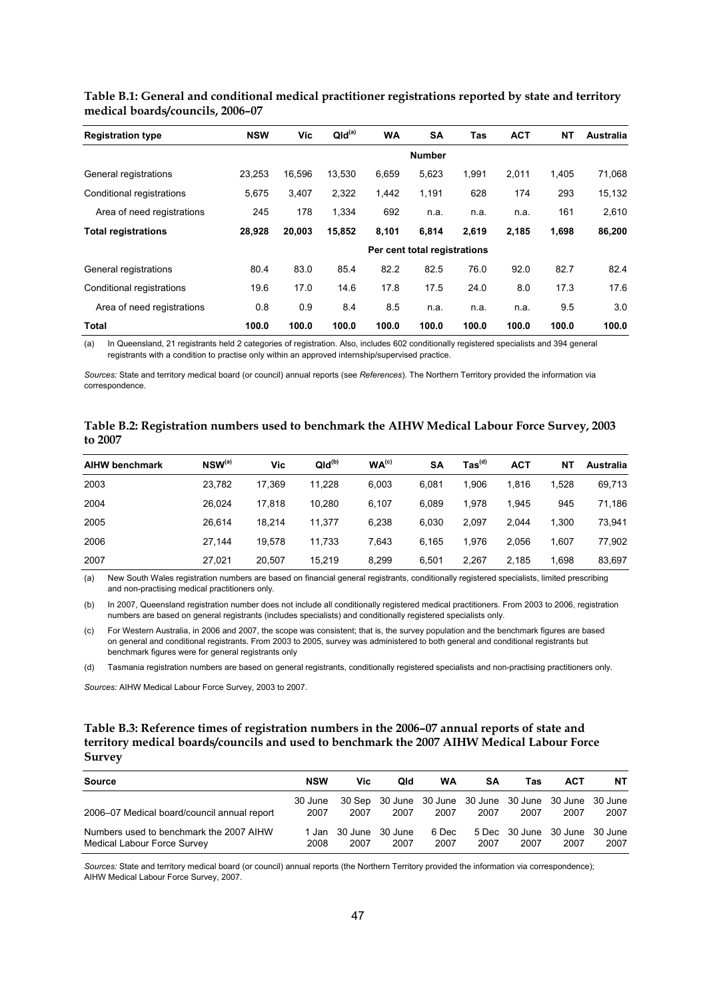| <b>Registration type</b>   | <b>NSW</b> | Vic    | QId <sup>(a)</sup> | <b>WA</b> | <b>SA</b>                    | Tas   | <b>ACT</b> | <b>NT</b> | Australia |
|----------------------------|------------|--------|--------------------|-----------|------------------------------|-------|------------|-----------|-----------|
|                            |            |        |                    |           | <b>Number</b>                |       |            |           |           |
| General registrations      | 23,253     | 16,596 | 13,530             | 6,659     | 5,623                        | 1,991 | 2,011      | 1,405     | 71,068    |
| Conditional registrations  | 5,675      | 3.407  | 2,322              | 1,442     | 1,191                        | 628   | 174        | 293       | 15,132    |
| Area of need registrations | 245        | 178    | 1,334              | 692       | n.a.                         | n.a.  | n.a.       | 161       | 2,610     |
| <b>Total registrations</b> | 28,928     | 20.003 | 15,852             | 8,101     | 6.814                        | 2.619 | 2.185      | 1,698     | 86,200    |
|                            |            |        |                    |           | Per cent total registrations |       |            |           |           |
| General registrations      | 80.4       | 83.0   | 85.4               | 82.2      | 82.5                         | 76.0  | 92.0       | 82.7      | 82.4      |
| Conditional registrations  | 19.6       | 17.0   | 14.6               | 17.8      | 17.5                         | 24.0  | 8.0        | 17.3      | 17.6      |
| Area of need registrations | 0.8        | 0.9    | 8.4                | 8.5       | n.a.                         | n.a.  | n.a.       | 9.5       | 3.0       |
| <b>Total</b>               | 100.0      | 100.0  | 100.0              | 100.0     | 100.0                        | 100.0 | 100.0      | 100.0     | 100.0     |

#### <span id="page-52-0"></span>**Table B.1: General and conditional medical practitioner registrations reported by state and territory medical boards/councils, 2006–07**

(a) In Queensland, 21 registrants held 2 categories of registration. Also, includes 602 conditionally registered specialists and 394 general registrants with a condition to practise only within an approved internship/supervised practice.

*Sources:* State and territory medical board (or council) annual reports (see *References*). The Northern Territory provided the information via correspondence.

#### <span id="page-52-1"></span>**Table B.2: Registration numbers used to benchmark the AIHW Medical Labour Force Survey, 2003 to 2007**

| <b>AIHW benchmark</b> | $NSW^{(a)}$ | Vic    | $QId^{(b)}$ | WA <sup>(c)</sup> | <b>SA</b> | $\text{Tas}^{\text{(d)}}$ | <b>ACT</b> | NΤ    | Australia |
|-----------------------|-------------|--------|-------------|-------------------|-----------|---------------------------|------------|-------|-----------|
| 2003                  | 23,782      | 17.369 | 11.228      | 6.003             | 6.081     | 1.906                     | 1.816      | 1.528 | 69,713    |
| 2004                  | 26.024      | 17.818 | 10.280      | 6,107             | 6.089     | 1.978                     | 1.945      | 945   | 71,186    |
| 2005                  | 26.614      | 18.214 | 11.377      | 6,238             | 6.030     | 2.097                     | 2.044      | 1.300 | 73,941    |
| 2006                  | 27.144      | 19.578 | 11.733      | 7.643             | 6.165     | 1.976                     | 2.056      | 1.607 | 77,902    |
| 2007                  | 27,021      | 20.507 | 15.219      | 8.299             | 6.501     | 2.267                     | 2.185      | 1.698 | 83,697    |

(a) New South Wales registration numbers are based on financial general registrants, conditionally registered specialists, limited prescribing and non-practising medical practitioners only.

(b) In 2007, Queensland registration number does not include all conditionally registered medical practitioners. From 2003 to 2006, registration numbers are based on general registrants (includes specialists) and conditionally registered specialists only.

(c) For Western Australia, in 2006 and 2007, the scope was consistent; that is, the survey population and the benchmark figures are based on general and conditional registrants. From 2003 to 2005, survey was administered to both general and conditional registrants but benchmark figures were for general registrants only

(d) Tasmania registration numbers are based on general registrants, conditionally registered specialists and non-practising practitioners only.

*Sources:* AIHW Medical Labour Force Survey, 2003 to 2007.

#### <span id="page-52-2"></span>**Table B.3: Reference times of registration numbers in the 2006–07 annual reports of state and territory medical boards/councils and used to benchmark the 2007 AIHW Medical Labour Force Survey**

| <b>Source</b>                                                          | <b>NSW</b>      | Vic                     | Qld                                                            | WA            | SΑ   | Tas                                   | <b>ACT</b> | <b>NT</b> |
|------------------------------------------------------------------------|-----------------|-------------------------|----------------------------------------------------------------|---------------|------|---------------------------------------|------------|-----------|
| 2006–07 Medical board/council annual report                            | 30 June<br>2007 | 2007                    | 30 Sep 30 June 30 June 30 June 30 June 30 June 30 June<br>2007 | 2007          | 2007 | 2007                                  | 2007       | 2007      |
| Numbers used to benchmark the 2007 AIHW<br>Medical Labour Force Survey | 1 Jan<br>2008   | 30 June 30 June<br>2007 | 2007                                                           | 6 Dec<br>2007 | 2007 | 5 Dec 30 June 30 June 30 June<br>2007 | 2007       | 2007      |

*Sources:* State and territory medical board (or council) annual reports (the Northern Territory provided the information via correspondence); AIHW Medical Labour Force Survey, 2007.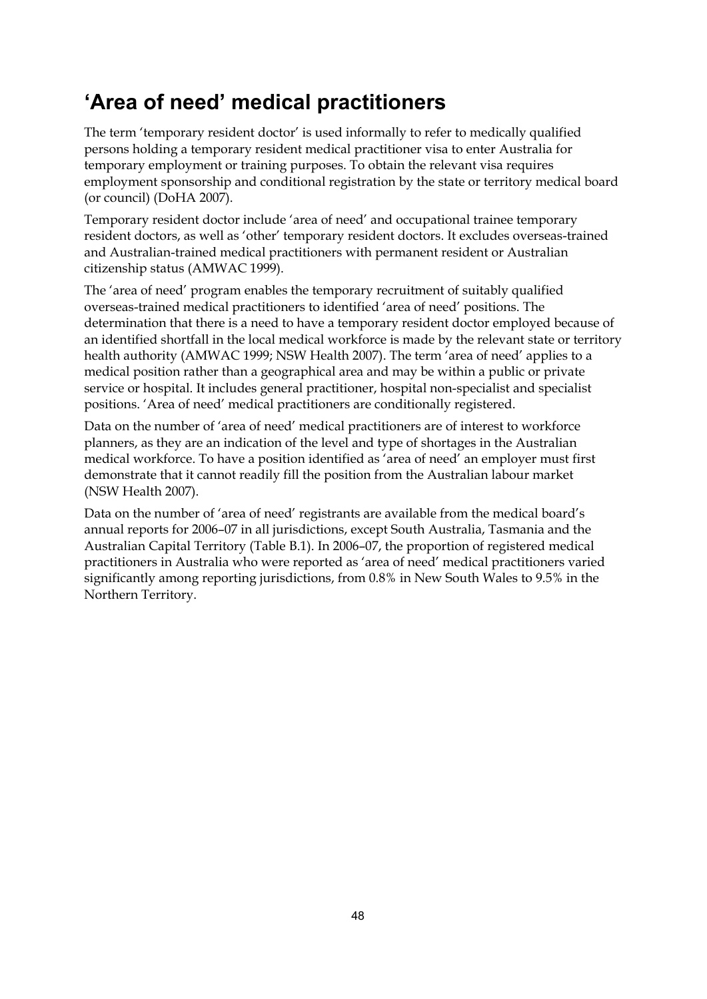### **'Area of need' medical practitioners**

The term 'temporary resident doctor' is used informally to refer to medically qualified persons holding a temporary resident medical practitioner visa to enter Australia for temporary employment or training purposes. To obtain the relevant visa requires employment sponsorship and conditional registration by the state or territory medical board (or council) (DoHA 2007).

Temporary resident doctor include 'area of need' and occupational trainee temporary resident doctors, as well as 'other' temporary resident doctors. It excludes overseas-trained and Australian-trained medical practitioners with permanent resident or Australian citizenship status (AMWAC 1999).

The 'area of need' program enables the temporary recruitment of suitably qualified overseas-trained medical practitioners to identified 'area of need' positions. The determination that there is a need to have a temporary resident doctor employed because of an identified shortfall in the local medical workforce is made by the relevant state or territory health authority (AMWAC 1999; NSW Health 2007). The term 'area of need' applies to a medical position rather than a geographical area and may be within a public or private service or hospital. It includes general practitioner, hospital non-specialist and specialist positions. 'Area of need' medical practitioners are conditionally registered.

Data on the number of 'area of need' medical practitioners are of interest to workforce planners, as they are an indication of the level and type of shortages in the Australian medical workforce. To have a position identified as 'area of need' an employer must first demonstrate that it cannot readily fill the position from the Australian labour market (NSW Health 2007).

Data on the number of 'area of need' registrants are available from the medical board's annual reports for 2006–07 in all jurisdictions, except South Australia, Tasmania and the Australian Capital Territory (Table B.1). In 2006–07, the proportion of registered medical practitioners in Australia who were reported as 'area of need' medical practitioners varied significantly among reporting jurisdictions, from 0.8% in New South Wales to 9.5% in the Northern Territory.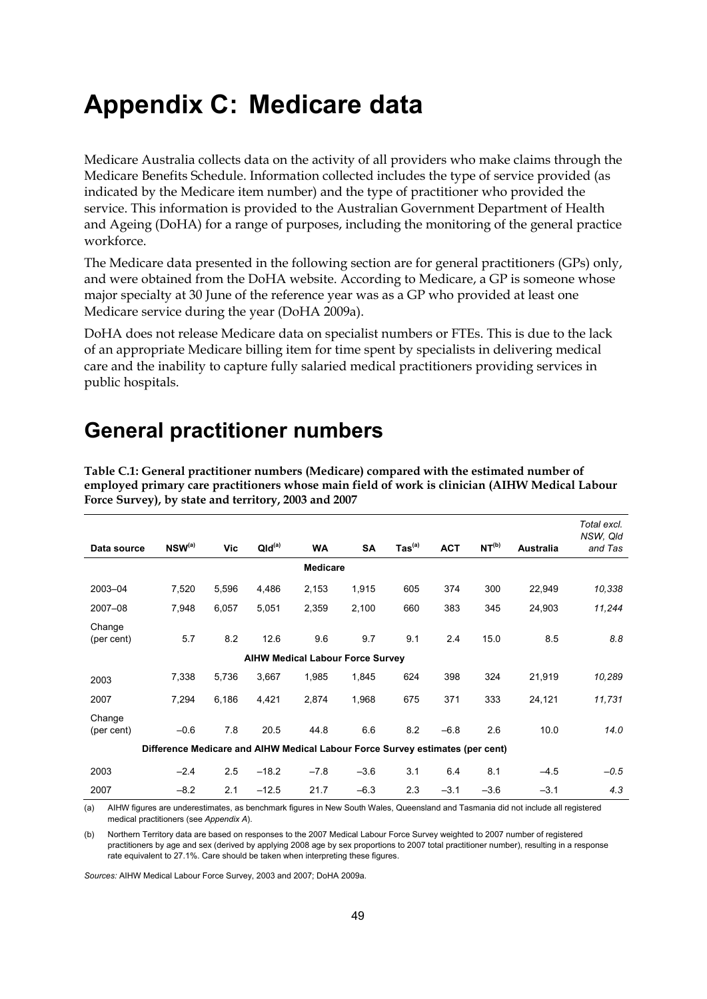## **Appendix C: Medicare data**

Medicare Australia collects data on the activity of all providers who make claims through the Medicare Benefits Schedule. Information collected includes the type of service provided (as indicated by the Medicare item number) and the type of practitioner who provided the service. This information is provided to the Australian Government Department of Health and Ageing (DoHA) for a range of purposes, including the monitoring of the general practice workforce.

The Medicare data presented in the following section are for general practitioners (GPs) only, and were obtained from the DoHA website. According to Medicare, a GP is someone whose major specialty at 30 June of the reference year was as a GP who provided at least one Medicare service during the year (DoHA 2009a).

DoHA does not release Medicare data on specialist numbers or FTEs. This is due to the lack of an appropriate Medicare billing item for time spent by specialists in delivering medical care and the inability to capture fully salaried medical practitioners providing services in public hospitals.

### **General practitioner numbers**

| Force Survey), by state and territory, 2003 and 2007 |                                                                               |       |                    |                                         |           |                              |            |                   |                  |                                    |
|------------------------------------------------------|-------------------------------------------------------------------------------|-------|--------------------|-----------------------------------------|-----------|------------------------------|------------|-------------------|------------------|------------------------------------|
| Data source                                          | NSW <sup>(a)</sup>                                                            | Vic   | QId <sup>(a)</sup> | <b>WA</b>                               | <b>SA</b> | $\mathsf{ Tas}^\mathsf{(a)}$ | <b>ACT</b> | NT <sup>(b)</sup> | <b>Australia</b> | Total excl.<br>NSW, Qld<br>and Tas |
|                                                      |                                                                               |       |                    | <b>Medicare</b>                         |           |                              |            |                   |                  |                                    |
| 2003-04                                              | 7,520                                                                         | 5,596 | 4,486              | 2,153                                   | 1,915     | 605                          | 374        | 300               | 22,949           | 10,338                             |
| 2007-08                                              | 7,948                                                                         | 6,057 | 5,051              | 2,359                                   | 2,100     | 660                          | 383        | 345               | 24,903           | 11,244                             |
| Change<br>(per cent)                                 | 5.7                                                                           | 8.2   | 12.6               | 9.6                                     | 9.7       | 9.1                          | 2.4        | 15.0              | 8.5              | 8.8                                |
|                                                      |                                                                               |       |                    | <b>AIHW Medical Labour Force Survey</b> |           |                              |            |                   |                  |                                    |
| 2003                                                 | 7,338                                                                         | 5,736 | 3,667              | 1,985                                   | 1,845     | 624                          | 398        | 324               | 21,919           | 10,289                             |
| 2007                                                 | 7,294                                                                         | 6,186 | 4,421              | 2,874                                   | 1,968     | 675                          | 371        | 333               | 24,121           | 11,731                             |
| Change<br>(per cent)                                 | $-0.6$                                                                        | 7.8   | 20.5               | 44.8                                    | 6.6       | 8.2                          | $-6.8$     | 2.6               | 10.0             | 14.0                               |
|                                                      | Difference Medicare and AIHW Medical Labour Force Survey estimates (per cent) |       |                    |                                         |           |                              |            |                   |                  |                                    |
| 2003                                                 | $-2.4$                                                                        | 2.5   | $-18.2$            | $-7.8$                                  | $-3.6$    | 3.1                          | 6.4        | 8.1               | $-4.5$           | $-0.5$                             |
| 2007                                                 | $-8.2$                                                                        | 2.1   | $-12.5$            | 21.7                                    | $-6.3$    | 2.3                          | $-3.1$     | $-3.6$            | $-3.1$           | 4.3                                |

<span id="page-54-0"></span>**Table C.1: General practitioner numbers (Medicare) compared with the estimated number of employed primary care practitioners whose main field of work is clinician (AIHW Medical Labour** 

(a) AIHW figures are underestimates, as benchmark figures in New South Wales, Queensland and Tasmania did not include all registered medical practitioners (see *Appendix A*).

(b) Northern Territory data are based on responses to the 2007 Medical Labour Force Survey weighted to 2007 number of registered practitioners by age and sex (derived by applying 2008 age by sex proportions to 2007 total practitioner number), resulting in a response rate equivalent to 27.1%. Care should be taken when interpreting these figures.

*Sources:* AIHW Medical Labour Force Survey, 2003 and 2007; DoHA 2009a.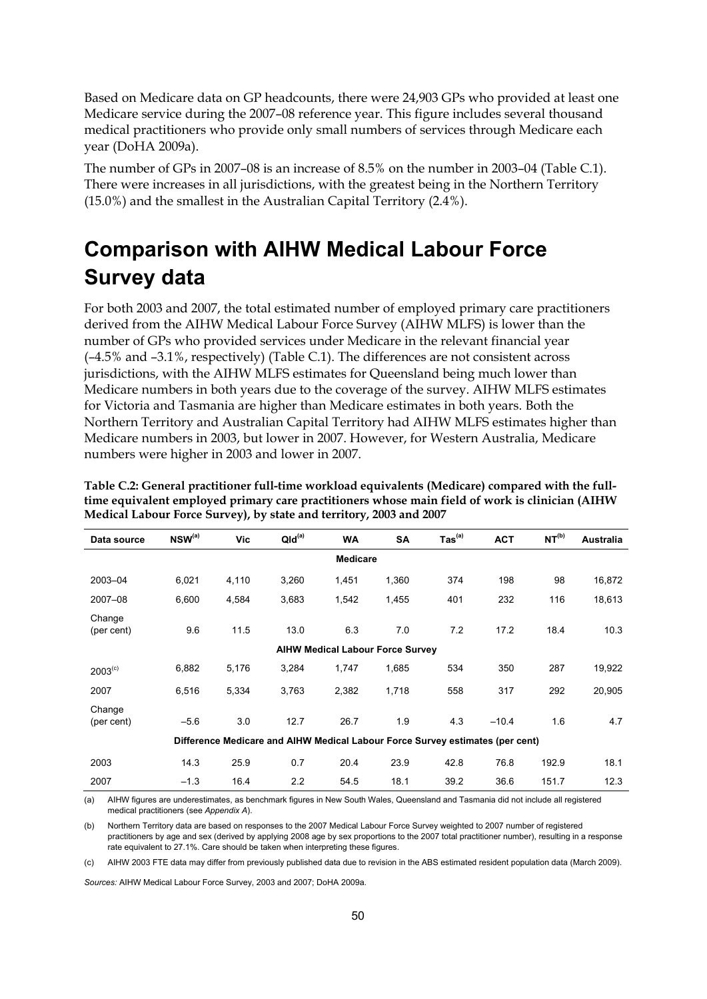Based on Medicare data on GP headcounts, there were 24,903 GPs who provided at least one Medicare service during the 2007–08 reference year. This figure includes several thousand medical practitioners who provide only small numbers of services through Medicare each year (DoHA 2009a).

The number of GPs in 2007–08 is an increase of 8.5% on the number in 2003–04 (Table C.1). There were increases in all jurisdictions, with the greatest being in the Northern Territory (15.0%) and the smallest in the Australian Capital Territory (2.4%).

## **Comparison with AIHW Medical Labour Force Survey data**

For both 2003 and 2007, the total estimated number of employed primary care practitioners derived from the AIHW Medical Labour Force Survey (AIHW MLFS) is lower than the number of GPs who provided services under Medicare in the relevant financial year (–4.5% and –3.1%, respectively) (Table C.1). The differences are not consistent across jurisdictions, with the AIHW MLFS estimates for Queensland being much lower than Medicare numbers in both years due to the coverage of the survey. AIHW MLFS estimates for Victoria and Tasmania are higher than Medicare estimates in both years. Both the Northern Territory and Australian Capital Territory had AIHW MLFS estimates higher than Medicare numbers in 2003, but lower in 2007. However, for Western Australia, Medicare numbers were higher in 2003 and lower in 2007.

| Data source          | $NSW^{(a)}$ | Vic   | QId <sup>(a)</sup>                                                            | <b>WA</b>       | <b>SA</b>                               | $\mathsf{ Tas}^\mathsf{(a)}$ | <b>ACT</b> | NT <sup>(b)</sup> | <b>Australia</b> |
|----------------------|-------------|-------|-------------------------------------------------------------------------------|-----------------|-----------------------------------------|------------------------------|------------|-------------------|------------------|
|                      |             |       |                                                                               | <b>Medicare</b> |                                         |                              |            |                   |                  |
| 2003-04              | 6,021       | 4,110 | 3,260                                                                         | 1,451           | 1,360                                   | 374                          | 198        | 98                | 16,872           |
| 2007-08              | 6,600       | 4,584 | 3,683                                                                         | 1,542           | 1,455                                   | 401                          | 232        | 116               | 18,613           |
| Change<br>(per cent) | 9.6         | 11.5  | 13.0                                                                          | 6.3             | 7.0                                     | 7.2                          | 17.2       | 18.4              | 10.3             |
|                      |             |       |                                                                               |                 | <b>AIHW Medical Labour Force Survey</b> |                              |            |                   |                  |
| $2003^{(c)}$         | 6,882       | 5,176 | 3,284                                                                         | 1,747           | 1,685                                   | 534                          | 350        | 287               | 19,922           |
| 2007                 | 6,516       | 5,334 | 3,763                                                                         | 2,382           | 1,718                                   | 558                          | 317        | 292               | 20,905           |
| Change<br>(per cent) | $-5.6$      | 3.0   | 12.7                                                                          | 26.7            | 1.9                                     | 4.3                          | $-10.4$    | 1.6               | 4.7              |
|                      |             |       | Difference Medicare and AIHW Medical Labour Force Survey estimates (per cent) |                 |                                         |                              |            |                   |                  |
| 2003                 | 14.3        | 25.9  | 0.7                                                                           | 20.4            | 23.9                                    | 42.8                         | 76.8       | 192.9             | 18.1             |
| 2007                 | $-1.3$      | 16.4  | 2.2                                                                           | 54.5            | 18.1                                    | 39.2                         | 36.6       | 151.7             | 12.3             |

<span id="page-55-0"></span>**Table C.2: General practitioner full-time workload equivalents (Medicare) compared with the fulltime equivalent employed primary care practitioners whose main field of work is clinician (AIHW Medical Labour Force Survey), by state and territory, 2003 and 2007** 

(a) AIHW figures are underestimates, as benchmark figures in New South Wales, Queensland and Tasmania did not include all registered medical practitioners (see *Appendix A*).

(b) Northern Territory data are based on responses to the 2007 Medical Labour Force Survey weighted to 2007 number of registered practitioners by age and sex (derived by applying 2008 age by sex proportions to the 2007 total practitioner number), resulting in a response rate equivalent to 27.1%. Care should be taken when interpreting these figures.

(c) AIHW 2003 FTE data may differ from previously published data due to revision in the ABS estimated resident population data (March 2009).

*Sources:* AIHW Medical Labour Force Survey, 2003 and 2007; DoHA 2009a.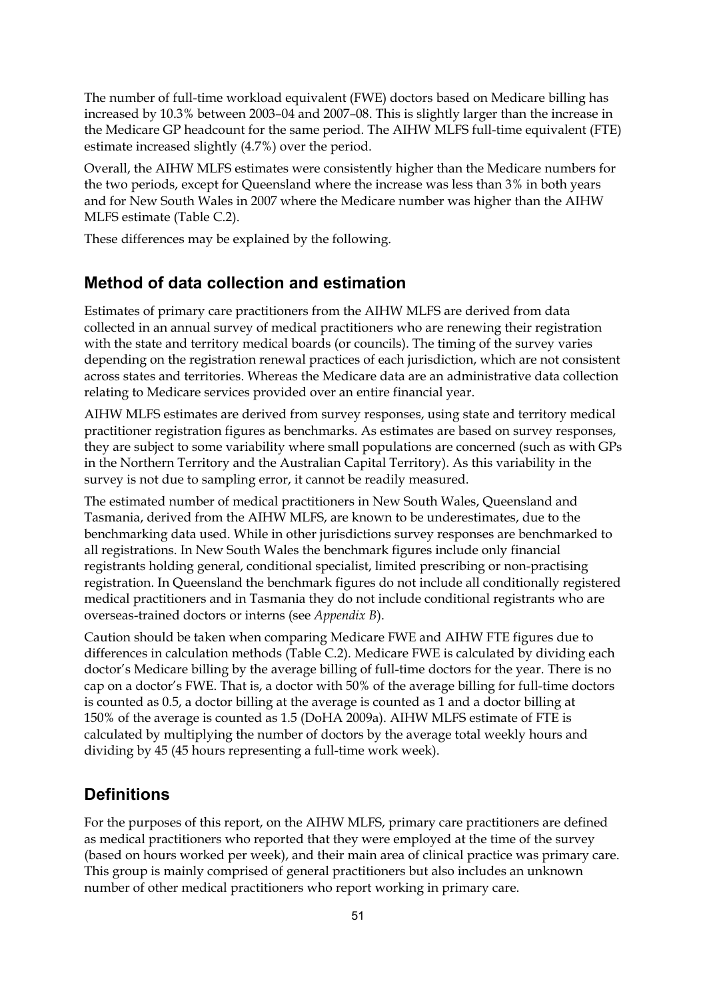The number of full-time workload equivalent (FWE) doctors based on Medicare billing has increased by 10.3% between 2003–04 and 2007–08. This is slightly larger than the increase in the Medicare GP headcount for the same period. The AIHW MLFS full-time equivalent (FTE) estimate increased slightly (4.7%) over the period.

Overall, the AIHW MLFS estimates were consistently higher than the Medicare numbers for the two periods, except for Queensland where the increase was less than 3% in both years and for New South Wales in 2007 where the Medicare number was higher than the AIHW MLFS estimate (Table C.2).

These differences may be explained by the following.

#### **Method of data collection and estimation**

Estimates of primary care practitioners from the AIHW MLFS are derived from data collected in an annual survey of medical practitioners who are renewing their registration with the state and territory medical boards (or councils). The timing of the survey varies depending on the registration renewal practices of each jurisdiction, which are not consistent across states and territories. Whereas the Medicare data are an administrative data collection relating to Medicare services provided over an entire financial year.

AIHW MLFS estimates are derived from survey responses, using state and territory medical practitioner registration figures as benchmarks. As estimates are based on survey responses, they are subject to some variability where small populations are concerned (such as with GPs in the Northern Territory and the Australian Capital Territory). As this variability in the survey is not due to sampling error, it cannot be readily measured.

The estimated number of medical practitioners in New South Wales, Queensland and Tasmania, derived from the AIHW MLFS, are known to be underestimates, due to the benchmarking data used. While in other jurisdictions survey responses are benchmarked to all registrations. In New South Wales the benchmark figures include only financial registrants holding general, conditional specialist, limited prescribing or non-practising registration. In Queensland the benchmark figures do not include all conditionally registered medical practitioners and in Tasmania they do not include conditional registrants who are overseas-trained doctors or interns (see *Appendix B*).

Caution should be taken when comparing Medicare FWE and AIHW FTE figures due to differences in calculation methods (Table C.2). Medicare FWE is calculated by dividing each doctor's Medicare billing by the average billing of full-time doctors for the year. There is no cap on a doctor's FWE. That is, a doctor with 50% of the average billing for full-time doctors is counted as 0.5, a doctor billing at the average is counted as 1 and a doctor billing at 150% of the average is counted as 1.5 (DoHA 2009a). AIHW MLFS estimate of FTE is calculated by multiplying the number of doctors by the average total weekly hours and dividing by 45 (45 hours representing a full-time work week).

#### **Definitions**

For the purposes of this report, on the AIHW MLFS, primary care practitioners are defined as medical practitioners who reported that they were employed at the time of the survey (based on hours worked per week), and their main area of clinical practice was primary care. This group is mainly comprised of general practitioners but also includes an unknown number of other medical practitioners who report working in primary care.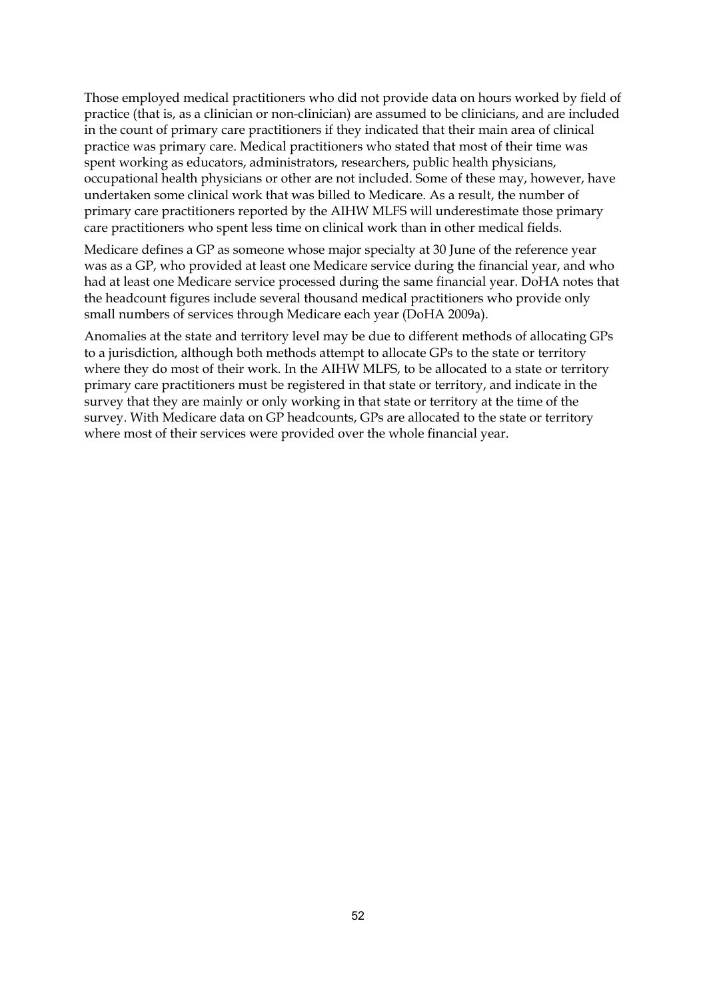Those employed medical practitioners who did not provide data on hours worked by field of practice (that is, as a clinician or non-clinician) are assumed to be clinicians, and are included in the count of primary care practitioners if they indicated that their main area of clinical practice was primary care. Medical practitioners who stated that most of their time was spent working as educators, administrators, researchers, public health physicians, occupational health physicians or other are not included. Some of these may, however, have undertaken some clinical work that was billed to Medicare. As a result, the number of primary care practitioners reported by the AIHW MLFS will underestimate those primary care practitioners who spent less time on clinical work than in other medical fields.

Medicare defines a GP as someone whose major specialty at 30 June of the reference year was as a GP, who provided at least one Medicare service during the financial year, and who had at least one Medicare service processed during the same financial year. DoHA notes that the headcount figures include several thousand medical practitioners who provide only small numbers of services through Medicare each year (DoHA 2009a).

Anomalies at the state and territory level may be due to different methods of allocating GPs to a jurisdiction, although both methods attempt to allocate GPs to the state or territory where they do most of their work. In the AIHW MLFS, to be allocated to a state or territory primary care practitioners must be registered in that state or territory, and indicate in the survey that they are mainly or only working in that state or territory at the time of the survey. With Medicare data on GP headcounts, GPs are allocated to the state or territory where most of their services were provided over the whole financial year.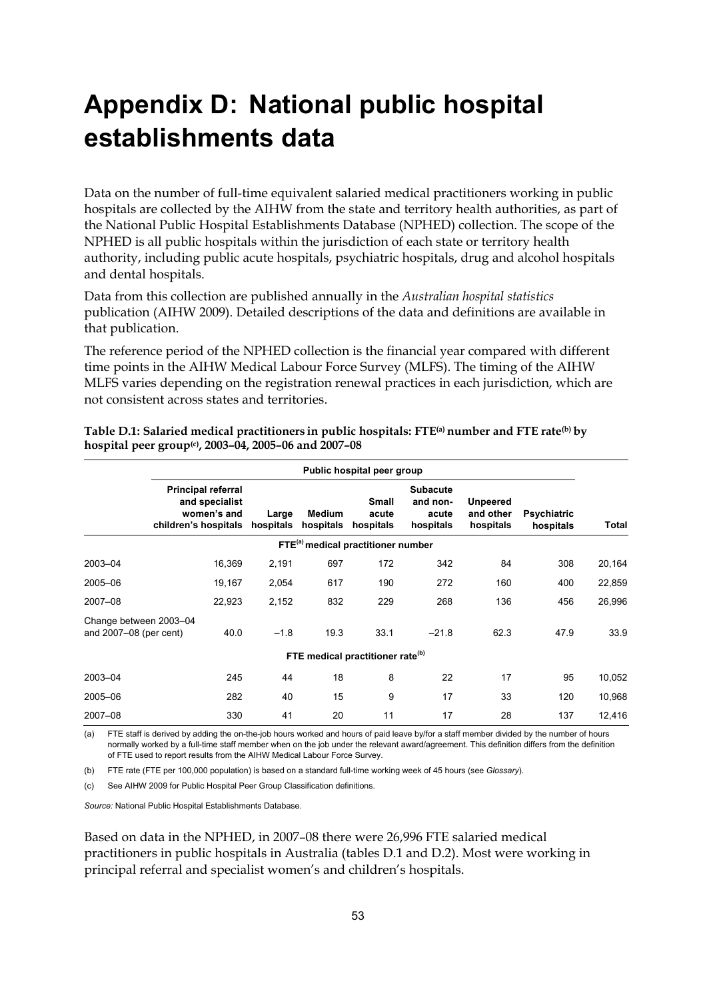# **Appendix D: National public hospital establishments data**

Data on the number of full-time equivalent salaried medical practitioners working in public hospitals are collected by the AIHW from the state and territory health authorities, as part of the National Public Hospital Establishments Database (NPHED) collection. The scope of the NPHED is all public hospitals within the jurisdiction of each state or territory health authority, including public acute hospitals, psychiatric hospitals, drug and alcohol hospitals and dental hospitals.

Data from this collection are published annually in the *Australian hospital statistics* publication (AIHW 2009). Detailed descriptions of the data and definitions are available in that publication.

The reference period of the NPHED collection is the financial year compared with different time points in the AIHW Medical Labour Force Survey (MLFS). The timing of the AIHW MLFS varies depending on the registration renewal practices in each jurisdiction, which are not consistent across states and territories.

|                                                  |                                                                                    |                    |                            | Public hospital peer group                     |                                                   |                                           |                                 |        |
|--------------------------------------------------|------------------------------------------------------------------------------------|--------------------|----------------------------|------------------------------------------------|---------------------------------------------------|-------------------------------------------|---------------------------------|--------|
|                                                  | <b>Principal referral</b><br>and specialist<br>women's and<br>children's hospitals | Large<br>hospitals | <b>Medium</b><br>hospitals | <b>Small</b><br>acute<br>hospitals             | <b>Subacute</b><br>and non-<br>acute<br>hospitals | <b>Unpeered</b><br>and other<br>hospitals | <b>Psychiatric</b><br>hospitals | Total  |
|                                                  |                                                                                    |                    |                            | FTE <sup>(a)</sup> medical practitioner number |                                                   |                                           |                                 |        |
| 2003-04                                          | 16,369                                                                             | 2,191              | 697                        | 172                                            | 342                                               | 84                                        | 308                             | 20,164 |
| 2005-06                                          | 19,167                                                                             | 2,054              | 617                        | 190                                            | 272                                               | 160                                       | 400                             | 22,859 |
| 2007-08                                          | 22,923                                                                             | 2,152              | 832                        | 229                                            | 268                                               | 136                                       | 456                             | 26,996 |
| Change between 2003-04<br>and 2007-08 (per cent) | 40.0                                                                               | $-1.8$             | 19.3                       | 33.1                                           | $-21.8$                                           | 62.3                                      | 47.9                            | 33.9   |
|                                                  |                                                                                    |                    |                            | FTE medical practitioner rate <sup>(b)</sup>   |                                                   |                                           |                                 |        |
| 2003-04                                          | 245                                                                                | 44                 | 18                         | 8                                              | 22                                                | 17                                        | 95                              | 10,052 |
| 2005-06                                          | 282                                                                                | 40                 | 15                         | 9                                              | 17                                                | 33                                        | 120                             | 10,968 |
| 2007-08                                          | 330                                                                                | 41                 | 20                         | 11                                             | 17                                                | 28                                        | 137                             | 12,416 |

<span id="page-58-0"></span>**Table D.1: Salaried medical practitioners in public hospitals: FTE(a) number and FTE rate(b) by hospital peer group(c), 2003–04, 2005–06 and 2007–08** 

(a) FTE staff is derived by adding the on-the-job hours worked and hours of paid leave by/for a staff member divided by the number of hours normally worked by a full-time staff member when on the job under the relevant award/agreement. This definition differs from the definition of FTE used to report results from the AIHW Medical Labour Force Survey.

(b) FTE rate (FTE per 100,000 population) is based on a standard full-time working week of 45 hours (see *Glossary*).

(c) See AIHW 2009 for Public Hospital Peer Group Classification definitions.

*Source:* National Public Hospital Establishments Database.

Based on data in the NPHED, in 2007–08 there were 26,996 FTE salaried medical practitioners in public hospitals in Australia (tables D.1 and D.2). Most were working in principal referral and specialist women's and children's hospitals.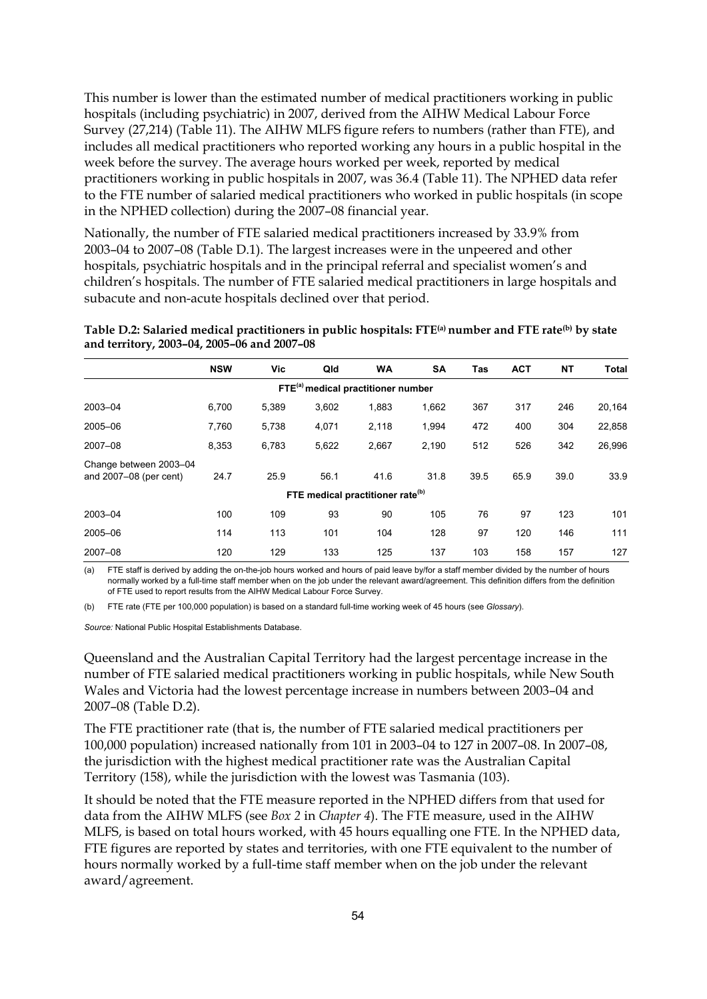This number is lower than the estimated number of medical practitioners working in public hospitals (including psychiatric) in 2007, derived from the AIHW Medical Labour Force Survey (27,214) (Table 11). The AIHW MLFS figure refers to numbers (rather than FTE), and includes all medical practitioners who reported working any hours in a public hospital in the week before the survey. The average hours worked per week, reported by medical practitioners working in public hospitals in 2007, was 36.4 (Table 11). The NPHED data refer to the FTE number of salaried medical practitioners who worked in public hospitals (in scope in the NPHED collection) during the 2007–08 financial year.

Nationally, the number of FTE salaried medical practitioners increased by 33.9% from 2003–04 to 2007–08 (Table D.1). The largest increases were in the unpeered and other hospitals, psychiatric hospitals and in the principal referral and specialist women's and children's hospitals. The number of FTE salaried medical practitioners in large hospitals and subacute and non-acute hospitals declined over that period.

|                                                  | <b>NSW</b> | Vic   | Qld   | <b>WA</b>                                      | <b>SA</b> | Tas  | <b>ACT</b> | <b>NT</b> | Total  |
|--------------------------------------------------|------------|-------|-------|------------------------------------------------|-----------|------|------------|-----------|--------|
|                                                  |            |       |       | FTE <sup>(a)</sup> medical practitioner number |           |      |            |           |        |
| 2003-04                                          | 6,700      | 5,389 | 3,602 | 1,883                                          | 1,662     | 367  | 317        | 246       | 20,164 |
| 2005-06                                          | 7,760      | 5,738 | 4,071 | 2,118                                          | 1,994     | 472  | 400        | 304       | 22,858 |
| 2007-08                                          | 8.353      | 6,783 | 5,622 | 2,667                                          | 2,190     | 512  | 526        | 342       | 26,996 |
| Change between 2003-04<br>and 2007-08 (per cent) | 24.7       | 25.9  | 56.1  | 41.6                                           | 31.8      | 39.5 | 65.9       | 39.0      | 33.9   |
|                                                  |            |       |       | FTE medical practitioner rate <sup>(b)</sup>   |           |      |            |           |        |
| 2003-04                                          | 100        | 109   | 93    | 90                                             | 105       | 76   | 97         | 123       | 101    |
| 2005-06                                          | 114        | 113   | 101   | 104                                            | 128       | 97   | 120        | 146       | 111    |
| 2007-08                                          | 120        | 129   | 133   | 125                                            | 137       | 103  | 158        | 157       | 127    |

<span id="page-59-0"></span>**Table D.2: Salaried medical practitioners in public hospitals: FTE(a) number and FTE rate(b) by state and territory, 2003–04, 2005–06 and 2007–08** 

(a) FTE staff is derived by adding the on-the-job hours worked and hours of paid leave by/for a staff member divided by the number of hours normally worked by a full-time staff member when on the job under the relevant award/agreement. This definition differs from the definition of FTE used to report results from the AIHW Medical Labour Force Survey.

(b) FTE rate (FTE per 100,000 population) is based on a standard full-time working week of 45 hours (see *Glossary*).

*Source:* National Public Hospital Establishments Database.

Queensland and the Australian Capital Territory had the largest percentage increase in the number of FTE salaried medical practitioners working in public hospitals, while New South Wales and Victoria had the lowest percentage increase in numbers between 2003–04 and 2007–08 (Table D.2).

The FTE practitioner rate (that is, the number of FTE salaried medical practitioners per 100,000 population) increased nationally from 101 in 2003–04 to 127 in 2007–08. In 2007–08, the jurisdiction with the highest medical practitioner rate was the Australian Capital Territory (158), while the jurisdiction with the lowest was Tasmania (103).

It should be noted that the FTE measure reported in the NPHED differs from that used for data from the AIHW MLFS (see *Box 2* in *Chapter 4*). The FTE measure, used in the AIHW MLFS, is based on total hours worked, with 45 hours equalling one FTE. In the NPHED data, FTE figures are reported by states and territories, with one FTE equivalent to the number of hours normally worked by a full-time staff member when on the job under the relevant award/agreement.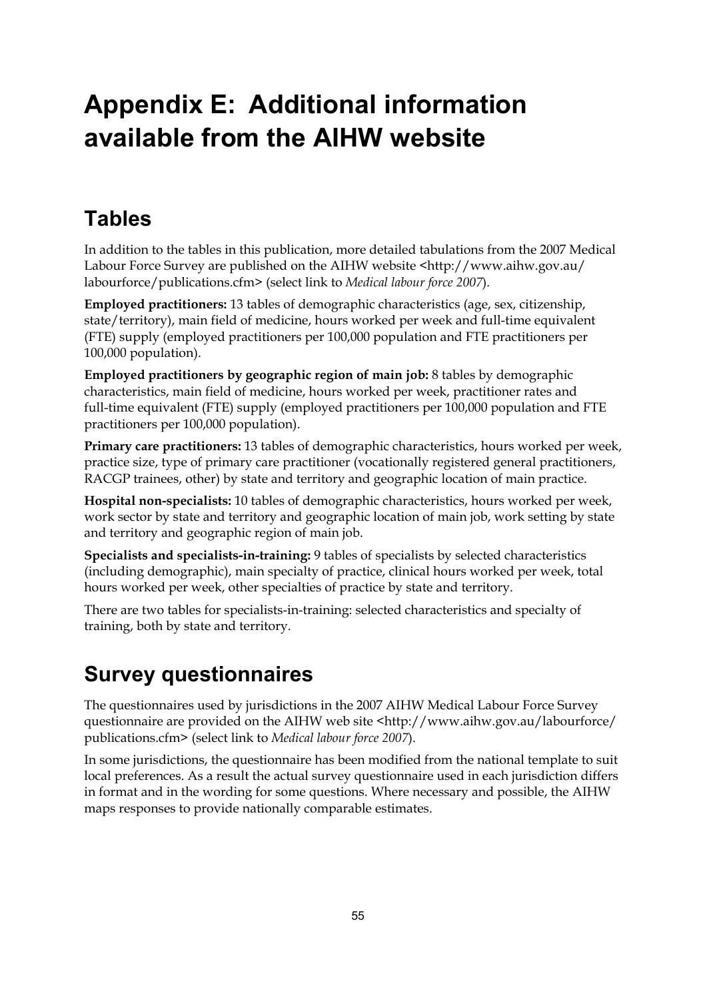# **Appendix E: Additional information available from the AIHW website**

## **Tables**

In addition to the tables in this publication, more detailed tabulations from the 2007 Medical Labour Force Survey are published on the AIHW website <http://www.aihw.gov.au/ labourforce/publications.cfm> (select link to *Medical labour force 2007*).

**Employed practitioners:** 13 tables of demographic characteristics (age, sex, citizenship, state/territory), main field of medicine, hours worked per week and full-time equivalent (FTE) supply (employed practitioners per 100,000 population and FTE practitioners per 100,000 population).

**Employed practitioners by geographic region of main job:** 8 tables by demographic characteristics, main field of medicine, hours worked per week, practitioner rates and full-time equivalent (FTE) supply (employed practitioners per 100,000 population and FTE practitioners per 100,000 population).

**Primary care practitioners:** 13 tables of demographic characteristics, hours worked per week, practice size, type of primary care practitioner (vocationally registered general practitioners, RACGP trainees, other) by state and territory and geographic location of main practice.

**Hospital non-specialists:** 10 tables of demographic characteristics, hours worked per week, work sector by state and territory and geographic location of main job, work setting by state and territory and geographic region of main job.

**Specialists and specialists-in-training:** 9 tables of specialists by selected characteristics (including demographic), main specialty of practice, clinical hours worked per week, total hours worked per week, other specialties of practice by state and territory.

There are two tables for specialists-in-training: selected characteristics and specialty of training, both by state and territory.

## **Survey questionnaires**

The questionnaires used by jurisdictions in the 2007 AIHW Medical Labour Force Survey questionnaire are provided on the AIHW web site <http://www.aihw.gov.au/labourforce/ publications.cfm> (select link to *Medical labour force 2007*).

In some jurisdictions, the questionnaire has been modified from the national template to suit local preferences. As a result the actual survey questionnaire used in each jurisdiction differs in format and in the wording for some questions. Where necessary and possible, the AIHW maps responses to provide nationally comparable estimates.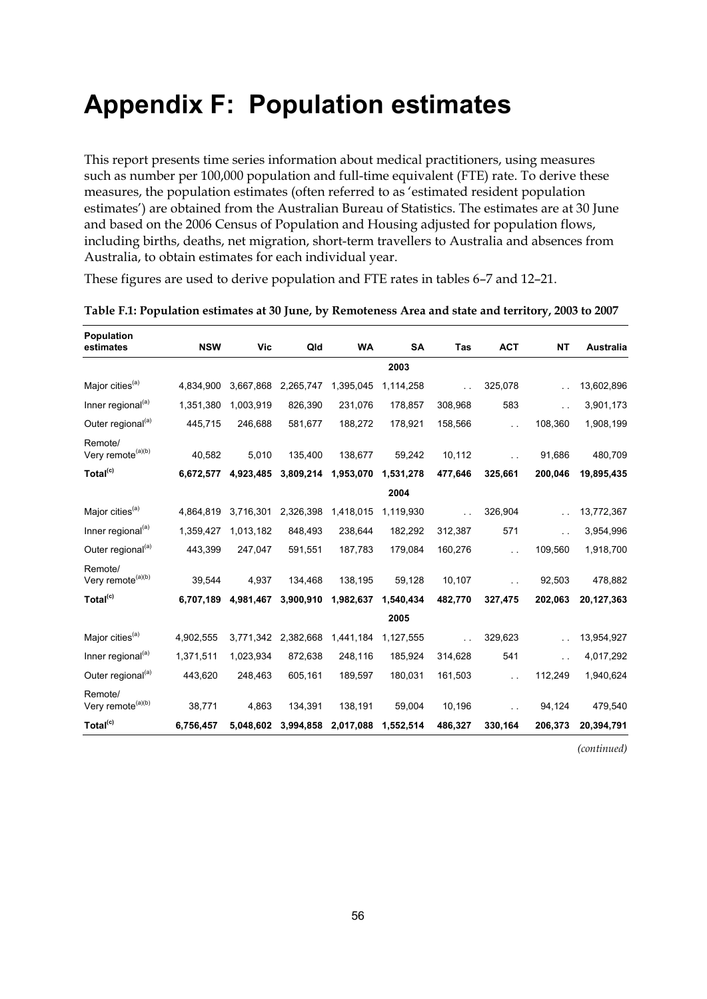## **Appendix F: Population estimates**

This report presents time series information about medical practitioners, using measures such as number per 100,000 population and full-time equivalent (FTE) rate. To derive these measures, the population estimates (often referred to as 'estimated resident population estimates') are obtained from the Australian Bureau of Statistics. The estimates are at 30 June and based on the 2006 Census of Population and Housing adjusted for population flows, including births, deaths, net migration, short-term travellers to Australia and absences from Australia, to obtain estimates for each individual year.

These figures are used to derive population and FTE rates in tables 6–7 and 12–21.

| Population<br>estimates                  | <b>NSW</b> | <b>Vic</b> | Qld       | WA        | <b>SA</b> | Tas           | <b>ACT</b> | <b>NT</b> | Australia  |
|------------------------------------------|------------|------------|-----------|-----------|-----------|---------------|------------|-----------|------------|
|                                          |            |            |           |           | 2003      |               |            |           |            |
| Major cities <sup>(a)</sup>              | 4,834,900  | 3,667,868  | 2,265,747 | 1,395,045 | 1,114,258 | $\sim$ $\sim$ | 325,078    |           | 13,602,896 |
| Inner regional <sup>(a)</sup>            | 1,351,380  | 1,003,919  | 826,390   | 231,076   | 178,857   | 308,968       | 583        | г.        | 3,901,173  |
| Outer regional <sup>(a)</sup>            | 445,715    | 246,688    | 581,677   | 188,272   | 178,921   | 158,566       |            | 108,360   | 1,908,199  |
| Remote/<br>Very remote <sup>(a)(b)</sup> | 40,582     | 5,010      | 135,400   | 138,677   | 59,242    | 10,112        |            | 91,686    | 480,709    |
| Total <sup>(c)</sup>                     | 6,672,577  | 4,923,485  | 3,809,214 | 1,953,070 | 1,531,278 | 477,646       | 325,661    | 200,046   | 19,895,435 |
|                                          |            |            |           |           | 2004      |               |            |           |            |
| Major cities <sup>(a)</sup>              | 4,864,819  | 3,716,301  | 2,326,398 | 1,418,015 | 1,119,930 | $\sim$ $\sim$ | 326,904    |           | 13,772,367 |
| Inner regional <sup>(a)</sup>            | 1,359,427  | 1,013,182  | 848,493   | 238,644   | 182,292   | 312,387       | 571        | . .       | 3,954,996  |
| Outer regional <sup>(a)</sup>            | 443,399    | 247,047    | 591,551   | 187,783   | 179,084   | 160,276       |            | 109,560   | 1,918,700  |
| Remote/<br>Very remote <sup>(a)(b)</sup> | 39,544     | 4,937      | 134,468   | 138,195   | 59,128    | 10,107        |            | 92,503    | 478,882    |
| Total <sup>(c)</sup>                     | 6,707,189  | 4,981,467  | 3,900,910 | 1,982,637 | 1,540,434 | 482,770       | 327,475    | 202,063   | 20,127,363 |
|                                          |            |            |           |           | 2005      |               |            |           |            |
| Major cities <sup>(a)</sup>              | 4,902,555  | 3,771,342  | 2,382,668 | 1,441,184 | 1,127,555 |               | 329,623    |           | 13,954,927 |
| Inner regional <sup>(a)</sup>            | 1,371,511  | 1,023,934  | 872,638   | 248,116   | 185,924   | 314,628       | 541        | г.        | 4,017,292  |
| Outer regional <sup>(a)</sup>            | 443,620    | 248,463    | 605,161   | 189,597   | 180,031   | 161,503       |            | 112,249   | 1,940,624  |
| Remote/<br>Very remote <sup>(a)(b)</sup> | 38,771     | 4,863      | 134,391   | 138,191   | 59,004    | 10,196        |            | 94,124    | 479,540    |
| Total <sup>(c)</sup>                     | 6,756,457  | 5,048,602  | 3,994,858 | 2,017,088 | 1,552,514 | 486,327       | 330,164    | 206,373   | 20,394,791 |

<span id="page-61-0"></span>**Table F.1: Population estimates at 30 June, by Remoteness Area and state and territory, 2003 to 2007**

*(continued)*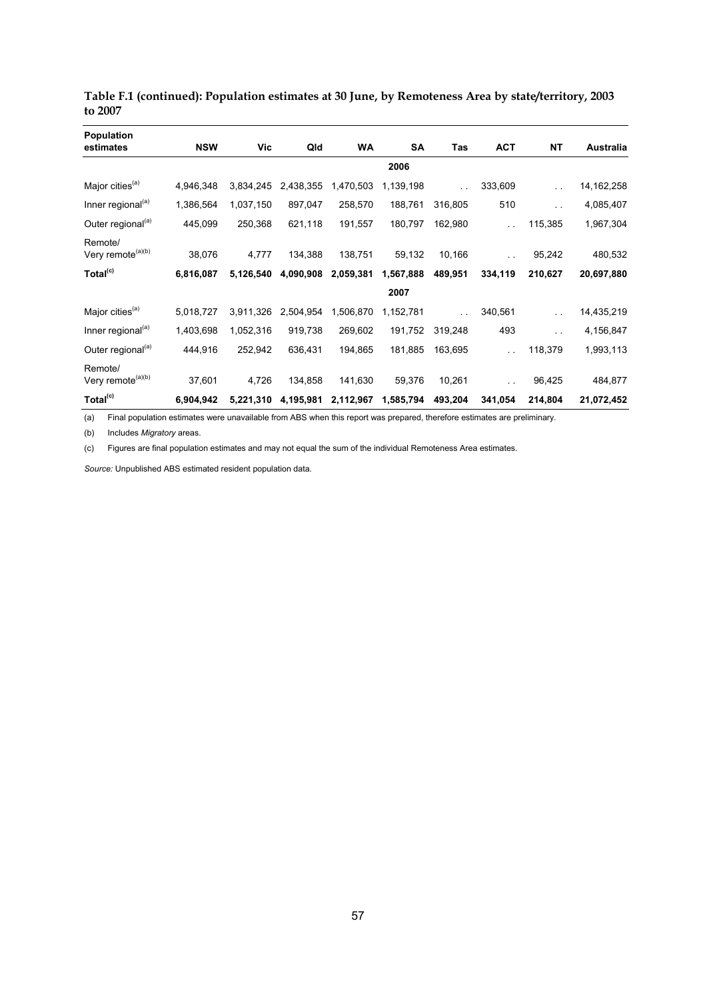| <b>Population</b>                        |            |           |           |           |           |         |            |                      |              |
|------------------------------------------|------------|-----------|-----------|-----------|-----------|---------|------------|----------------------|--------------|
| estimates                                | <b>NSW</b> | Vic       | Qld       | WA        | SA        | Tas     | <b>ACT</b> | ΝT                   | Australia    |
|                                          |            |           |           |           | 2006      |         |            |                      |              |
| Major cities <sup>(a)</sup>              | 4,946,348  | 3,834,245 | 2,438,355 | 1,470,503 | 1,139,198 |         | 333,609    | $\sim$               | 14, 162, 258 |
| Inner regional <sup>(a)</sup>            | 1,386,564  | 1,037,150 | 897,047   | 258,570   | 188,761   | 316,805 | 510        | $\ddotsc$            | 4,085,407    |
| Outer regional <sup>(a)</sup>            | 445,099    | 250,368   | 621,118   | 191,557   | 180,797   | 162,980 | τ.         | 115,385              | 1,967,304    |
| Remote/<br>Very remote <sup>(a)(b)</sup> | 38,076     | 4,777     | 134,388   | 138,751   | 59,132    | 10,166  | $\sim$     | 95,242               | 480,532      |
| Total <sup>(c)</sup>                     | 6,816,087  | 5,126,540 | 4,090,908 | 2,059,381 | 1,567,888 | 489,951 | 334,119    | 210,627              | 20,697,880   |
|                                          |            |           |           |           | 2007      |         |            |                      |              |
| Major cities <sup>(a)</sup>              | 5,018,727  | 3,911,326 | 2,504,954 | 1,506,870 | 1,152,781 |         | 340,561    | $\ddot{\phantom{1}}$ | 14,435,219   |
| Inner regional <sup>(a)</sup>            | 1,403,698  | 1,052,316 | 919,738   | 269,602   | 191,752   | 319,248 | 493        | $\sim$ $\sim$        | 4,156,847    |
| Outer regional <sup>(a)</sup>            | 444,916    | 252,942   | 636,431   | 194,865   | 181,885   | 163,695 | $\ddotsc$  | 118,379              | 1,993,113    |
| Remote/<br>Very remote <sup>(a)(b)</sup> | 37,601     | 4,726     | 134,858   | 141,630   | 59,376    | 10,261  | $\ddotsc$  | 96,425               | 484,877      |
| Total <sup>(c)</sup>                     | 6,904,942  | 5,221,310 | 4,195,981 | 2,112,967 | 1,585,794 | 493,204 | 341,054    | 214,804              | 21,072,452   |

**Table F.1 (continued): Population estimates at 30 June, by Remoteness Area by state/territory, 2003 to 2007** 

(a) Final population estimates were unavailable from ABS when this report was prepared, therefore estimates are preliminary.

(b) Includes *Migratory* areas.

(c) Figures are final population estimates and may not equal the sum of the individual Remoteness Area estimates.

*Source:* Unpublished ABS estimated resident population data.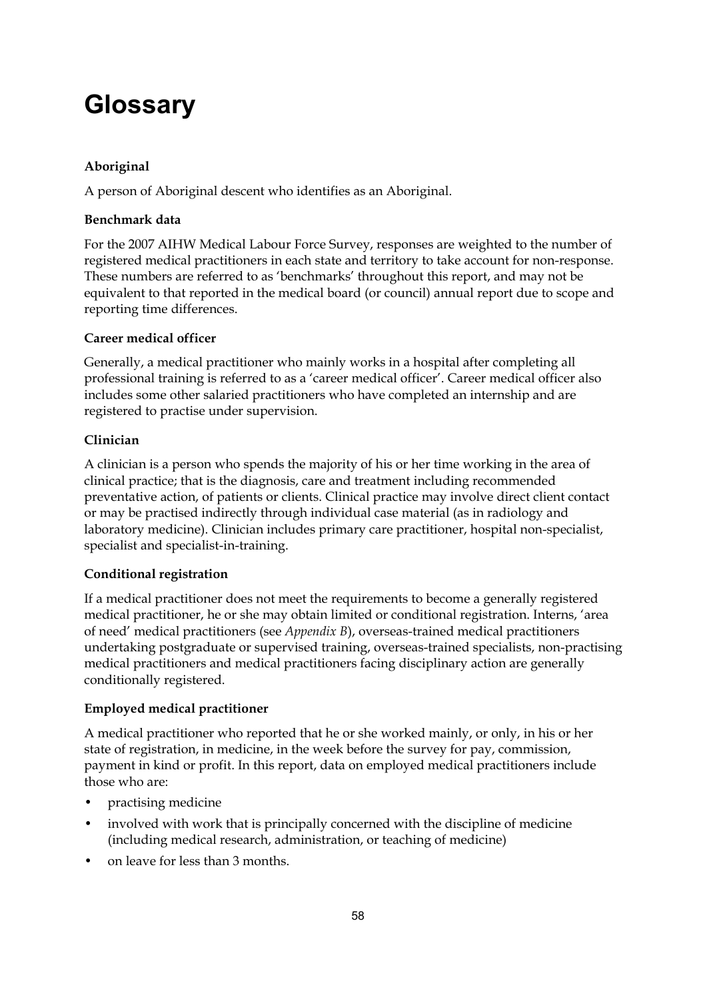# **Glossary**

#### **Aboriginal**

A person of Aboriginal descent who identifies as an Aboriginal.

#### **Benchmark data**

For the 2007 AIHW Medical Labour Force Survey, responses are weighted to the number of registered medical practitioners in each state and territory to take account for non-response. These numbers are referred to as 'benchmarks' throughout this report, and may not be equivalent to that reported in the medical board (or council) annual report due to scope and reporting time differences.

#### **Career medical officer**

Generally, a medical practitioner who mainly works in a hospital after completing all professional training is referred to as a 'career medical officer'. Career medical officer also includes some other salaried practitioners who have completed an internship and are registered to practise under supervision.

#### **Clinician**

A clinician is a person who spends the majority of his or her time working in the area of clinical practice; that is the diagnosis, care and treatment including recommended preventative action, of patients or clients. Clinical practice may involve direct client contact or may be practised indirectly through individual case material (as in radiology and laboratory medicine). Clinician includes primary care practitioner, hospital non-specialist, specialist and specialist-in-training.

#### **Conditional registration**

If a medical practitioner does not meet the requirements to become a generally registered medical practitioner, he or she may obtain limited or conditional registration. Interns, 'area of need' medical practitioners (see *Appendix B*), overseas-trained medical practitioners undertaking postgraduate or supervised training, overseas-trained specialists, non-practising medical practitioners and medical practitioners facing disciplinary action are generally conditionally registered.

#### **Employed medical practitioner**

A medical practitioner who reported that he or she worked mainly, or only, in his or her state of registration, in medicine, in the week before the survey for pay, commission, payment in kind or profit. In this report, data on employed medical practitioners include those who are:

- practising medicine
- involved with work that is principally concerned with the discipline of medicine (including medical research, administration, or teaching of medicine)
- on leave for less than 3 months.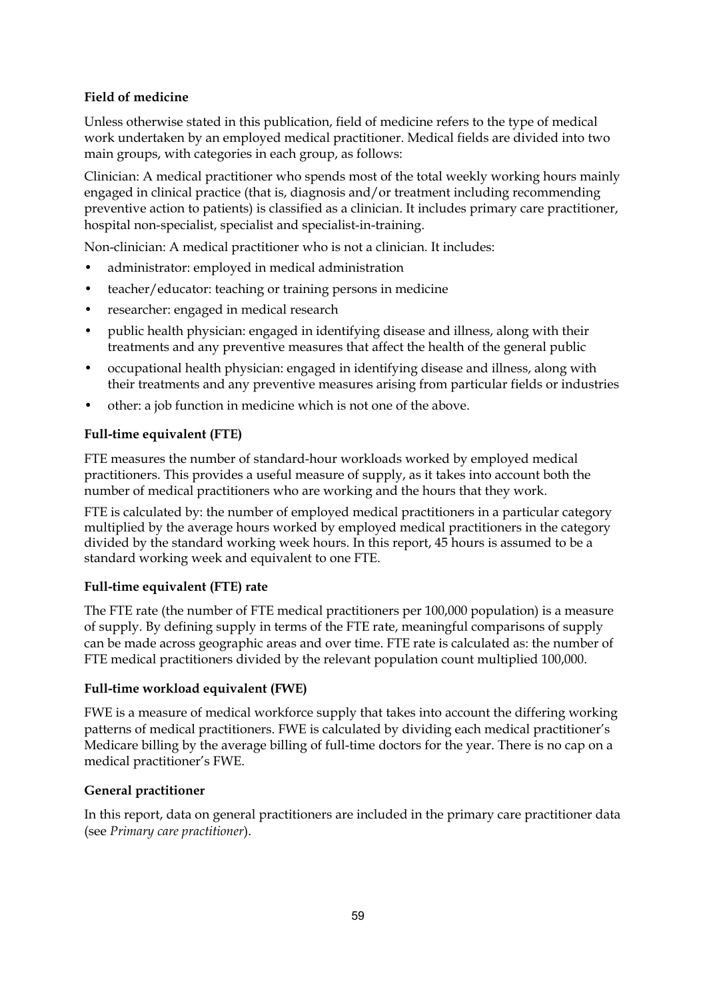#### **Field of medicine**

Unless otherwise stated in this publication, field of medicine refers to the type of medical work undertaken by an employed medical practitioner. Medical fields are divided into two main groups, with categories in each group, as follows:

Clinician: A medical practitioner who spends most of the total weekly working hours mainly engaged in clinical practice (that is, diagnosis and/or treatment including recommending preventive action to patients) is classified as a clinician. It includes primary care practitioner, hospital non-specialist, specialist and specialist-in-training.

Non-clinician: A medical practitioner who is not a clinician. It includes:

- administrator: employed in medical administration
- teacher/educator: teaching or training persons in medicine
- researcher: engaged in medical research
- public health physician: engaged in identifying disease and illness, along with their treatments and any preventive measures that affect the health of the general public
- occupational health physician: engaged in identifying disease and illness, along with their treatments and any preventive measures arising from particular fields or industries
- other: a job function in medicine which is not one of the above.

#### **Full-time equivalent (FTE)**

FTE measures the number of standard-hour workloads worked by employed medical practitioners. This provides a useful measure of supply, as it takes into account both the number of medical practitioners who are working and the hours that they work.

FTE is calculated by: the number of employed medical practitioners in a particular category multiplied by the average hours worked by employed medical practitioners in the category divided by the standard working week hours. In this report, 45 hours is assumed to be a standard working week and equivalent to one FTE.

#### **Full-time equivalent (FTE) rate**

The FTE rate (the number of FTE medical practitioners per 100,000 population) is a measure of supply. By defining supply in terms of the FTE rate, meaningful comparisons of supply can be made across geographic areas and over time. FTE rate is calculated as: the number of FTE medical practitioners divided by the relevant population count multiplied 100,000.

#### **Full-time workload equivalent (FWE)**

FWE is a measure of medical workforce supply that takes into account the differing working patterns of medical practitioners. FWE is calculated by dividing each medical practitioner's Medicare billing by the average billing of full-time doctors for the year. There is no cap on a medical practitioner's FWE.

#### **General practitioner**

In this report, data on general practitioners are included in the primary care practitioner data (see *Primary care practitioner*).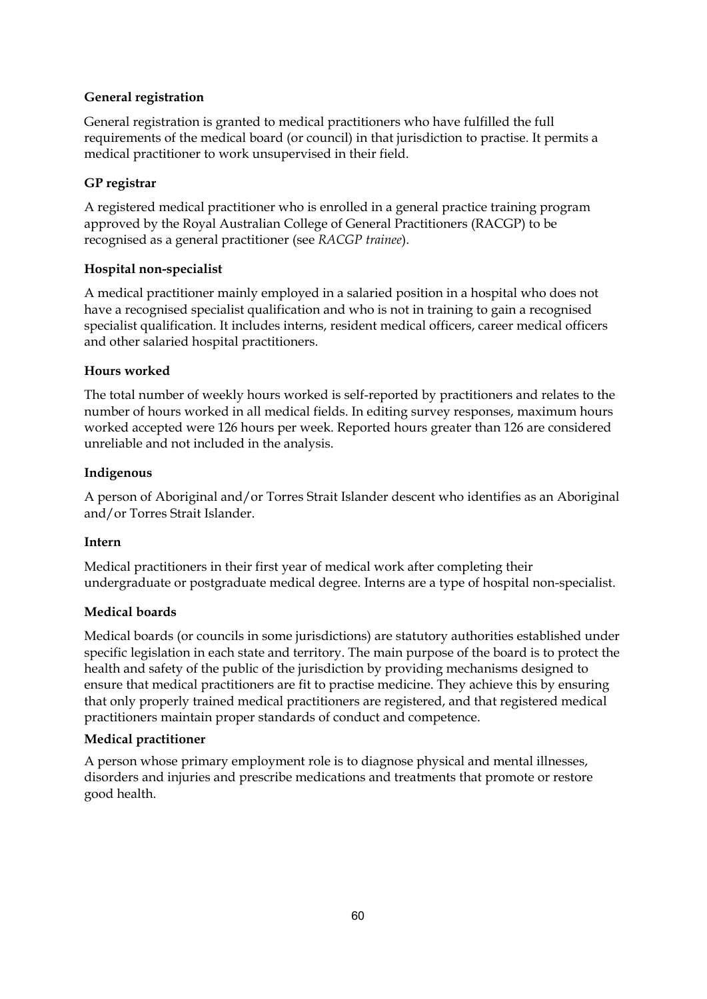#### **General registration**

General registration is granted to medical practitioners who have fulfilled the full requirements of the medical board (or council) in that jurisdiction to practise. It permits a medical practitioner to work unsupervised in their field.

#### **GP registrar**

A registered medical practitioner who is enrolled in a general practice training program approved by the Royal Australian College of General Practitioners (RACGP) to be recognised as a general practitioner (see *RACGP trainee*).

#### **Hospital non-specialist**

A medical practitioner mainly employed in a salaried position in a hospital who does not have a recognised specialist qualification and who is not in training to gain a recognised specialist qualification. It includes interns, resident medical officers, career medical officers and other salaried hospital practitioners.

#### **Hours worked**

The total number of weekly hours worked is self-reported by practitioners and relates to the number of hours worked in all medical fields. In editing survey responses, maximum hours worked accepted were 126 hours per week. Reported hours greater than 126 are considered unreliable and not included in the analysis.

#### **Indigenous**

A person of Aboriginal and/or Torres Strait Islander descent who identifies as an Aboriginal and/or Torres Strait Islander.

#### **Intern**

Medical practitioners in their first year of medical work after completing their undergraduate or postgraduate medical degree. Interns are a type of hospital non-specialist.

#### **Medical boards**

Medical boards (or councils in some jurisdictions) are statutory authorities established under specific legislation in each state and territory. The main purpose of the board is to protect the health and safety of the public of the jurisdiction by providing mechanisms designed to ensure that medical practitioners are fit to practise medicine. They achieve this by ensuring that only properly trained medical practitioners are registered, and that registered medical practitioners maintain proper standards of conduct and competence.

#### **Medical practitioner**

A person whose primary employment role is to diagnose physical and mental illnesses, disorders and injuries and prescribe medications and treatments that promote or restore good health.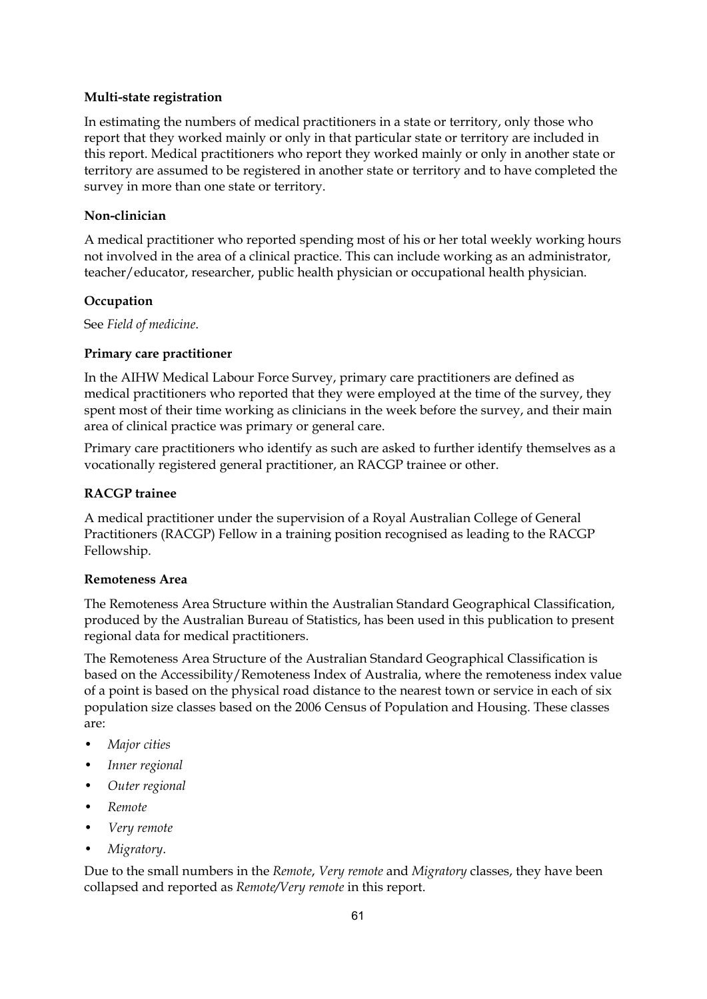#### **Multi-state registration**

In estimating the numbers of medical practitioners in a state or territory, only those who report that they worked mainly or only in that particular state or territory are included in this report. Medical practitioners who report they worked mainly or only in another state or territory are assumed to be registered in another state or territory and to have completed the survey in more than one state or territory.

#### **Non-clinician**

A medical practitioner who reported spending most of his or her total weekly working hours not involved in the area of a clinical practice. This can include working as an administrator, teacher/educator, researcher, public health physician or occupational health physician.

#### **Occupation**

See *Field of medicine*.

#### **Primary care practitioner**

In the AIHW Medical Labour Force Survey, primary care practitioners are defined as medical practitioners who reported that they were employed at the time of the survey, they spent most of their time working as clinicians in the week before the survey, and their main area of clinical practice was primary or general care.

Primary care practitioners who identify as such are asked to further identify themselves as a vocationally registered general practitioner, an RACGP trainee or other.

#### **RACGP trainee**

A medical practitioner under the supervision of a Royal Australian College of General Practitioners (RACGP) Fellow in a training position recognised as leading to the RACGP Fellowship.

#### **Remoteness Area**

The Remoteness Area Structure within the Australian Standard Geographical Classification, produced by the Australian Bureau of Statistics, has been used in this publication to present regional data for medical practitioners.

The Remoteness Area Structure of the Australian Standard Geographical Classification is based on the Accessibility/Remoteness Index of Australia, where the remoteness index value of a point is based on the physical road distance to the nearest town or service in each of six population size classes based on the 2006 Census of Population and Housing. These classes are:

- *Major cities*
- *Inner regional*
- *Outer regional*
- *Remote*
- *Very remote*
- *Migratory*.

Due to the small numbers in the *Remote*, *Very remote* and *Migratory* classes, they have been collapsed and reported as *Remote/Very remote* in this report.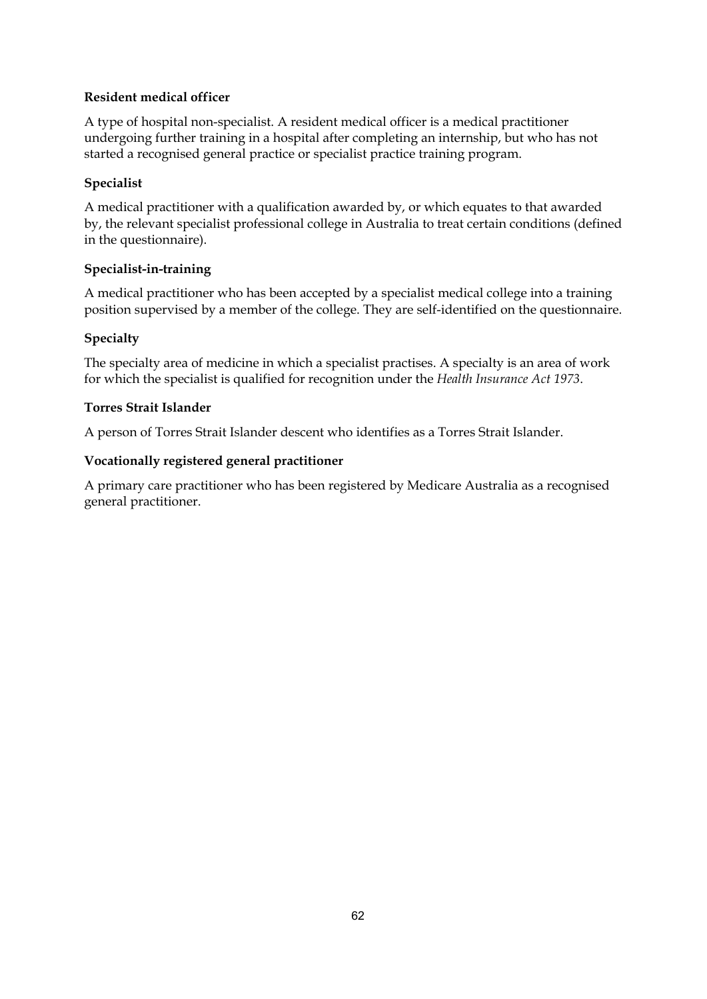#### **Resident medical officer**

A type of hospital non-specialist. A resident medical officer is a medical practitioner undergoing further training in a hospital after completing an internship, but who has not started a recognised general practice or specialist practice training program.

#### **Specialist**

A medical practitioner with a qualification awarded by, or which equates to that awarded by, the relevant specialist professional college in Australia to treat certain conditions (defined in the questionnaire).

#### **Specialist-in-training**

A medical practitioner who has been accepted by a specialist medical college into a training position supervised by a member of the college. They are self-identified on the questionnaire.

#### **Specialty**

The specialty area of medicine in which a specialist practises. A specialty is an area of work for which the specialist is qualified for recognition under the *Health Insurance Act 1973*.

#### **Torres Strait Islander**

A person of Torres Strait Islander descent who identifies as a Torres Strait Islander.

#### **Vocationally registered general practitioner**

A primary care practitioner who has been registered by Medicare Australia as a recognised general practitioner.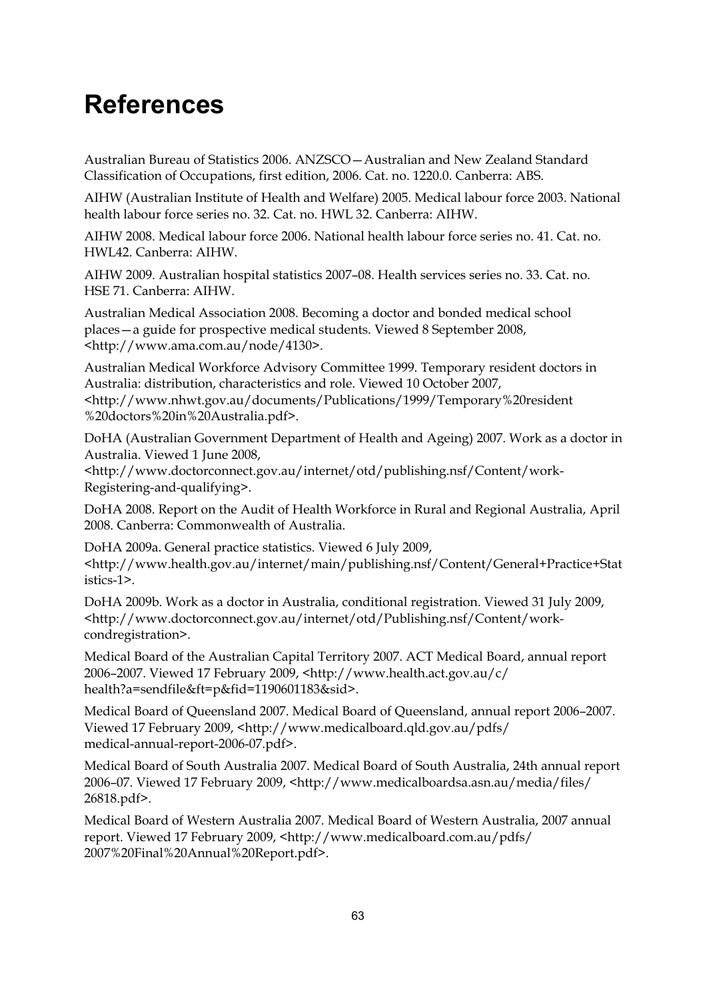## **References**

Australian Bureau of Statistics 2006. ANZSCO—Australian and New Zealand Standard Classification of Occupations, first edition, 2006. Cat. no. 1220.0. Canberra: ABS.

AIHW (Australian Institute of Health and Welfare) 2005. Medical labour force 2003. National health labour force series no. 32. Cat. no. HWL 32. Canberra: AIHW.

AIHW 2008. Medical labour force 2006. National health labour force series no. 41. Cat. no. HWL42. Canberra: AIHW.

AIHW 2009. Australian hospital statistics 2007–08. Health services series no. 33. Cat. no. HSE 71. Canberra: AIHW.

Australian Medical Association 2008. Becoming a doctor and bonded medical school places—a guide for prospective medical students. Viewed 8 September 2008, <http://www.ama.com.au/node/4130>.

Australian Medical Workforce Advisory Committee 1999. Temporary resident doctors in Australia: distribution, characteristics and role. Viewed 10 October 2007, <http://www.nhwt.gov.au/documents/Publications/1999/Temporary%20resident %20doctors%20in%20Australia.pdf>.

DoHA (Australian Government Department of Health and Ageing) 2007. Work as a doctor in Australia. Viewed 1 June 2008,

<http://www.doctorconnect.gov.au/internet/otd/publishing.nsf/Content/work-Registering-and-qualifying>.

DoHA 2008. Report on the Audit of Health Workforce in Rural and Regional Australia, April 2008. Canberra: Commonwealth of Australia.

DoHA 2009a. General practice statistics. Viewed 6 July 2009, <http://www.health.gov.au/internet/main/publishing.nsf/Content/General+Practice+Stat istics-1>.

DoHA 2009b. Work as a doctor in Australia, conditional registration. Viewed 31 July 2009, <http://www.doctorconnect.gov.au/internet/otd/Publishing.nsf/Content/workcondregistration>.

Medical Board of the Australian Capital Territory 2007. ACT Medical Board, annual report 2006–2007. Viewed 17 February 2009, <http://www.health.act.gov.au/c/ health?a=sendfile&ft=p&fid=1190601183&sid>.

Medical Board of Queensland 2007. Medical Board of Queensland, annual report 2006–2007. Viewed 17 February 2009, <http://www.medicalboard.qld.gov.au/pdfs/ medical-annual-report-2006-07.pdf>.

Medical Board of South Australia 2007. Medical Board of South Australia, 24th annual report 2006–07. Viewed 17 February 2009, <http://www.medicalboardsa.asn.au/media/files/ 26818.pdf>.

Medical Board of Western Australia 2007. Medical Board of Western Australia, 2007 annual report. Viewed 17 February 2009, <http://www.medicalboard.com.au/pdfs/ 2007%20Final%20Annual%20Report.pdf>.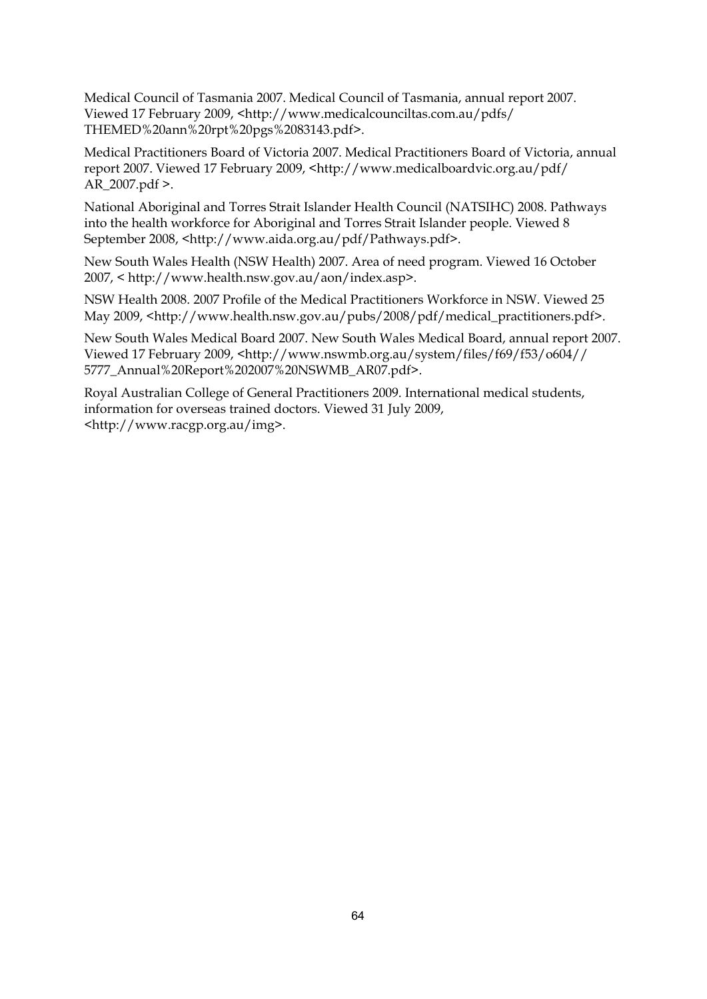Medical Council of Tasmania 2007. Medical Council of Tasmania, annual report 2007. Viewed 17 February 2009, <http://www.medicalcounciltas.com.au/pdfs/ THEMED%20ann%20rpt%20pgs%2083143.pdf>.

Medical Practitioners Board of Victoria 2007. Medical Practitioners Board of Victoria, annual report 2007. Viewed 17 February 2009, <http://www.medicalboardvic.org.au/pdf/ AR\_2007.pdf >.

National Aboriginal and Torres Strait Islander Health Council (NATSIHC) 2008. Pathways into the health workforce for Aboriginal and Torres Strait Islander people. Viewed 8 September 2008, <http://www.aida.org.au/pdf/Pathways.pdf>.

New South Wales Health (NSW Health) 2007. Area of need program. Viewed 16 October 2007, < http://www.health.nsw.gov.au/aon/index.asp>.

NSW Health 2008. 2007 Profile of the Medical Practitioners Workforce in NSW. Viewed 25 May 2009, <http://www.health.nsw.gov.au/pubs/2008/pdf/medical\_practitioners.pdf>.

New South Wales Medical Board 2007. New South Wales Medical Board, annual report 2007. Viewed 17 February 2009, <http://www.nswmb.org.au/system/files/f69/f53/o604// 5777\_Annual%20Report%202007%20NSWMB\_AR07.pdf>.

Royal Australian College of General Practitioners 2009. International medical students, information for overseas trained doctors. Viewed 31 July 2009, <http://www.racgp.org.au/img>.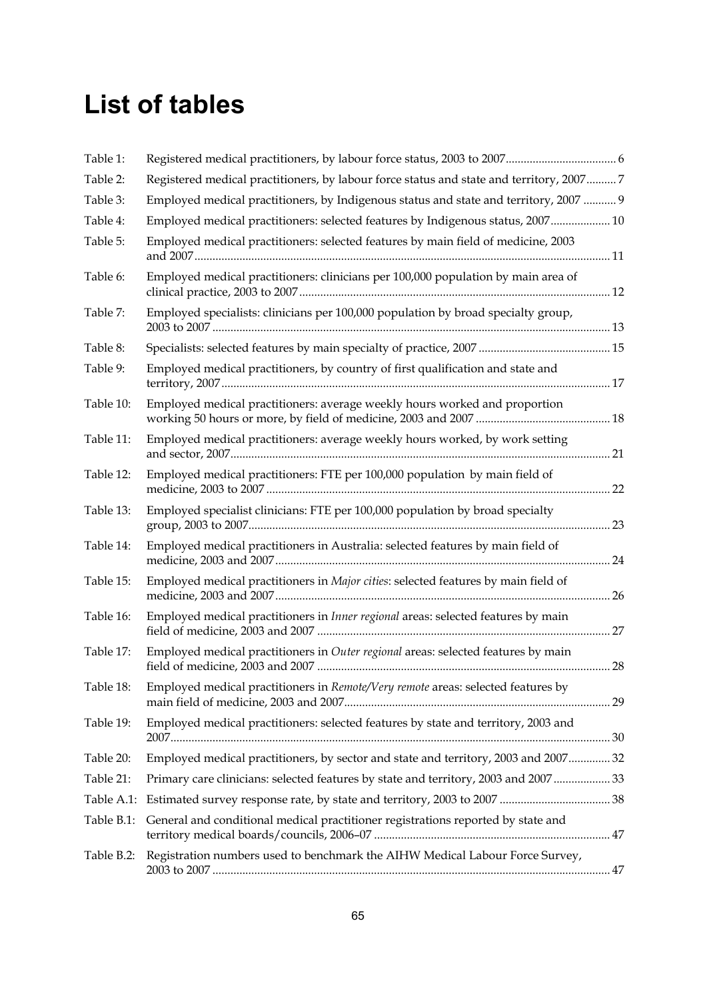# **List of tables**

| Table 1:   |                                                                                         |     |
|------------|-----------------------------------------------------------------------------------------|-----|
| Table 2:   | Registered medical practitioners, by labour force status and state and territory, 20077 |     |
| Table 3:   | Employed medical practitioners, by Indigenous status and state and territory, 2007  9   |     |
| Table 4:   | Employed medical practitioners: selected features by Indigenous status, 2007 10         |     |
| Table 5:   | Employed medical practitioners: selected features by main field of medicine, 2003       |     |
| Table 6:   | Employed medical practitioners: clinicians per 100,000 population by main area of       |     |
| Table 7:   | Employed specialists: clinicians per 100,000 population by broad specialty group,       |     |
| Table 8:   |                                                                                         |     |
| Table 9:   | Employed medical practitioners, by country of first qualification and state and         |     |
| Table 10:  | Employed medical practitioners: average weekly hours worked and proportion              |     |
| Table 11:  | Employed medical practitioners: average weekly hours worked, by work setting            |     |
| Table 12:  | Employed medical practitioners: FTE per 100,000 population by main field of             |     |
| Table 13:  | Employed specialist clinicians: FTE per 100,000 population by broad specialty           | 23  |
| Table 14:  | Employed medical practitioners in Australia: selected features by main field of         |     |
| Table 15:  | Employed medical practitioners in Major cities: selected features by main field of      | 26  |
| Table 16:  | Employed medical practitioners in Inner regional areas: selected features by main       |     |
| Table 17:  | Employed medical practitioners in Outer regional areas: selected features by main       | .28 |
| Table 18:  | Employed medical practitioners in Remote/Very remote areas: selected features by        |     |
| Table 19:  | Employed medical practitioners: selected features by state and territory, 2003 and      |     |
| Table 20:  | Employed medical practitioners, by sector and state and territory, 2003 and 2007 32     |     |
| Table 21:  | Primary care clinicians: selected features by state and territory, 2003 and 2007 33     |     |
| Table A.1: |                                                                                         |     |
| Table B.1: | General and conditional medical practitioner registrations reported by state and        |     |
| Table B.2: | Registration numbers used to benchmark the AIHW Medical Labour Force Survey,            |     |